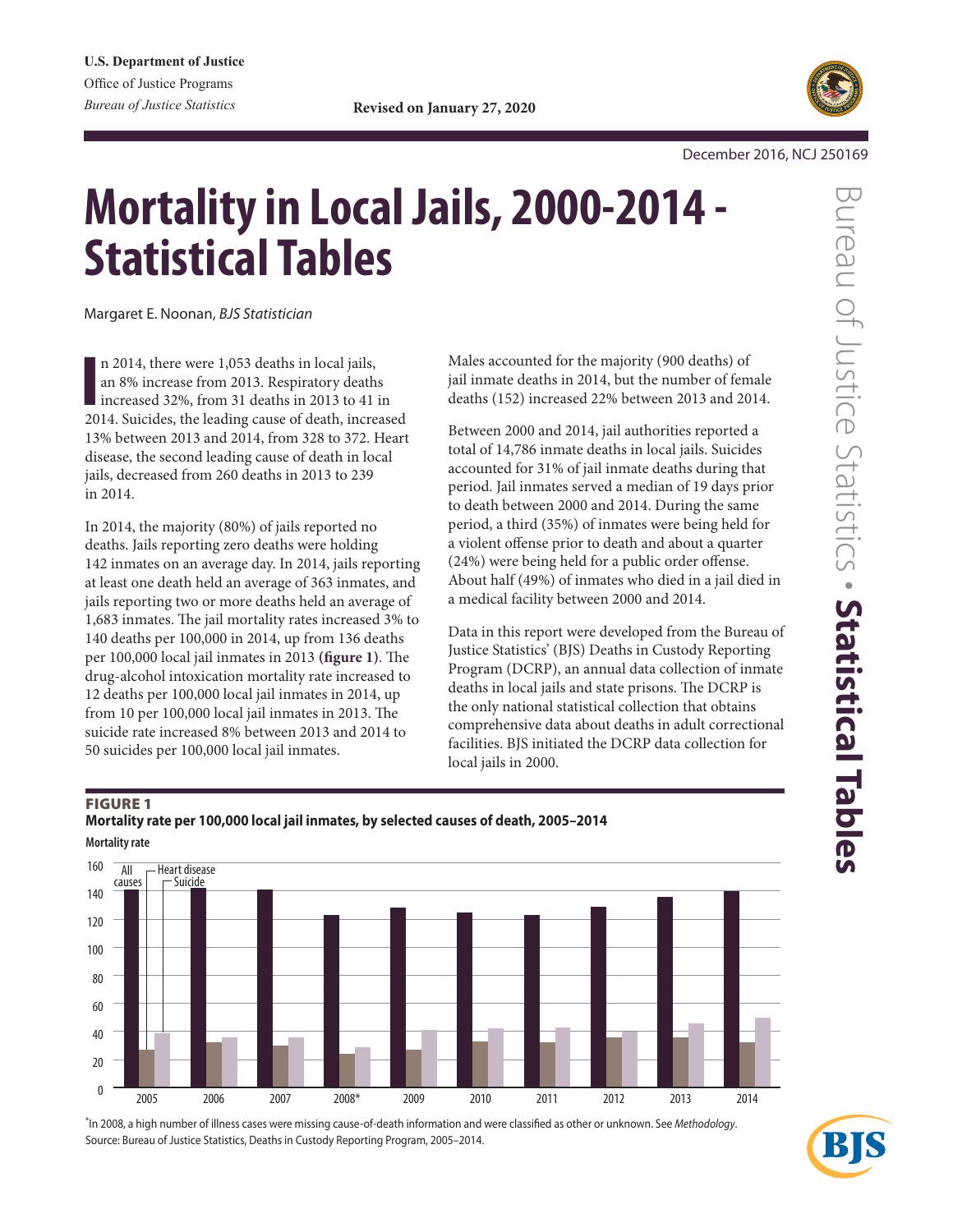

December 2016, NCJ 250169

# **Mortality in Local Jails, 2000-2014 - Statistical Tables**

Margaret E. Noonan, *BJS Statistician* 

In 2014, there were 1,053 deaths in local jails, an 8% increase from 2013. Respiratory deaths increased 32%, from 31 deaths in 2013 to 41 in 2014. Suicides, the leading cause of death, increased n 2014, there were 1,053 deaths in local jails, an 8% increase from 2013. Respiratory deaths increased 32%, from 31 deaths in 2013 to 41 in 13% between 2013 and 2014, from 328 to 372. Heart disease, the second leading cause of death in local jails, decreased from 260 deaths in 2013 to 239 in 2014.

In 2014, the majority (80%) of jails reported no deaths. Jails reporting zero deaths were holding 142 inmates on an average day. In 2014, jails reporting at least one death held an average of 363 inmates, and jails reporting two or more deaths held an average of 1,683 inmates. The jail mortality rates increased 3% to 140 deaths per 100,000 in 2014, up from 136 deaths per 100,000 local jail inmates in 2013 (figure 1). The drug-alcohol intoxication mortality rate increased to 12 deaths per 100,000 local jail inmates in 2014, up from 10 per  $100,000$  local jail inmates in 2013. The suicide rate increased 8% between 2013 and 2014 to 50 suicides per 100,000 local jail inmates.

Males accounted for the majority (900 deaths) of jail inmate deaths in 2014, but the number of female deaths (152) increased 22% between 2013 and 2014.

Between 2000 and 2014, jail authorities reported a total of 14,786 inmate deaths in local jails. Suicides accounted for 31% of jail inmate deaths during that period. Jail inmates served a median of 19 days prior to death between 2000 and 2014. During the same period, a third (35%) of inmates were being held for a violent ofense prior to death and about a quarter (24%) were being held for a public order offense. About half (49%) of inmates who died in a jail died in a medical facility between 2000 and 2014.

Data in this report were developed from the Bureau of Justice Statistics' (BJS) Deaths in Custody Reporting Program (DCRP), an annual data collection of inmate deaths in local jails and state prisons. The DCRP is the only national statistical collection that obtains comprehensive data about deaths in adult correctional facilities. BJS initiated the DCRP data collection for local jails in 2000.

#### FIGURE 1

### **Mortality rate per 100,000 local jail inmates, by selected causes of death, 2005–2014 Mortality rate**



\*In 2008, a high number of illness cases were missing cause-of-death information and were classifed as other or unknown. See *Methodology*. Source: Bureau of Justice Statistics, Deaths in Custody Reporting Program, 2005–2014.



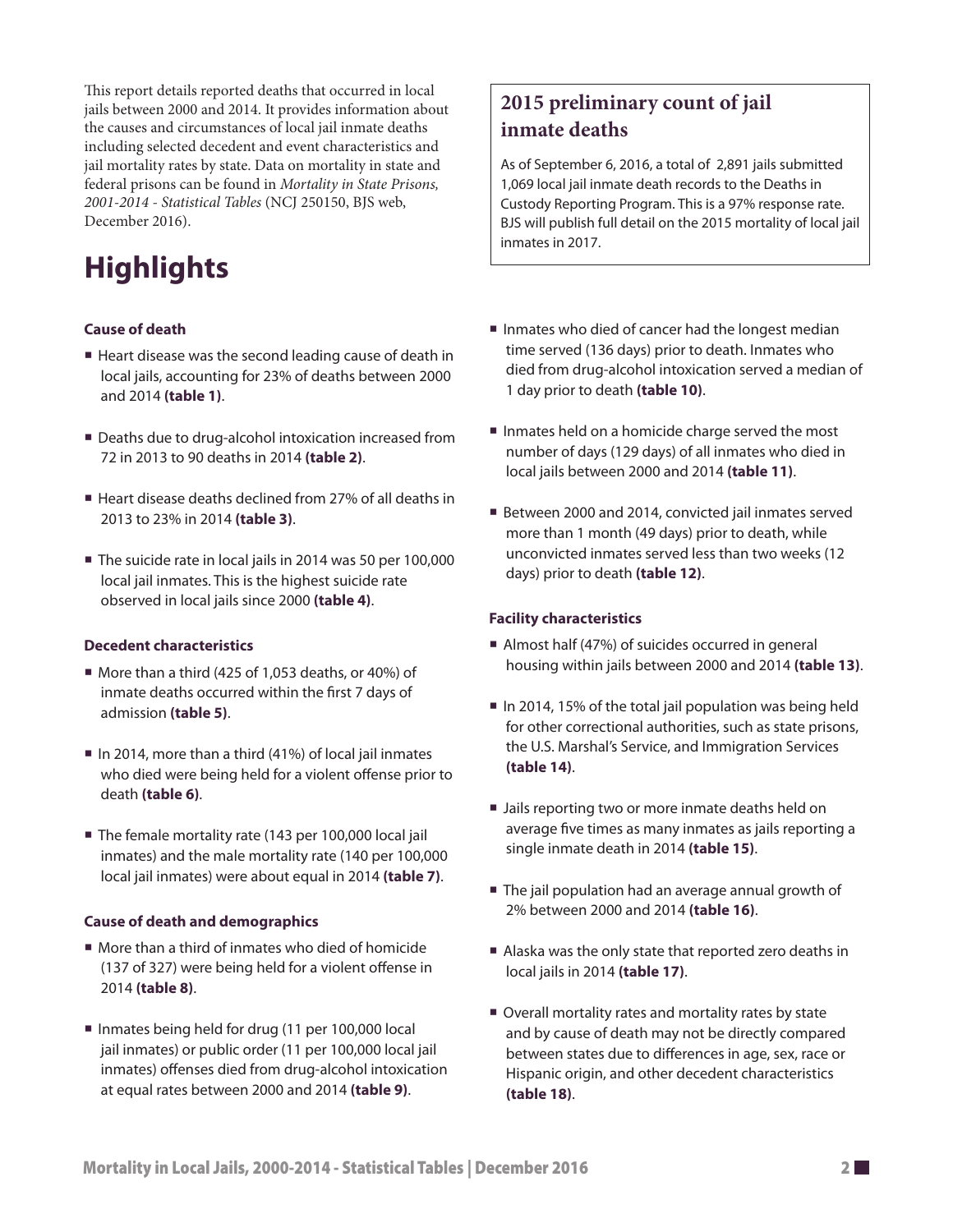This report details reported deaths that occurred in local jails between 2000 and 2014. It provides information about the causes and circumstances of local jail inmate deaths including selected decedent and event characteristics and jail mortality rates by state. Data on mortality in state and federal prisons can be found in *Mortality in State Prisons, 2001-2014 - Statistical Tables* (NCJ 250150, BJS web, December 2016).

# **Highlights**

### **Cause of death**

- Heart disease was the second leading cause of death in local jails, accounting for 23% of deaths between 2000 and 2014 **(table 1)**.
- Deaths due to drug-alcohol intoxication increased from 72 in 2013 to 90 deaths in 2014 **(table 2)**.
- Heart disease deaths declined from 27% of all deaths in 2013 to 23% in 2014 **(table 3)**.
- The suicide rate in local jails in 2014 was 50 per 100,000 local jail inmates. This is the highest suicide rate observed in local jails since 2000 **(table 4)**.

#### **Decedent characteristics**

- More than a third (425 of 1,053 deaths, or 40%) of inmate deaths occurred within the frst 7 days of admission **(table 5)**.
- $\blacksquare$  In 2014, more than a third (41%) of local jail inmates who died were being held for a violent offense prior to death **(table 6)**.
- The female mortality rate (143 per 100,000 local jail inmates) and the male mortality rate (140 per 100,000 local jail inmates) were about equal in 2014 **(table 7)**.

#### **Cause of death and demographics**

- More than a third of inmates who died of homicide (137 of 327) were being held for a violent offense in 2014 **(table 8)**.
- Inmates being held for drug (11 per 100,000 local jail inmates) or public order (11 per 100,000 local jail inmates) offenses died from drug-alcohol intoxication at equal rates between 2000 and 2014 **(table 9)**.

## **2015 preliminary count of jail inmate deaths**

As of September 6, 2016, a total of 2,891 jails submitted 1,069 local jail inmate death records to the Deaths in Custody Reporting Program. This is a 97% response rate. BJS will publish full detail on the 2015 mortality of local jail inmates in 2017.

- $\blacksquare$  Inmates who died of cancer had the longest median time served (136 days) prior to death. Inmates who died from drug-alcohol intoxication served a median of 1 day prior to death **(table 10)**.
- Inmates held on a homicide charge served the most number of days (129 days) of all inmates who died in local jails between 2000 and 2014 **(table 11)**.
- Between 2000 and 2014, convicted jail inmates served more than 1 month (49 days) prior to death, while unconvicted inmates served less than two weeks (12 days) prior to death **(table 12)**.

#### **Facility characteristics**

- Almost half (47%) of suicides occurred in general housing within jails between 2000 and 2014 **(table 13)**.
- $\blacksquare$  In 2014, 15% of the total jail population was being held for other correctional authorities, such as state prisons, the U.S. Marshal's Service, and Immigration Services **(table 14)**.
- I Jails reporting two or more inmate deaths held on average fve times as many inmates as jails reporting a single inmate death in 2014 **(table 15)**.
- The jail population had an average annual growth of 2% between 2000 and 2014 **(table 16)**.
- Alaska was the only state that reported zero deaths in local jails in 2014 **(table 17)**.
- Overall mortality rates and mortality rates by state and by cause of death may not be directly compared between states due to diferences in age, sex, race or Hispanic origin, and other decedent characteristics **(table 18)**.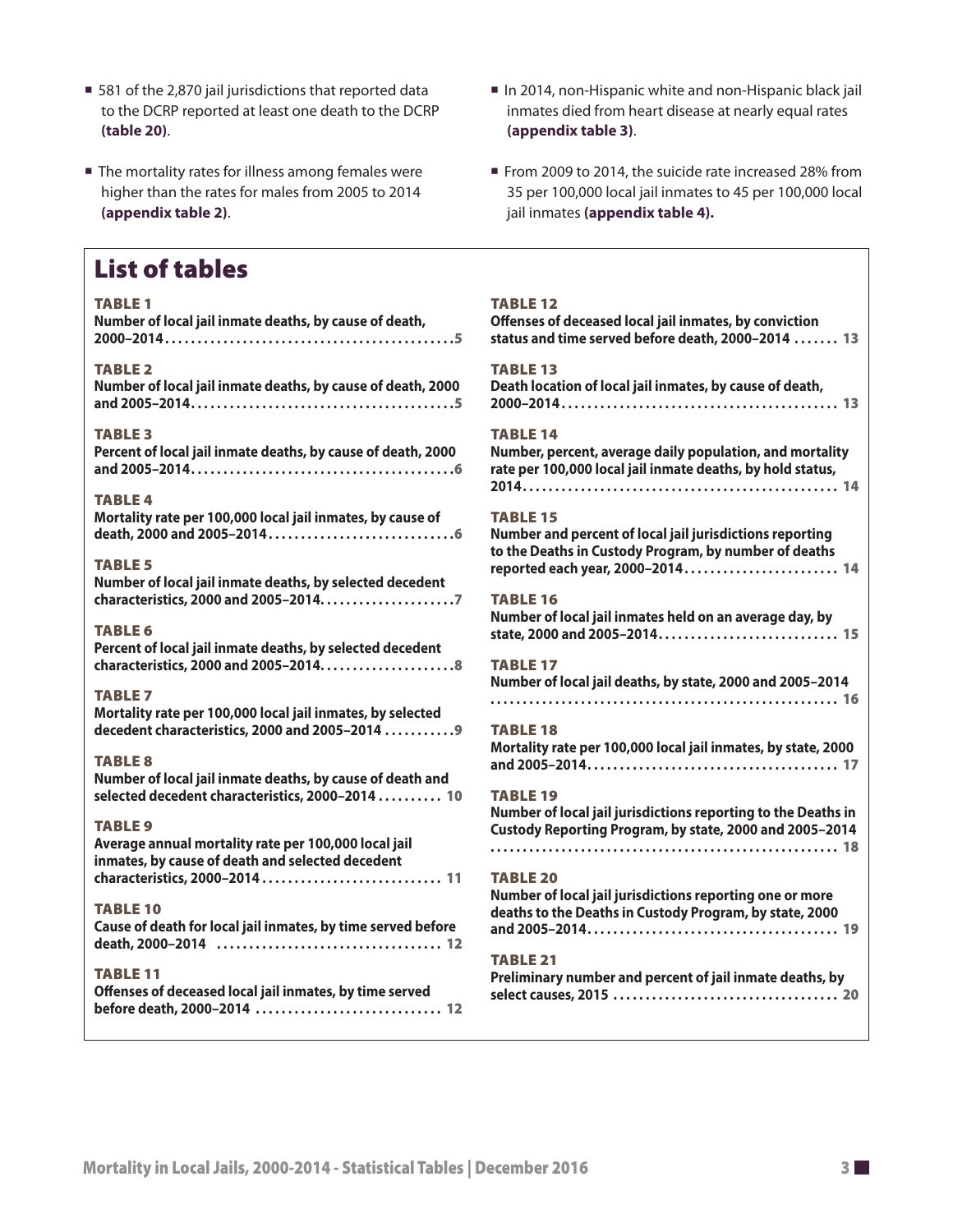**(appendix table 2)**. jail inmates **(appendix table 4).** 

## List of tables

#### TABLE 1

| Number of local jail inmate deaths, by cause of death,                                                                                    | Offenses of deceased local jail inmates, by conviction                                                                               |
|-------------------------------------------------------------------------------------------------------------------------------------------|--------------------------------------------------------------------------------------------------------------------------------------|
|                                                                                                                                           | status and time served before death, 2000-2014  13                                                                                   |
| <b>TABLE 2</b>                                                                                                                            | <b>TABLE 13</b>                                                                                                                      |
| Number of local jail inmate deaths, by cause of death, 2000                                                                               | Death location of local jail inmates, by cause of death,                                                                             |
|                                                                                                                                           |                                                                                                                                      |
| <b>TABLE 3</b>                                                                                                                            | <b>TABLE 14</b>                                                                                                                      |
| Percent of local jail inmate deaths, by cause of death, 2000                                                                              | Number, percent, average daily population, and mortality                                                                             |
|                                                                                                                                           | rate per 100,000 local jail inmate deaths, by hold status,                                                                           |
| <b>TABLE 4</b>                                                                                                                            |                                                                                                                                      |
| Mortality rate per 100,000 local jail inmates, by cause of                                                                                | <b>TABLE 15</b><br>Number and percent of local jail jurisdictions reporting<br>to the Deaths in Custody Program, by number of deaths |
| <b>TABLE 5</b><br>Number of local jail inmate deaths, by selected decedent                                                                | reported each year, 2000-2014 14<br><b>TABLE 16</b>                                                                                  |
| <b>TABLE 6</b>                                                                                                                            | Number of local jail inmates held on an average day, by                                                                              |
| Percent of local jail inmate deaths, by selected decedent                                                                                 | state, 2000 and 2005-2014 15                                                                                                         |
| characteristics, 2000 and 2005-20148<br><b>TABLE 7</b>                                                                                    | <b>TABLE 17</b><br>Number of local jail deaths, by state, 2000 and 2005-2014                                                         |
| Mortality rate per 100,000 local jail inmates, by selected                                                                                | <b>TABLE 18</b>                                                                                                                      |
| decedent characteristics, 2000 and 2005-2014  9                                                                                           | Mortality rate per 100,000 local jail inmates, by state, 2000                                                                        |
| <b>TABLE 8</b>                                                                                                                            |                                                                                                                                      |
| Number of local jail inmate deaths, by cause of death and                                                                                 | <b>TABLE 19</b>                                                                                                                      |
| selected decedent characteristics, 2000-2014  10                                                                                          | Number of local jail jurisdictions reporting to the Deaths in                                                                        |
| <b>TABLE 9</b>                                                                                                                            | Custody Reporting Program, by state, 2000 and 2005-2014                                                                              |
| Average annual mortality rate per 100,000 local jail<br>inmates, by cause of death and selected decedent<br>characteristics, 2000-2014 11 | <b>TABLE 20</b>                                                                                                                      |
| <b>TABLE 10</b><br>Cause of death for local jail inmates, by time served before                                                           | Number of local jail jurisdictions reporting one or more<br>deaths to the Deaths in Custody Program, by state, 2000                  |
|                                                                                                                                           | <b>TABLE 21</b>                                                                                                                      |
| <b>TABLE 11</b>                                                                                                                           | Preliminary number and percent of jail inmate deaths, by                                                                             |
| Offenses of deceased local jail inmates, by time served<br>before death, 2000-2014  12                                                    |                                                                                                                                      |
|                                                                                                                                           |                                                                                                                                      |

- 581 of the 2,870 jail jurisdictions that reported data In 2014, non-Hispanic white and non-Hispanic black jail to the DCRP reported at least one death to the DCRP inmates died from heart disease at nearly equal rates
- The mortality rates for illness among females were From 2009 to 2014, the suicide rate increased 28% from higher than the rates for males from 2005 to 2014 35 per 100,000 local jail inmates to 45 per 100,000 local

| <b>TABLE 12</b><br>Offenses of deceased local jail inmates, by conviction<br>status and time served before death, 2000-2014  13                                          |  |
|--------------------------------------------------------------------------------------------------------------------------------------------------------------------------|--|
| <b>TABLE 13</b><br>Death location of local jail inmates, by cause of death,                                                                                              |  |
| <b>TABLE 14</b><br>Number, percent, average daily population, and mortality<br>rate per 100,000 local jail inmate deaths, by hold status,                                |  |
| <b>TABLE 15</b><br>Number and percent of local jail jurisdictions reporting<br>to the Deaths in Custody Program, by number of deaths<br>reported each year, 2000-2014 14 |  |
| <b>TABLE 16</b><br>Number of local jail inmates held on an average day, by<br>state, 2000 and 2005-2014 15                                                               |  |
| <b>TABLE 17</b><br>Number of local jail deaths, by state, 2000 and 2005-2014                                                                                             |  |
| <b>TABLE 18</b><br>Mortality rate per 100,000 local jail inmates, by state, 2000                                                                                         |  |
| <b>TABLE 19</b><br>Number of local jail jurisdictions reporting to the Deaths in<br>Custody Reporting Program, by state, 2000 and 2005-2014                              |  |
| <b>TABLE 20</b><br>Number of local jail jurisdictions reporting one or more<br>deaths to the Deaths in Custody Program, by state, 2000                                   |  |
| <b>TABLE 21</b><br>Preliminary number and percent of jail inmate deaths, by<br>select causes 2015                                                                        |  |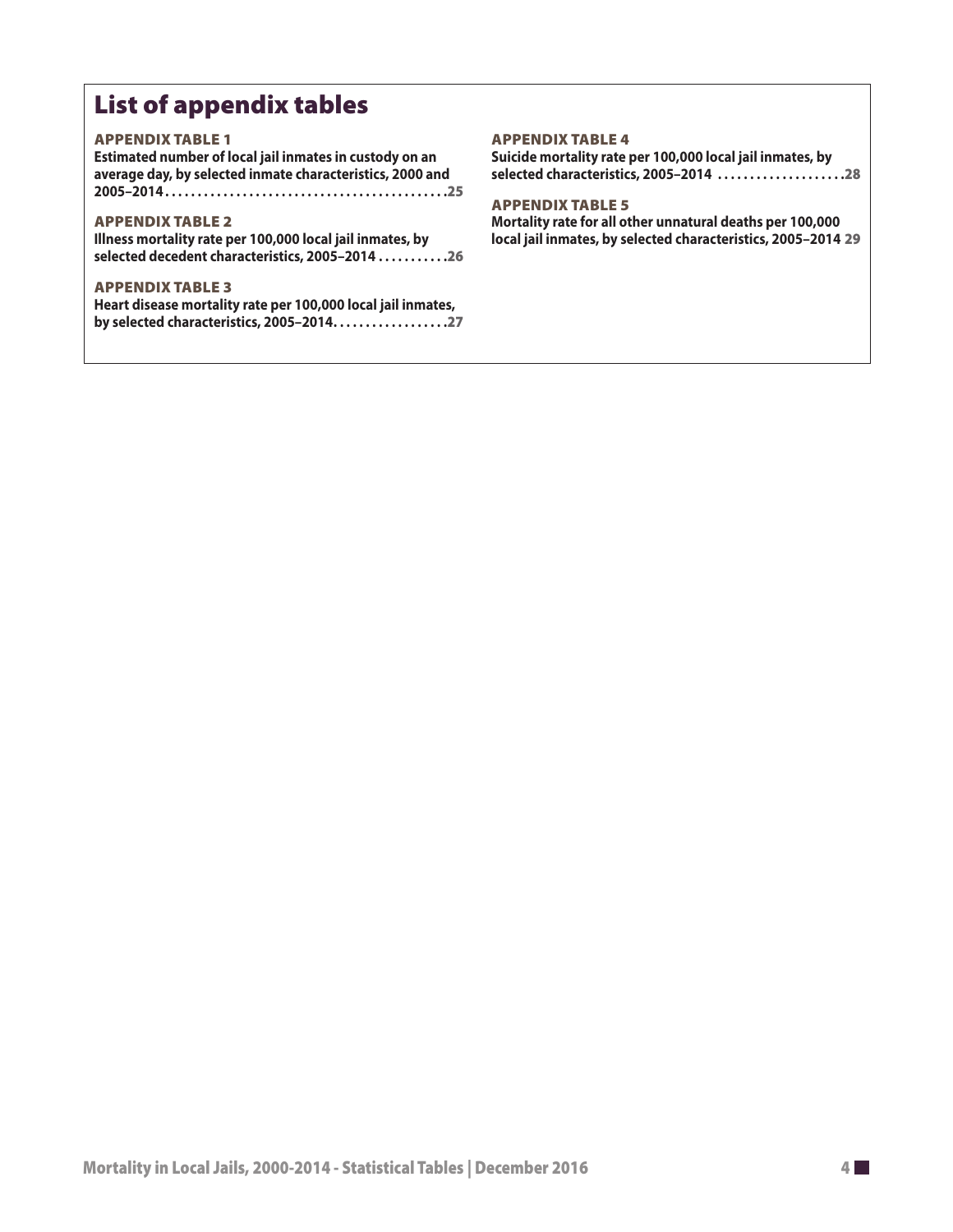## List of appendix tables

#### APPENDIX TABLE 1

| Estimated number of local jail inmates in custody on an   |
|-----------------------------------------------------------|
| average day, by selected inmate characteristics, 2000 and |
|                                                           |

#### APPENDIX TABLE 2

**Illness mortality rate per 100,000 local jail inmates, by selected decedent characteristics, 2005–2014 . . . . . . . . . . .**26

#### APPENDIX TABLE 3

**Heart disease mortality rate per 100,000 local jail inmates, by selected characteristics, 2005–2014. . . . . . . . . . . . . . . . . .**27

#### APPENDIX TABLE 4

**Suicide mortality rate per 100,000 local jail inmates, by selected characteristics, 2005–2014 . . . . . . . . . . . . . . . . . . . .**28

#### APPENDIX TABLE 5

**Mortality rate for all other unnatural deaths per 100,000 local jail inmates, by selected characteristics, 2005–2014** 29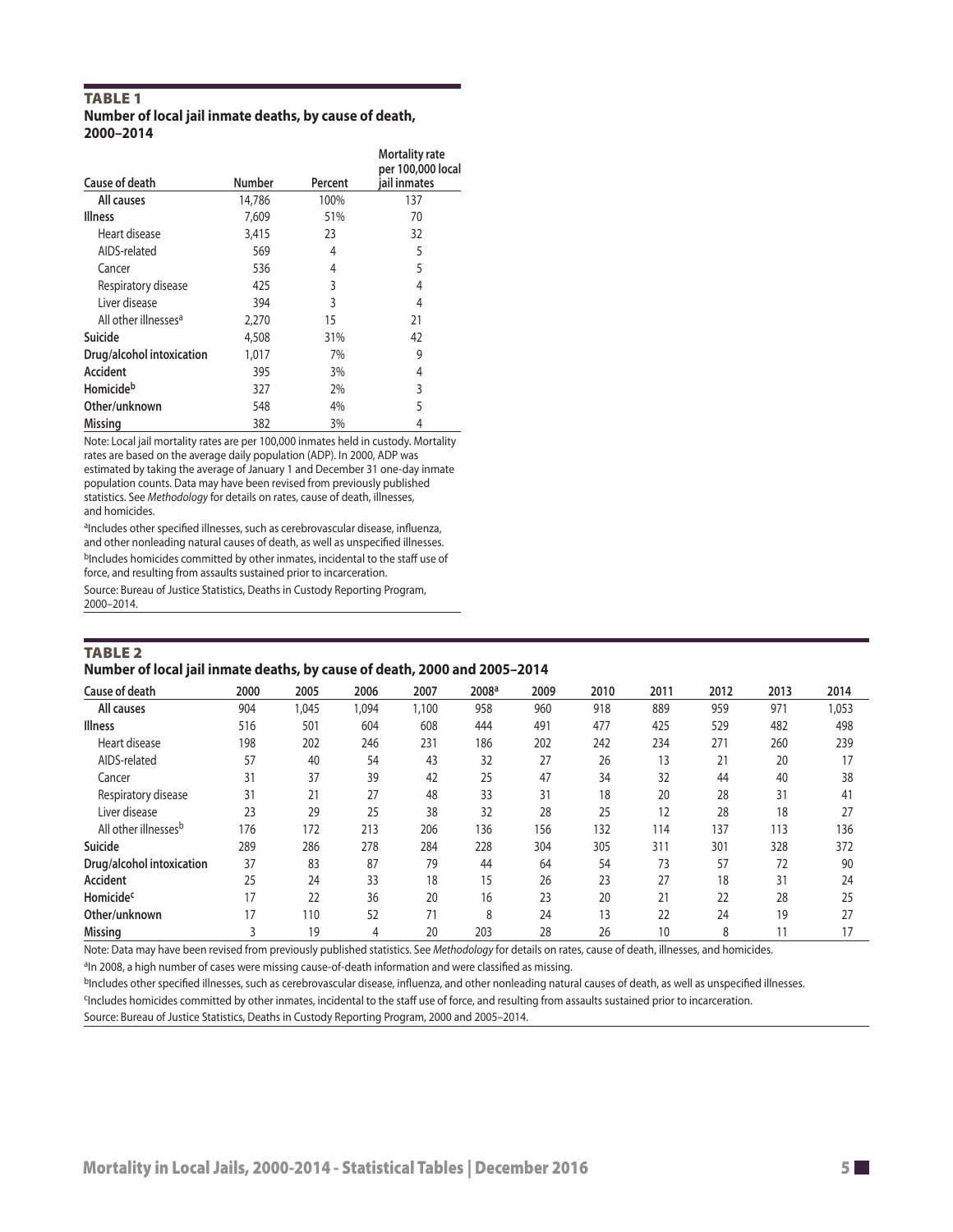#### TABLE 1 **Number of local jail inmate deaths, by cause of death, 2000–2014**

| Cause of death                   | Number | Percent | <b>Mortality rate</b><br>per 100,000 local<br>iail inmates |
|----------------------------------|--------|---------|------------------------------------------------------------|
| All causes                       | 14,786 | 100%    | 137                                                        |
| Illness                          | 7,609  | 51%     | 70                                                         |
| Heart disease                    | 3,415  | 23      | 32                                                         |
| AIDS-related                     | 569    | 4       | 5                                                          |
| Cancer                           | 536    | 4       | 5                                                          |
| Respiratory disease              | 425    | 3       | 4                                                          |
| Liver disease                    | 394    | 3       | 4                                                          |
| All other illnesses <sup>a</sup> | 2.270  | 15      | 21                                                         |
| Suicide                          | 4,508  | 31%     | 42                                                         |
| Drug/alcohol intoxication        | 1,017  | 7%      | 9                                                          |
| <b>Accident</b>                  | 395    | 3%      | 4                                                          |
| Homicideb                        | 327    | 2%      | 3                                                          |
| Other/unknown                    | 548    | 4%      | 5                                                          |
| Missing                          | 382    | 3%      | 4                                                          |

Note: Local jail mortality rates are per 100,000 inmates held in custody. Mortality rates are based on the average daily population (ADP). In 2000, ADP was estimated by taking the average of January 1 and December 31 one-day inmate population counts. Data may have been revised from previously published statistics. See *Methodology* for details on rates, cause of death, illnesses, and homicides.

aIncludes other specified illnesses, such as cerebrovascular disease, influenza, and other nonleading natural causes of death, as well as unspecifed illnesses. bIncludes homicides committed by other inmates, incidental to the staff use of force, and resulting from assaults sustained prior to incarceration. Source: Bureau of Justice Statistics, Deaths in Custody Reporting Program, 2000–2014.

#### TABLE 2

#### **Number of local jail inmate deaths, by cause of death, 2000 and 2005–2014**

| Cause of death                   | 2000 | 2005  | 2006  | 2007  | 2008 <sup>a</sup> | 2009 | 2010 | 2011 | 2012 | 2013 | 2014  |
|----------------------------------|------|-------|-------|-------|-------------------|------|------|------|------|------|-------|
| All causes                       | 904  | 1,045 | 1,094 | 1,100 | 958               | 960  | 918  | 889  | 959  | 971  | 1,053 |
| <b>Illness</b>                   | 516  | 501   | 604   | 608   | 444               | 491  | 477  | 425  | 529  | 482  | 498   |
| Heart disease                    | 198  | 202   | 246   | 231   | 186               | 202  | 242  | 234  | 271  | 260  | 239   |
| AIDS-related                     | 57   | 40    | 54    | 43    | 32                | 27   | 26   | 13   | 21   | 20   | 17    |
| Cancer                           | 31   | 37    | 39    | 42    | 25                | 47   | 34   | 32   | 44   | 40   | 38    |
| Respiratory disease              | 31   | 21    | 27    | 48    | 33                | 31   | 18   | 20   | 28   | 31   | 41    |
| Liver disease                    | 23   | 29    | 25    | 38    | 32                | 28   | 25   | 12   | 28   | 18   | 27    |
| All other illnesses <sup>b</sup> | 176  | 172   | 213   | 206   | 136               | 156  | 132  | 114  | 137  | 113  | 136   |
| Suicide                          | 289  | 286   | 278   | 284   | 228               | 304  | 305  | 311  | 301  | 328  | 372   |
| Drug/alcohol intoxication        | 37   | 83    | 87    | 79    | 44                | 64   | 54   | 73   | 57   | 72   | 90    |
| Accident                         | 25   | 24    | 33    | 18    | 15                | 26   | 23   | 27   | 18   | 31   | 24    |
| <b>Homicide<sup>c</sup></b>      | 17   | 22    | 36    | 20    | 16                | 23   | 20   | 21   | 22   | 28   | 25    |
| Other/unknown                    | 17   | 110   | 52    | 71    | 8                 | 24   | 13   | 22   | 24   | 19   | 27    |
| <b>Missing</b>                   |      | 19    | 4     | 20    | 203               | 28   | 26   | 10   | 8    |      |       |

Note: Data may have been revised from previously published statistics. See *Methodology* for details on rates, cause of death, illnesses, and homicides.

<sup>a</sup>In 2008, a high number of cases were missing cause-of-death information and were classified as missing.

bIncludes other specified illnesses, such as cerebrovascular disease, influenza, and other nonleading natural causes of death, as well as unspecified illnesses.

cIncludes homicides committed by other inmates, incidental to the staf use of force, and resulting from assaults sustained prior to incarceration.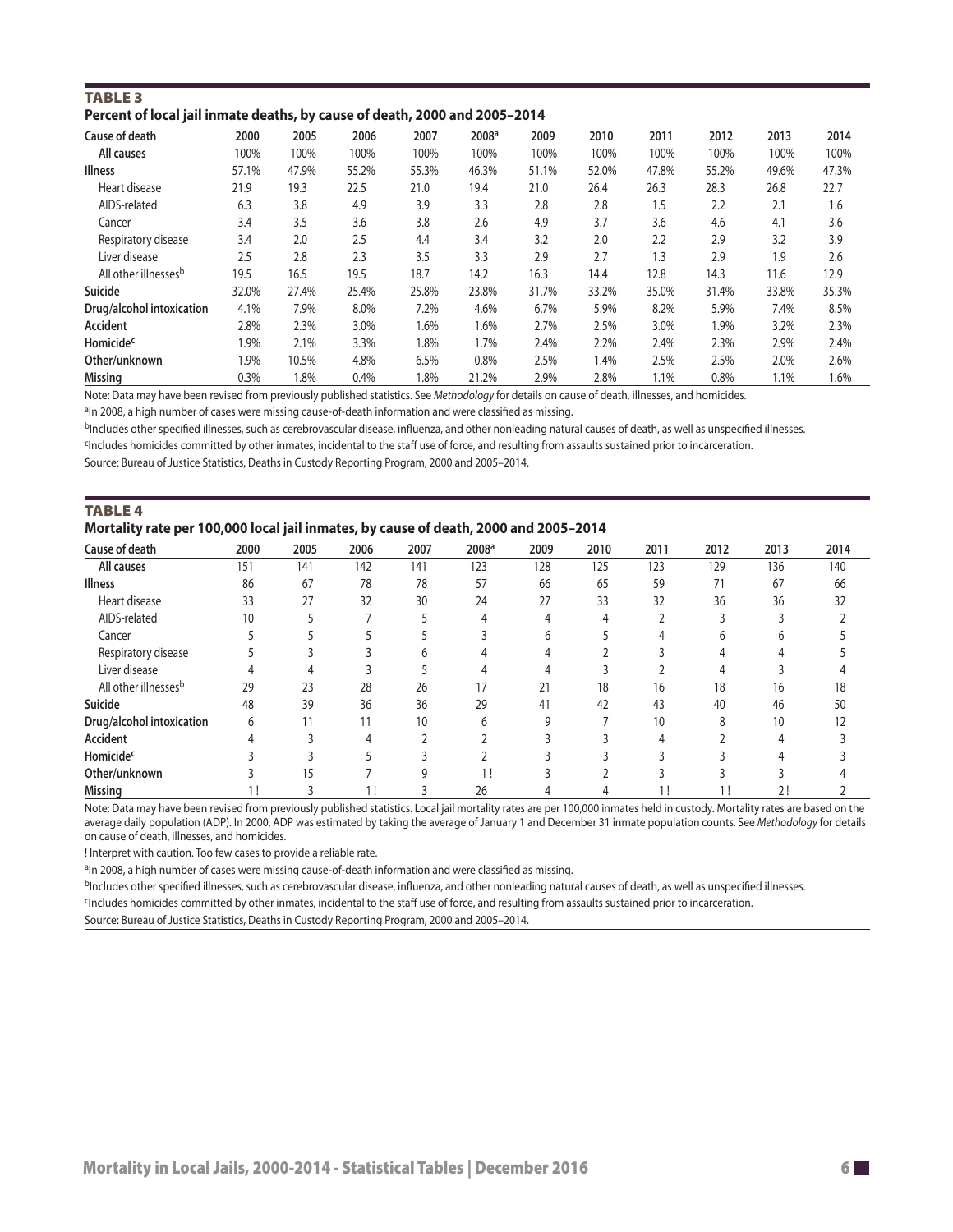| <b>TABLE 3</b>                                                             |  |
|----------------------------------------------------------------------------|--|
| Percent of local jail inmate deaths, by cause of death, 2000 and 2005-2014 |  |

| Cause of death                   | 2000  | 2005  | 2006  | 2007   | 2008 <sup>a</sup> | 2009  | 2010  | 2011  | 2012  | 2013  | 2014  |
|----------------------------------|-------|-------|-------|--------|-------------------|-------|-------|-------|-------|-------|-------|
| All causes                       | 100%  | 100%  | 100%  | 100%   | 100%              | 100%  | 100%  | 100%  | 100%  | 100%  | 100%  |
| <b>Illness</b>                   | 57.1% | 47.9% | 55.2% | 55.3%  | 46.3%             | 51.1% | 52.0% | 47.8% | 55.2% | 49.6% | 47.3% |
| Heart disease                    | 21.9  | 19.3  | 22.5  | 21.0   | 19.4              | 21.0  | 26.4  | 26.3  | 28.3  | 26.8  | 22.7  |
| AIDS-related                     | 6.3   | 3.8   | 4.9   | 3.9    | 3.3               | 2.8   | 2.8   | 1.5   | 2.2   | 2.1   | 1.6   |
| Cancer                           | 3.4   | 3.5   | 3.6   | 3.8    | 2.6               | 4.9   | 3.7   | 3.6   | 4.6   | 4.1   | 3.6   |
| Respiratory disease              | 3.4   | 2.0   | 2.5   | 4.4    | 3.4               | 3.2   | 2.0   | 2.2   | 2.9   | 3.2   | 3.9   |
| Liver disease                    | 2.5   | 2.8   | 2.3   | 3.5    | 3.3               | 2.9   | 2.7   | 1.3   | 2.9   | 1.9   | 2.6   |
| All other illnesses <sup>b</sup> | 19.5  | 16.5  | 19.5  | 18.7   | 14.2              | 16.3  | 14.4  | 12.8  | 14.3  | 11.6  | 12.9  |
| Suicide                          | 32.0% | 27.4% | 25.4% | 25.8%  | 23.8%             | 31.7% | 33.2% | 35.0% | 31.4% | 33.8% | 35.3% |
| Drug/alcohol intoxication        | 4.1%  | 7.9%  | 8.0%  | 7.2%   | 4.6%              | 6.7%  | 5.9%  | 8.2%  | 5.9%  | 7.4%  | 8.5%  |
| <b>Accident</b>                  | 2.8%  | 2.3%  | 3.0%  | 1.6%   | 1.6%              | 2.7%  | 2.5%  | 3.0%  | 1.9%  | 3.2%  | 2.3%  |
| Homicide <sup>c</sup>            | 1.9%  | 2.1%  | 3.3%  | $.8\%$ | 1.7%              | 2.4%  | 2.2%  | 2.4%  | 2.3%  | 2.9%  | 2.4%  |
| Other/unknown                    | 1.9%  | 10.5% | 4.8%  | 6.5%   | 0.8%              | 2.5%  | 1.4%  | 2.5%  | 2.5%  | 2.0%  | 2.6%  |
| <b>Missing</b>                   | 0.3%  | 1.8%  | 0.4%  | 1.8%   | 21.2%             | 2.9%  | 2.8%  | 1.1%  | 0.8%  | 1.1%  | 1.6%  |

Note: Data may have been revised from previously published statistics. See *Methodology* for details on cause of death, illnesses, and homicides.

<sup>a</sup>In 2008, a high number of cases were missing cause-of-death information and were classified as missing.

bIncludes other specified illnesses, such as cerebrovascular disease, influenza, and other nonleading natural causes of death, as well as unspecified illnesses.

cIncludes homicides committed by other inmates, incidental to the staf use of force, and resulting from assaults sustained prior to incarceration.

Source: Bureau of Justice Statistics, Deaths in Custody Reporting Program, 2000 and 2005–2014.

| <b>TABLE 4</b>                                                                       |  |  |  |  |  |  |
|--------------------------------------------------------------------------------------|--|--|--|--|--|--|
| Mortality rate per 100,000 local jail inmates, by cause of death, 2000 and 2005-2014 |  |  |  |  |  |  |

| Cause of death            | 2000 | 2005 | 2006 | 2007 | 2008 <sup>a</sup> | 2009 | 2010 | 2011 | 2012 | 2013 | 2014 |
|---------------------------|------|------|------|------|-------------------|------|------|------|------|------|------|
| All causes                | 151  | 141  | 142  | 141  | 123               | 128  | 125  | 123  | 129  | 136  | 140  |
| <b>Illness</b>            | 86   | 67   | 78   | 78   | 57                | 66   | 65   | 59   | 71   | 67   | 66   |
| Heart disease             | 33   | 27   | 32   | 30   | 24                | 27   | 33   | 32   | 36   | 36   | 32   |
| AIDS-related              | 10   |      |      |      |                   |      |      |      |      |      |      |
| Cancer                    |      |      |      |      |                   |      |      |      |      |      |      |
| Respiratory disease       |      |      |      |      |                   |      |      |      |      |      |      |
| Liver disease             |      |      |      |      |                   |      |      |      |      |      |      |
| All other illnessesb      | 29   | 23   | 28   | 26   | 17                | 21   | 18   | 16   | 18   | 16   | 18   |
| Suicide                   | 48   | 39   | 36   | 36   | 29                | 41   | 42   | 43   | 40   | 46   | 50   |
| Drug/alcohol intoxication | 6    |      |      | 10   | 6                 | q    |      | 10   | 8    | 10   | 12   |
| Accident                  |      |      |      |      |                   |      |      |      |      |      |      |
| Homicidec                 |      |      |      |      |                   |      |      |      |      |      |      |
| Other/unknown             |      | 15   |      |      |                   |      |      |      |      |      |      |
| <b>Missing</b>            |      |      |      |      | 26                |      |      |      |      | 2!   |      |

Note: Data may have been revised from previously published statistics. Local jail mortality rates are per 100,000 inmates held in custody. Mortality rates are based on the average daily population (ADP). In 2000, ADP was estimated by taking the average of January 1 and December 31 inmate population counts. See *Methodology* for details on cause of death, illnesses, and homicides.

! Interpret with caution. Too few cases to provide a reliable rate.

aln 2008, a high number of cases were missing cause-of-death information and were classified as missing.

bIncludes other specified illnesses, such as cerebrovascular disease, influenza, and other nonleading natural causes of death, as well as unspecified illnesses.

<sup>c</sup>Includes homicides committed by other inmates, incidental to the staff use of force, and resulting from assaults sustained prior to incarceration.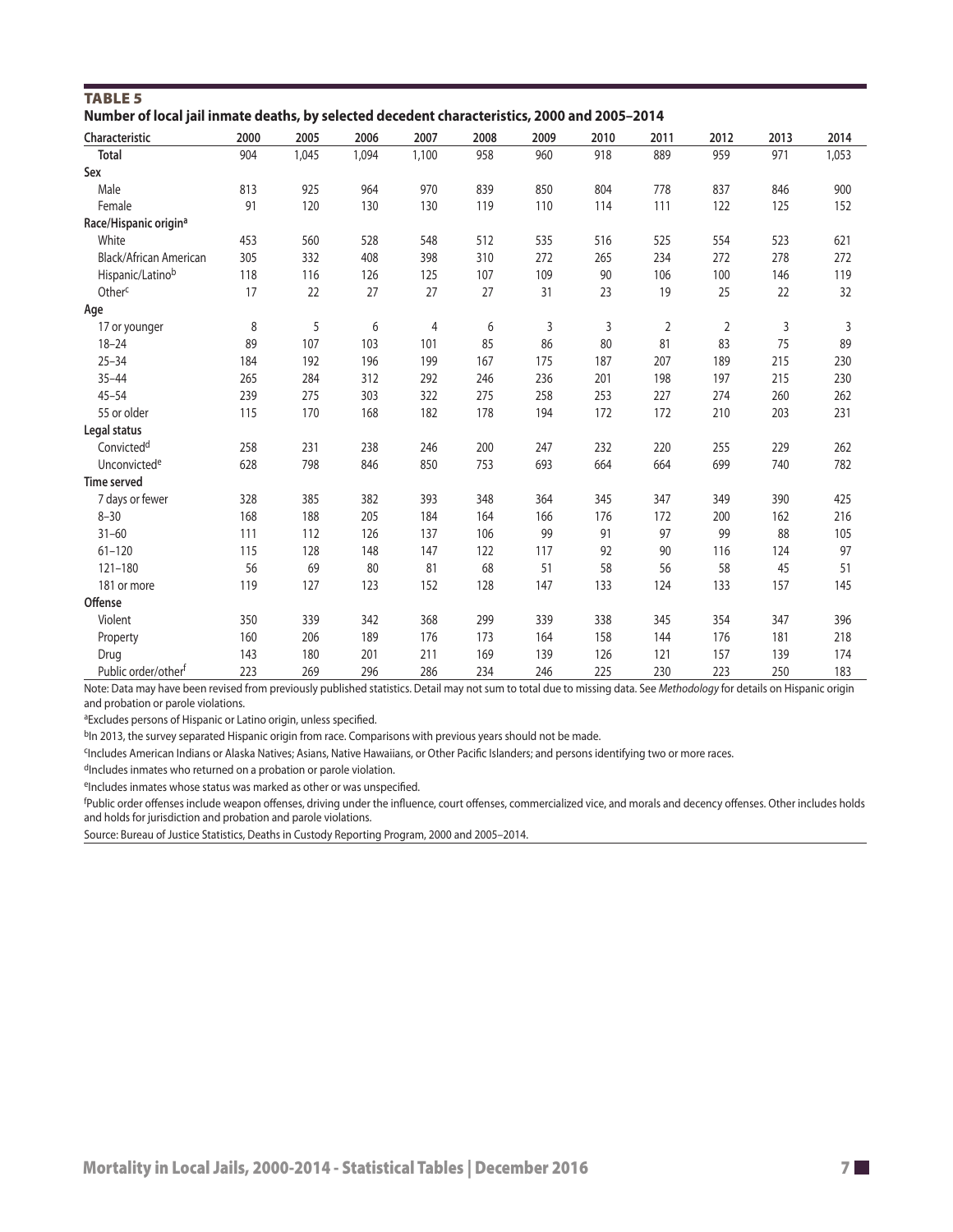| Number of local Jail Inmate deaths, by selected decedent characteristics, 2000 and 2005–2014 |      |       |       |       |      |      |      |            |                |      |       |  |
|----------------------------------------------------------------------------------------------|------|-------|-------|-------|------|------|------|------------|----------------|------|-------|--|
| Characteristic                                                                               | 2000 | 2005  | 2006  | 2007  | 2008 | 2009 | 2010 | 2011       | 2012           | 2013 | 2014  |  |
| <b>Total</b>                                                                                 | 904  | 1,045 | 1,094 | 1,100 | 958  | 960  | 918  | 889        | 959            | 971  | 1,053 |  |
| Sex                                                                                          |      |       |       |       |      |      |      |            |                |      |       |  |
| Male                                                                                         | 813  | 925   | 964   | 970   | 839  | 850  | 804  | 778        | 837            | 846  | 900   |  |
| Female                                                                                       | 91   | 120   | 130   | 130   | 119  | 110  | 114  | 111        | 122            | 125  | 152   |  |
| Race/Hispanic origin <sup>a</sup>                                                            |      |       |       |       |      |      |      |            |                |      |       |  |
| White                                                                                        | 453  | 560   | 528   | 548   | 512  | 535  | 516  | 525        | 554            | 523  | 621   |  |
| Black/African American                                                                       | 305  | 332   | 408   | 398   | 310  | 272  | 265  | 234        | 272            | 278  | 272   |  |
| Hispanic/Latinob                                                                             | 118  | 116   | 126   | 125   | 107  | 109  | 90   | 106        | 100            | 146  | 119   |  |
| Other <sup>c</sup>                                                                           | 17   | 22    | 27    | 27    | 27   | 31   | 23   | 19         | 25             | 22   | 32    |  |
| Age                                                                                          |      |       |       |       |      |      |      |            |                |      |       |  |
| 17 or younger                                                                                | 8    | 5     | 6     | 4     | 6    | 3    | 3    | $\sqrt{2}$ | $\overline{2}$ | 3    | 3     |  |
| $18 - 24$                                                                                    | 89   | 107   | 103   | 101   | 85   | 86   | 80   | 81         | 83             | 75   | 89    |  |
| $25 - 34$                                                                                    | 184  | 192   | 196   | 199   | 167  | 175  | 187  | 207        | 189            | 215  | 230   |  |
| $35 - 44$                                                                                    | 265  | 284   | 312   | 292   | 246  | 236  | 201  | 198        | 197            | 215  | 230   |  |
| $45 - 54$                                                                                    | 239  | 275   | 303   | 322   | 275  | 258  | 253  | 227        | 274            | 260  | 262   |  |
| 55 or older                                                                                  | 115  | 170   | 168   | 182   | 178  | 194  | 172  | 172        | 210            | 203  | 231   |  |
| Legal status                                                                                 |      |       |       |       |      |      |      |            |                |      |       |  |
| Convicted <sup>d</sup>                                                                       | 258  | 231   | 238   | 246   | 200  | 247  | 232  | 220        | 255            | 229  | 262   |  |
| Unconvicted <sup>e</sup>                                                                     | 628  | 798   | 846   | 850   | 753  | 693  | 664  | 664        | 699            | 740  | 782   |  |
| Time served                                                                                  |      |       |       |       |      |      |      |            |                |      |       |  |
| 7 days or fewer                                                                              | 328  | 385   | 382   | 393   | 348  | 364  | 345  | 347        | 349            | 390  | 425   |  |
| $8 - 30$                                                                                     | 168  | 188   | 205   | 184   | 164  | 166  | 176  | 172        | 200            | 162  | 216   |  |
| $31 - 60$                                                                                    | 111  | 112   | 126   | 137   | 106  | 99   | 91   | 97         | 99             | 88   | 105   |  |
| $61 - 120$                                                                                   | 115  | 128   | 148   | 147   | 122  | 117  | 92   | 90         | 116            | 124  | 97    |  |
| $121 - 180$                                                                                  | 56   | 69    | 80    | 81    | 68   | 51   | 58   | 56         | 58             | 45   | 51    |  |
| 181 or more                                                                                  | 119  | 127   | 123   | 152   | 128  | 147  | 133  | 124        | 133            | 157  | 145   |  |
| Offense                                                                                      |      |       |       |       |      |      |      |            |                |      |       |  |
| Violent                                                                                      | 350  | 339   | 342   | 368   | 299  | 339  | 338  | 345        | 354            | 347  | 396   |  |
| Property                                                                                     | 160  | 206   | 189   | 176   | 173  | 164  | 158  | 144        | 176            | 181  | 218   |  |
| Drug                                                                                         | 143  | 180   | 201   | 211   | 169  | 139  | 126  | 121        | 157            | 139  | 174   |  |
| Public order/other <sup>f</sup>                                                              | 223  | 269   | 296   | 286   | 234  | 246  | 225  | 230        | 223            | 250  | 183   |  |

| <b>TABLE 5</b>                                                                               |  |
|----------------------------------------------------------------------------------------------|--|
| Number of local jail inmate deaths, by selected decedent characteristics, 2000 and 2005-2014 |  |

Note: Data may have been revised from previously published statistics. Detail may not sum to total due to missing data. See *Methodology* for details on Hispanic origin and probation or parole violations.

aExcludes persons of Hispanic or Latino origin, unless specified.

b<sub>In</sub> 2013, the survey separated Hispanic origin from race. Comparisons with previous years should not be made.

<sup>c</sup>Includes American Indians or Alaska Natives; Asians, Native Hawaiians, or Other Pacific Islanders; and persons identifying two or more races.

dIncludes inmates who returned on a probation or parole violation.

eIncludes inmates whose status was marked as other or was unspecified.

f Public order ofenses include weapon ofenses, driving under the infuence, court ofenses, commercialized vice, and morals and decency ofenses. Other includes holds and holds for jurisdiction and probation and parole violations.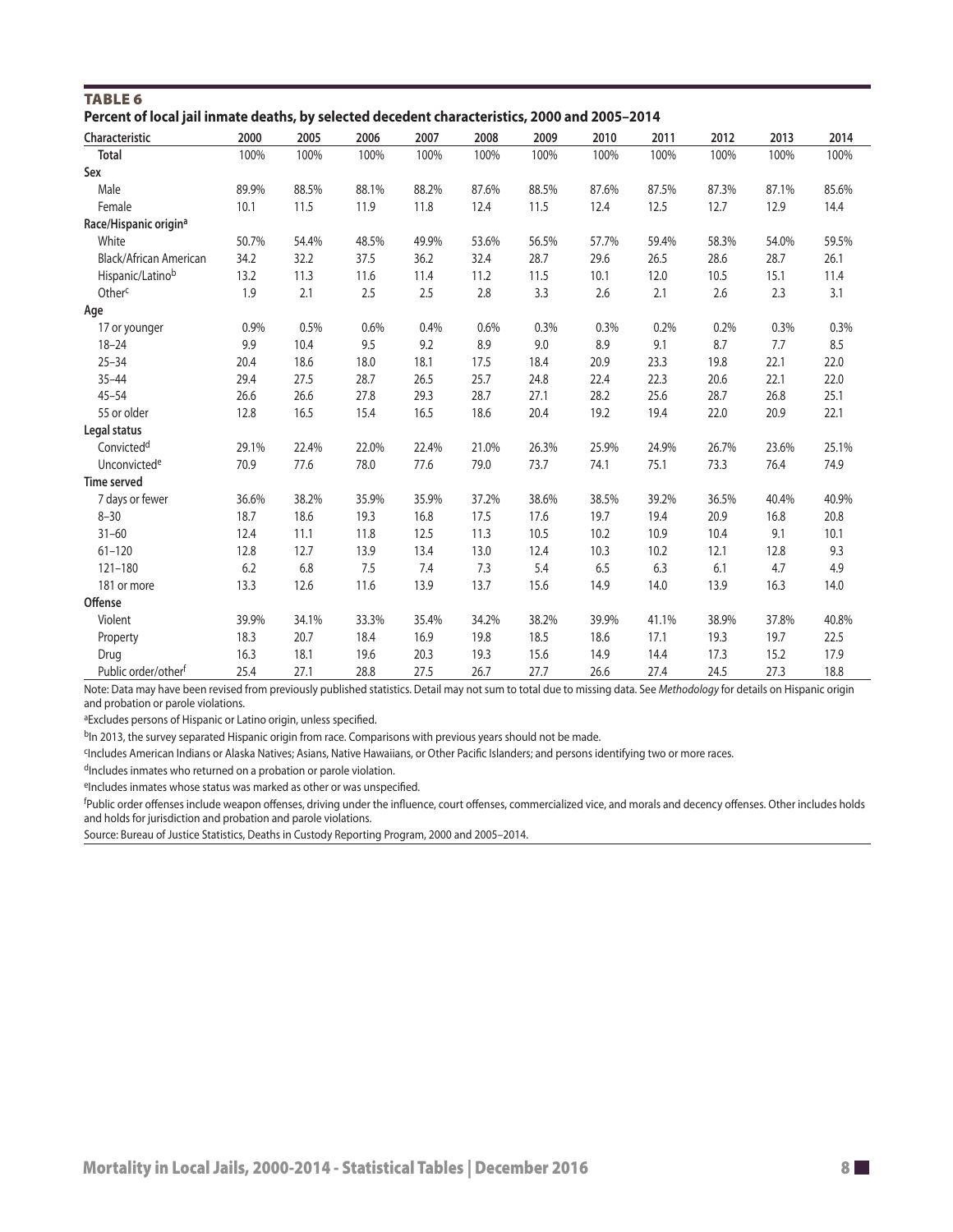| Percent of local Jail inmate deaths, by selected decedent characteristics, 2000 and 2005–2014 |       |       |       |       |       |       |       |       |       |       |       |
|-----------------------------------------------------------------------------------------------|-------|-------|-------|-------|-------|-------|-------|-------|-------|-------|-------|
| Characteristic                                                                                | 2000  | 2005  | 2006  | 2007  | 2008  | 2009  | 2010  | 2011  | 2012  | 2013  | 2014  |
| <b>Total</b>                                                                                  | 100%  | 100%  | 100%  | 100%  | 100%  | 100%  | 100%  | 100%  | 100%  | 100%  | 100%  |
| Sex                                                                                           |       |       |       |       |       |       |       |       |       |       |       |
| Male                                                                                          | 89.9% | 88.5% | 88.1% | 88.2% | 87.6% | 88.5% | 87.6% | 87.5% | 87.3% | 87.1% | 85.6% |
| Female                                                                                        | 10.1  | 11.5  | 11.9  | 11.8  | 12.4  | 11.5  | 12.4  | 12.5  | 12.7  | 12.9  | 14.4  |
| Race/Hispanic origin <sup>a</sup>                                                             |       |       |       |       |       |       |       |       |       |       |       |
| White                                                                                         | 50.7% | 54.4% | 48.5% | 49.9% | 53.6% | 56.5% | 57.7% | 59.4% | 58.3% | 54.0% | 59.5% |
| Black/African American                                                                        | 34.2  | 32.2  | 37.5  | 36.2  | 32.4  | 28.7  | 29.6  | 26.5  | 28.6  | 28.7  | 26.1  |
| Hispanic/Latinob                                                                              | 13.2  | 11.3  | 11.6  | 11.4  | 11.2  | 11.5  | 10.1  | 12.0  | 10.5  | 15.1  | 11.4  |
| Other <sup>c</sup>                                                                            | 1.9   | 2.1   | 2.5   | 2.5   | 2.8   | 3.3   | 2.6   | 2.1   | 2.6   | 2.3   | 3.1   |
| Age                                                                                           |       |       |       |       |       |       |       |       |       |       |       |
| 17 or younger                                                                                 | 0.9%  | 0.5%  | 0.6%  | 0.4%  | 0.6%  | 0.3%  | 0.3%  | 0.2%  | 0.2%  | 0.3%  | 0.3%  |
| $18 - 24$                                                                                     | 9.9   | 10.4  | 9.5   | 9.2   | 8.9   | 9.0   | 8.9   | 9.1   | 8.7   | 7.7   | 8.5   |
| $25 - 34$                                                                                     | 20.4  | 18.6  | 18.0  | 18.1  | 17.5  | 18.4  | 20.9  | 23.3  | 19.8  | 22.1  | 22.0  |
| $35 - 44$                                                                                     | 29.4  | 27.5  | 28.7  | 26.5  | 25.7  | 24.8  | 22.4  | 22.3  | 20.6  | 22.1  | 22.0  |
| $45 - 54$                                                                                     | 26.6  | 26.6  | 27.8  | 29.3  | 28.7  | 27.1  | 28.2  | 25.6  | 28.7  | 26.8  | 25.1  |
| 55 or older                                                                                   | 12.8  | 16.5  | 15.4  | 16.5  | 18.6  | 20.4  | 19.2  | 19.4  | 22.0  | 20.9  | 22.1  |
| Legal status                                                                                  |       |       |       |       |       |       |       |       |       |       |       |
| Convicted <sup>d</sup>                                                                        | 29.1% | 22.4% | 22.0% | 22.4% | 21.0% | 26.3% | 25.9% | 24.9% | 26.7% | 23.6% | 25.1% |
| Unconvicted <sup>e</sup>                                                                      | 70.9  | 77.6  | 78.0  | 77.6  | 79.0  | 73.7  | 74.1  | 75.1  | 73.3  | 76.4  | 74.9  |
| Time served                                                                                   |       |       |       |       |       |       |       |       |       |       |       |
| 7 days or fewer                                                                               | 36.6% | 38.2% | 35.9% | 35.9% | 37.2% | 38.6% | 38.5% | 39.2% | 36.5% | 40.4% | 40.9% |
| $8 - 30$                                                                                      | 18.7  | 18.6  | 19.3  | 16.8  | 17.5  | 17.6  | 19.7  | 19.4  | 20.9  | 16.8  | 20.8  |
| $31 - 60$                                                                                     | 12.4  | 11.1  | 11.8  | 12.5  | 11.3  | 10.5  | 10.2  | 10.9  | 10.4  | 9.1   | 10.1  |
| $61 - 120$                                                                                    | 12.8  | 12.7  | 13.9  | 13.4  | 13.0  | 12.4  | 10.3  | 10.2  | 12.1  | 12.8  | 9.3   |
| $121 - 180$                                                                                   | 6.2   | 6.8   | 7.5   | 7.4   | 7.3   | 5.4   | 6.5   | 6.3   | 6.1   | 4.7   | 4.9   |
| 181 or more                                                                                   | 13.3  | 12.6  | 11.6  | 13.9  | 13.7  | 15.6  | 14.9  | 14.0  | 13.9  | 16.3  | 14.0  |
| Offense                                                                                       |       |       |       |       |       |       |       |       |       |       |       |
| Violent                                                                                       | 39.9% | 34.1% | 33.3% | 35.4% | 34.2% | 38.2% | 39.9% | 41.1% | 38.9% | 37.8% | 40.8% |
| Property                                                                                      | 18.3  | 20.7  | 18.4  | 16.9  | 19.8  | 18.5  | 18.6  | 17.1  | 19.3  | 19.7  | 22.5  |
| Drug                                                                                          | 16.3  | 18.1  | 19.6  | 20.3  | 19.3  | 15.6  | 14.9  | 14.4  | 17.3  | 15.2  | 17.9  |
| Public order/other <sup>f</sup>                                                               | 25.4  | 27.1  | 28.8  | 27.5  | 26.7  | 27.7  | 26.6  | 27.4  | 24.5  | 27.3  | 18.8  |

TABLE 6 **Percent of local jail inmate deaths, by selected decedent characteristics, 2000 and 2005–2014** 

Note: Data may have been revised from previously published statistics. Detail may not sum to total due to missing data. See *Methodology* for details on Hispanic origin and probation or parole violations.

aExcludes persons of Hispanic or Latino origin, unless specified.

bIn 2013, the survey separated Hispanic origin from race. Comparisons with previous years should not be made.

cIncludes American Indians or Alaska Natives; Asians, Native Hawaiians, or Other Pacifc Islanders; and persons identifying two or more races.

dIncludes inmates who returned on a probation or parole violation.

eIncludes inmates whose status was marked as other or was unspecified.

f Public order ofenses include weapon ofenses, driving under the infuence, court ofenses, commercialized vice, and morals and decency ofenses. Other includes holds and holds for jurisdiction and probation and parole violations.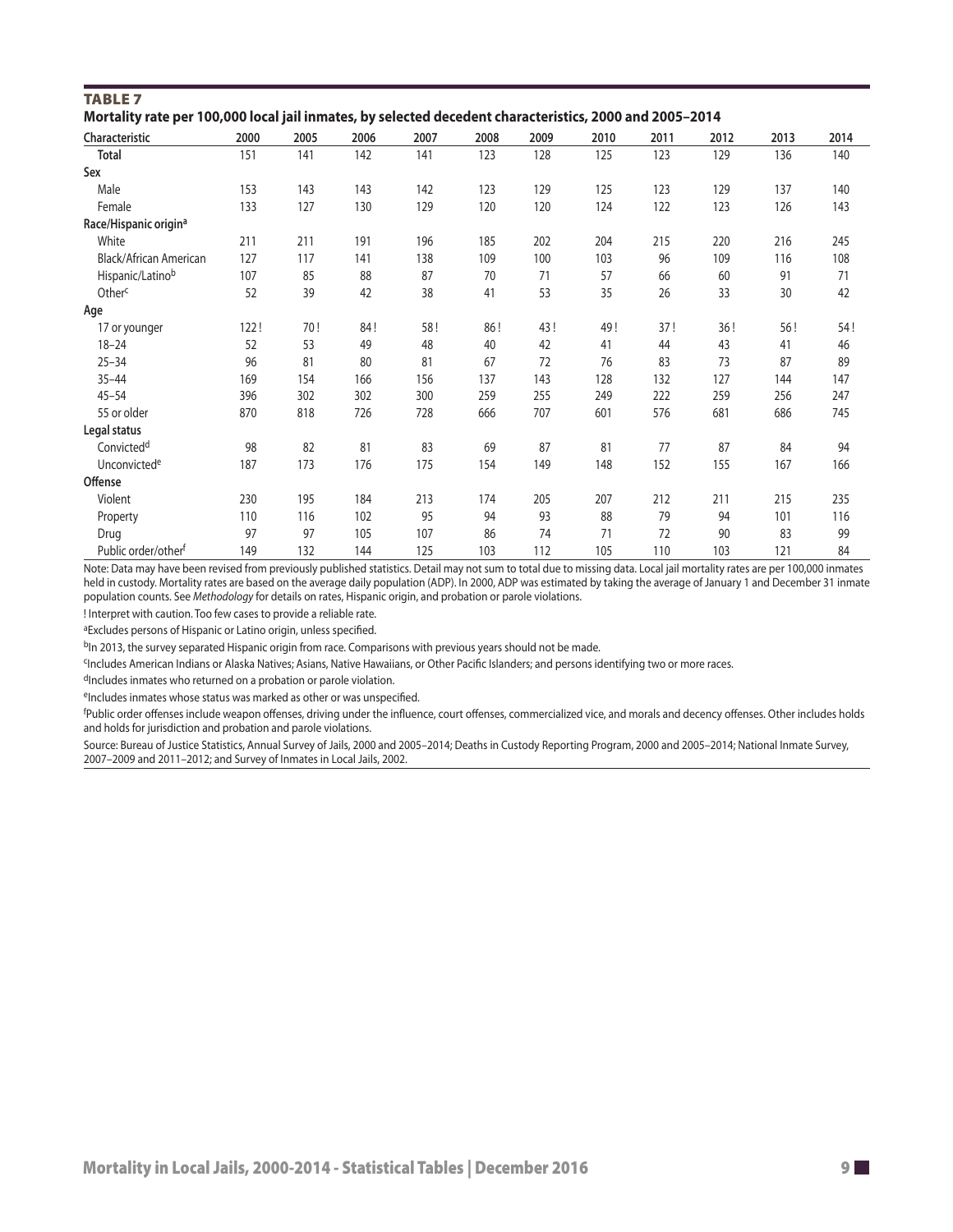| <b>TABLE 7</b><br>Mortality rate per 100,000 local jail inmates, by selected decedent characteristics, 2000 and 2005-2014 |      |      |      |      |      |      |      |      |      |      |      |
|---------------------------------------------------------------------------------------------------------------------------|------|------|------|------|------|------|------|------|------|------|------|
| Characteristic                                                                                                            | 2000 | 2005 | 2006 | 2007 | 2008 | 2009 | 2010 | 2011 | 2012 | 2013 | 2014 |
| <b>Total</b>                                                                                                              | 151  | 141  | 142  | 141  | 123  | 128  | 125  | 123  | 129  | 136  | 140  |
| Sex                                                                                                                       |      |      |      |      |      |      |      |      |      |      |      |
| Male                                                                                                                      | 153  | 143  | 143  | 142  | 123  | 129  | 125  | 123  | 129  | 137  | 140  |
| Female                                                                                                                    | 133  | 127  | 130  | 129  | 120  | 120  | 124  | 122  | 123  | 126  | 143  |
| Race/Hispanic origin <sup>a</sup>                                                                                         |      |      |      |      |      |      |      |      |      |      |      |
| White                                                                                                                     | 211  | 211  | 191  | 196  | 185  | 202  | 204  | 215  | 220  | 216  | 245  |
| Black/African American                                                                                                    | 127  | 117  | 141  | 138  | 109  | 100  | 103  | 96   | 109  | 116  | 108  |
| Hispanic/Latinob                                                                                                          | 107  | 85   | 88   | 87   | 70   | 71   | 57   | 66   | 60   | 91   | 71   |
| Other <sup>c</sup>                                                                                                        | 52   | 39   | 42   | 38   | 41   | 53   | 35   | 26   | 33   | 30   | 42   |
| Age                                                                                                                       |      |      |      |      |      |      |      |      |      |      |      |
| 17 or younger                                                                                                             | 122! | 70!  | 84!  | 58!  | 86!  | 43!  | 49!  | 37!  | 36!  | 56!  | 54!  |
| $18 - 24$                                                                                                                 | 52   | 53   | 49   | 48   | 40   | 42   | 41   | 44   | 43   | 41   | 46   |
| $25 - 34$                                                                                                                 | 96   | 81   | 80   | 81   | 67   | 72   | 76   | 83   | 73   | 87   | 89   |
| $35 - 44$                                                                                                                 | 169  | 154  | 166  | 156  | 137  | 143  | 128  | 132  | 127  | 144  | 147  |
| $45 - 54$                                                                                                                 | 396  | 302  | 302  | 300  | 259  | 255  | 249  | 222  | 259  | 256  | 247  |
| 55 or older                                                                                                               | 870  | 818  | 726  | 728  | 666  | 707  | 601  | 576  | 681  | 686  | 745  |
| Legal status                                                                                                              |      |      |      |      |      |      |      |      |      |      |      |
| Convicted <sup>d</sup>                                                                                                    | 98   | 82   | 81   | 83   | 69   | 87   | 81   | 77   | 87   | 84   | 94   |
| Unconvictede                                                                                                              | 187  | 173  | 176  | 175  | 154  | 149  | 148  | 152  | 155  | 167  | 166  |
| Offense                                                                                                                   |      |      |      |      |      |      |      |      |      |      |      |
| Violent                                                                                                                   | 230  | 195  | 184  | 213  | 174  | 205  | 207  | 212  | 211  | 215  | 235  |
| Property                                                                                                                  | 110  | 116  | 102  | 95   | 94   | 93   | 88   | 79   | 94   | 101  | 116  |
| Drug                                                                                                                      | 97   | 97   | 105  | 107  | 86   | 74   | 71   | 72   | 90   | 83   | 99   |
| Public order/other <sup>f</sup>                                                                                           | 149  | 132  | 144  | 125  | 103  | 112  | 105  | 110  | 103  | 121  | 84   |

Note: Data may have been revised from previously published statistics. Detail may not sum to total due to missing data. Local jail mortality rates are per 100,000 inmates held in custody. Mortality rates are based on the average daily population (ADP). In 2000, ADP was estimated by taking the average of January 1 and December 31 inmate population counts. See *Methodology* for details on rates, Hispanic origin, and probation or parole violations.

! Interpret with caution. Too few cases to provide a reliable rate.

aExcludes persons of Hispanic or Latino origin, unless specified.

<sup>b</sup>In 2013, the survey separated Hispanic origin from race. Comparisons with previous years should not be made.

cIncludes American Indians or Alaska Natives; Asians, Native Hawaiians, or Other Pacifc Islanders; and persons identifying two or more races.

dIncludes inmates who returned on a probation or parole violation.

eIncludes inmates whose status was marked as other or was unspecified.

f Public order ofenses include weapon ofenses, driving under the infuence, court ofenses, commercialized vice, and morals and decency ofenses. Other includes holds and holds for jurisdiction and probation and parole violations.

Source: Bureau of Justice Statistics, Annual Survey of Jails, 2000 and 2005–2014; Deaths in Custody Reporting Program, 2000 and 2005–2014; National Inmate Survey, 2007–2009 and 2011–2012; and Survey of Inmates in Local Jails, 2002.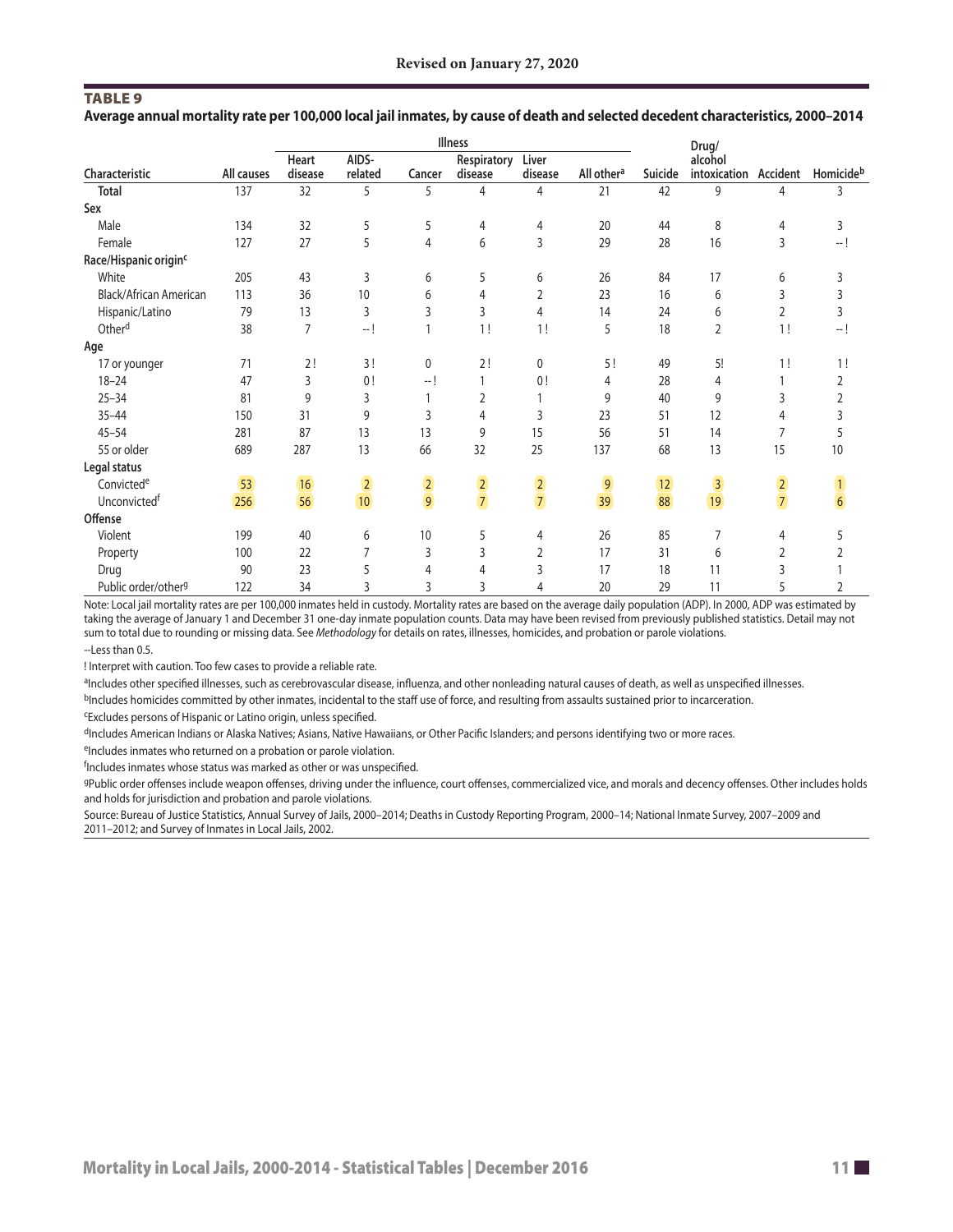S S S S S S S S S S S S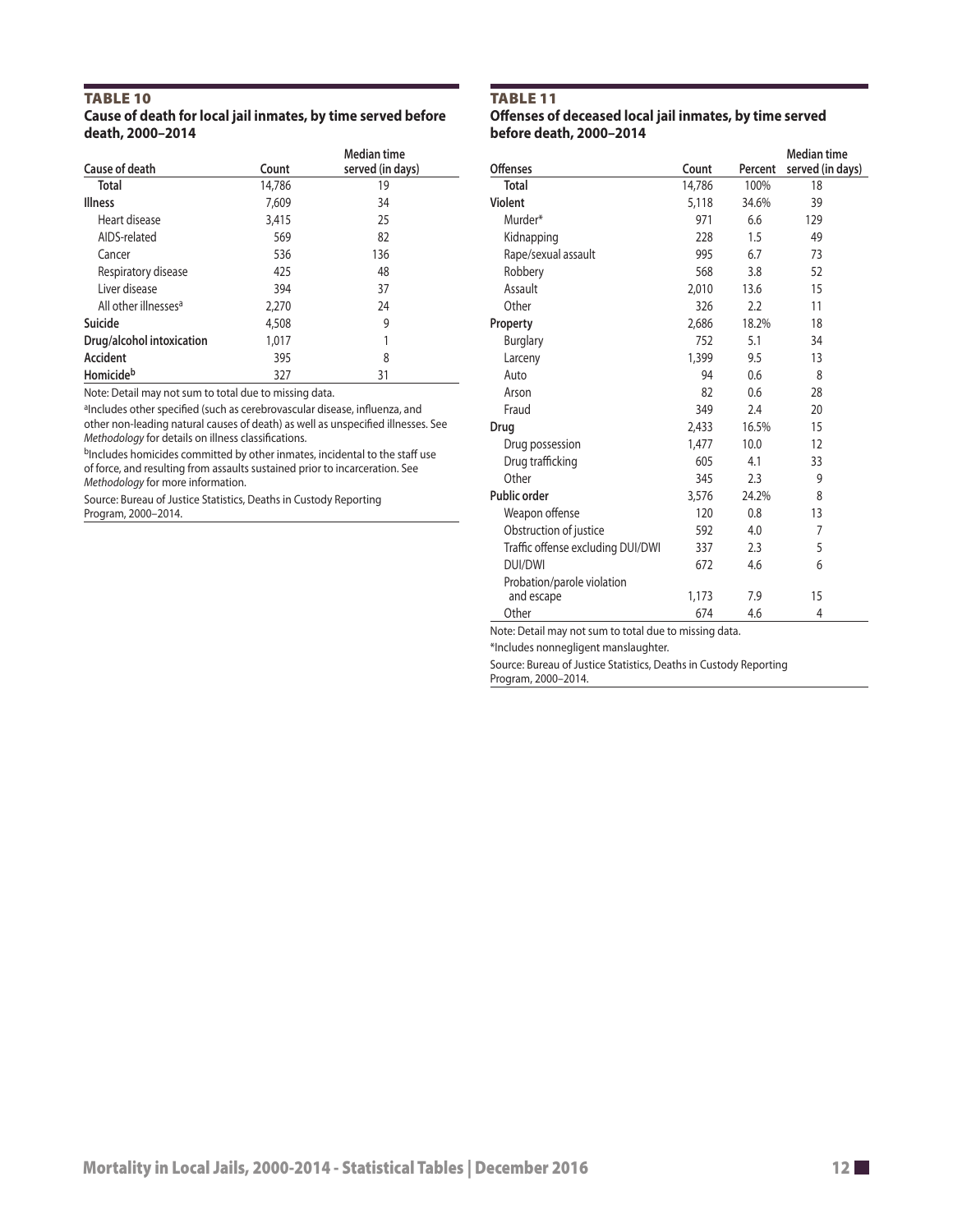#### TABLE 10<br>Cause of death for local jail inmates, by time served before TABLE 11<br>Cause of deceased local jail inmates, by time served **Cause of death for local jail inmates, by time served before death, 2000–2014 before death, 2000–2014**

|                                  |        | <b>Median time</b> |                     |        |         | <b>Median time</b> |
|----------------------------------|--------|--------------------|---------------------|--------|---------|--------------------|
| Cause of death                   | Count  | served (in days)   | <b>Offenses</b>     | Count  | Percent | served (in days)   |
| <b>Total</b>                     | 14,786 | 19                 | <b>Total</b>        | 14,786 | 100%    | 18                 |
| <b>Illness</b>                   | 7,609  | 34                 | <b>Violent</b>      | 5,118  | 34.6%   | 39                 |
| Heart disease                    | 3,415  | 25                 | Murder*             | 971    | 6.6     | 129                |
| AIDS-related                     | 569    | 82                 | Kidnapping          | 228    | 1.5     | 49                 |
| Cancer                           | 536    | 136                | Rape/sexual assault | 995    | 6.7     | 73                 |
| Respiratory disease              | 425    | 48                 | Robbery             | 568    | 3.8     | 52                 |
| Liver disease                    | 394    | 37                 | Assault             | 2,010  | 13.6    | 15                 |
| All other illnesses <sup>a</sup> | 2,270  | 24                 | Other               | 326    | 2.2     | 11                 |
| Suicide                          | 4,508  | 9                  | Property            | 2,686  | 18.2%   | 18                 |
| Drug/alcohol intoxication        | 1,017  |                    | <b>Burglary</b>     | 752    | 5.1     | 34                 |
| <b>Accident</b>                  | 395    | 8                  | Larceny             | 1,399  | 9.5     | 13                 |
| Homicideb                        | 327    | 31                 | Auto                | 94     | 0.6     | 8                  |

Note: Detail may not sum to total due to missing data.<br><sup>a</sup>Includes other specified (such as cerebrovascular disease, influenza, and other non-leading natural causes of death) as well as unspecified illnesses. See

Methodology for details on illness classifications.<br><sup>b</sup>Includes homicides committed by other inmates, incidental to the staff use<br>of force, and resulting from assaults sustained prior to incarceration. See *Methodology* for more information.

Source: Bureau of Justice Statistics, Deaths in Custody Reporting Program, 2000–2014.

| Median time<br>served (in days)            | Offenses                          | Count  | Percent | <b>Median time</b><br>served (in days) |
|--------------------------------------------|-----------------------------------|--------|---------|----------------------------------------|
| 19                                         | <b>Total</b>                      | 14,786 | 100%    | 18                                     |
| 34                                         | <b>Violent</b>                    | 5,118  | 34.6%   | 39                                     |
| 25                                         | Murder*                           | 971    | 6.6     | 129                                    |
| 82                                         | Kidnapping                        | 228    | 1.5     | 49                                     |
| 136                                        | Rape/sexual assault               | 995    | 6.7     | 73                                     |
| 48                                         | Robbery                           | 568    | 3.8     | 52                                     |
| 37                                         | Assault                           | 2,010  | 13.6    | 15                                     |
| 24                                         | Other                             | 326    | 2.2     | 11                                     |
| 9                                          | Property                          | 2,686  | 18.2%   | 18                                     |
|                                            | <b>Burglary</b>                   | 752    | 5.1     | 34                                     |
| 8                                          | Larceny                           | 1,399  | 9.5     | 13                                     |
| 31                                         | Auto                              | 94     | 0.6     | 8                                      |
|                                            | Arson                             | 82     | 0.6     | 28                                     |
| e, influenza, and                          | Fraud                             | 349    | 2.4     | 20                                     |
| specified illnesses. See                   | Drug                              | 2,433  | 16.5%   | 15                                     |
|                                            | Drug possession                   | 1,477  | 10.0    | 12                                     |
| ental to the staff use<br>carceration. See | Drug trafficking                  | 605    | 4.1     | 33                                     |
|                                            | Other                             | 345    | 2.3     | 9                                      |
| porting                                    | Public order                      | 3,576  | 24.2%   | 8                                      |
|                                            | Weapon offense                    | 120    | 0.8     | 13                                     |
|                                            | Obstruction of justice            | 592    | 4.0     | $\overline{7}$                         |
|                                            | Traffic offense excluding DUI/DWI | 337    | 2.3     | 5                                      |
|                                            | <b>DUI/DWI</b>                    | 672    | 4.6     | 6                                      |
|                                            | Probation/parole violation        |        |         |                                        |
|                                            | and escape                        | 1,173  | 7.9     | 15                                     |
|                                            | Other                             | 674    | 4.6     | $\overline{4}$                         |

Note: Detail may not sum to total due to missing data.

\*Includes nonnegligent manslaughter.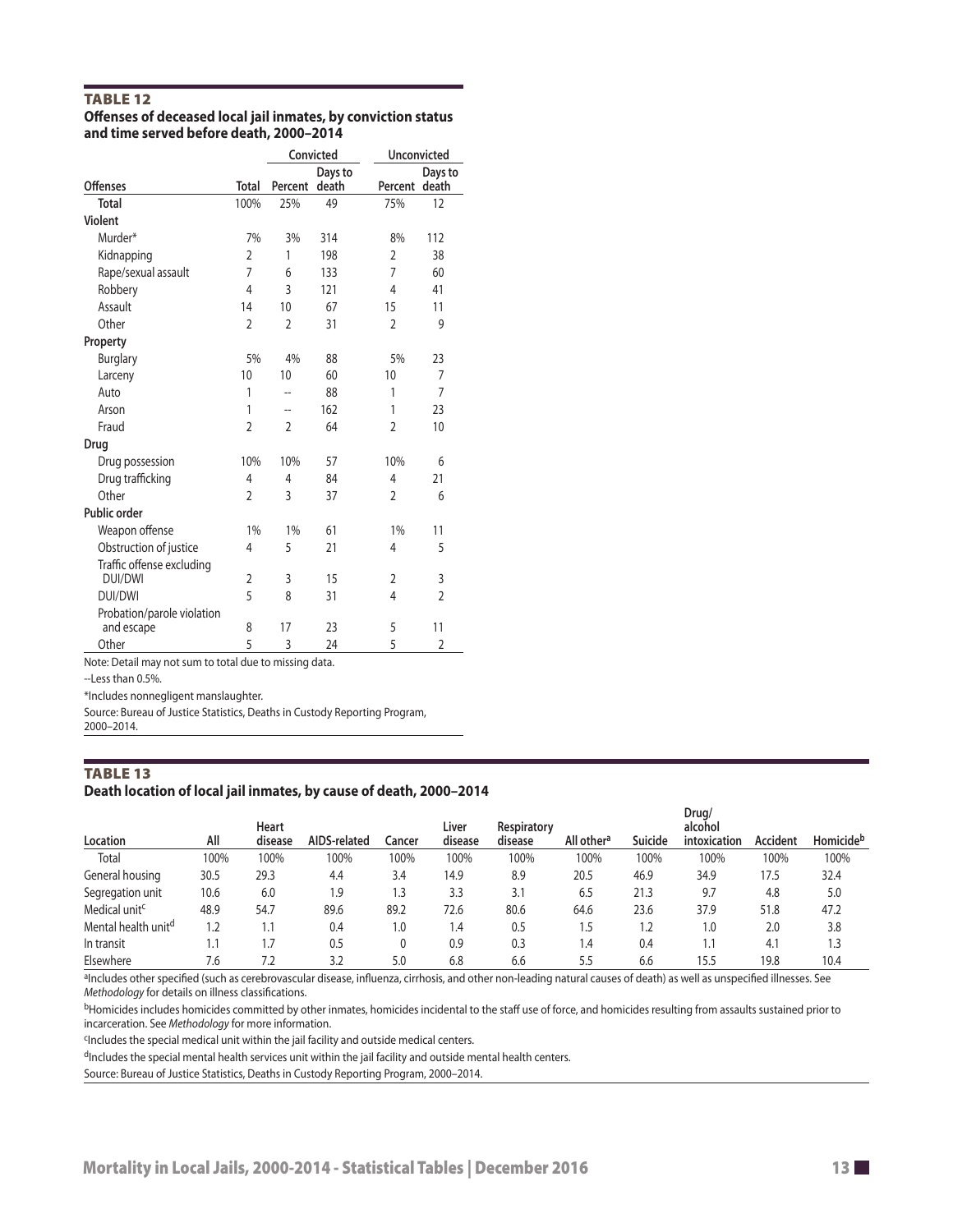#### TABLE 12

|                                         | Offenses of deceased local jail inmates, by conviction status |
|-----------------------------------------|---------------------------------------------------------------|
| and time served before death, 2000–2014 |                                                               |

|                                             |                |                | Convicted        | <b>Unconvicted</b> |                  |  |
|---------------------------------------------|----------------|----------------|------------------|--------------------|------------------|--|
| <b>Offenses</b>                             | Total          | Percent        | Days to<br>death | Percent            | Days to<br>death |  |
| <b>Total</b>                                | 100%           | 25%            | 49               | 75%                | 12               |  |
| Violent                                     |                |                |                  |                    |                  |  |
| Murder*                                     | 7%             | 3%             | 314              | 8%                 | 112              |  |
| Kidnapping                                  | 2              | 1              | 198              | $\mathfrak{D}$     | 38               |  |
| Rape/sexual assault                         | 7              | 6              | 133              | 7                  | 60               |  |
| Robbery                                     | 4              | 3              | 121              | 4                  | 41               |  |
| Assault                                     | 14             | 10             | 67               | 15                 | 11               |  |
| Other                                       | $\overline{2}$ | $\overline{2}$ | 31               | $\overline{2}$     | 9                |  |
| Property                                    |                |                |                  |                    |                  |  |
| <b>Burglary</b>                             | 5%             | 4%             | 88               | 5%                 | 23               |  |
| Larceny                                     | 10             | 10             | 60               | 10                 | 7                |  |
| Auto                                        | 1              | --             | 88               | 1                  | $\overline{7}$   |  |
| Arson                                       | 1              |                | 162              | 1                  | 23               |  |
| Fraud                                       | $\overline{2}$ | $\mathfrak{D}$ | 64               | $\mathfrak{D}$     | 10               |  |
| Drug                                        |                |                |                  |                    |                  |  |
| Drug possession                             | 10%            | 10%            | 57               | 10%                | 6                |  |
| Drug trafficking                            | 4              | 4              | 84               | 4                  | 21               |  |
| Other                                       | 2              | 3              | 37               | $\overline{2}$     | 6                |  |
| Public order                                |                |                |                  |                    |                  |  |
| Weapon offense                              | 1%             | 1%             | 61               | 1%                 | 11               |  |
| Obstruction of justice                      | 4              | 5              | 21               | 4                  | 5                |  |
| Traffic offense excluding<br><b>DUI/DWI</b> | $\overline{2}$ | 3              | 15               | $\overline{2}$     | 3                |  |
| <b>DUI/DWI</b>                              | 5              | 8              | 31               | 4                  | $\overline{2}$   |  |
| Probation/parole violation<br>and escape    | 8              | 17             | 23               | 5                  | 11               |  |
| Other                                       | 5              | 3              | 24               | 5                  | $\overline{2}$   |  |

Note: Detail may not sum to total due to missing data.

--Less than 0.5%.

\*Includes nonnegligent manslaughter.

Source: Bureau of Justice Statistics, Deaths in Custody Reporting Program,

### 2000–2014.

#### TABLE 13 **Death location of local jail inmates, by cause of death, 2000–2014**

| Location                        | All  | Heart<br>disease | AIDS-related | Cancer | Liver<br>disease | Respiratory<br>disease | All other <sup>a</sup>        | Suicide | Drua/<br>alcohol<br>intoxication | Accident | Homicide <sup>b</sup> |
|---------------------------------|------|------------------|--------------|--------|------------------|------------------------|-------------------------------|---------|----------------------------------|----------|-----------------------|
| Total                           | 100% | 100%             | 100%         | 100%   | 100%             | 100%                   | 100%                          | 100%    | 100%                             | 100%     | 100%                  |
| General housing                 | 30.5 | 29.3             | 4.4          | 3.4    | 14.9             | 8.9                    | 20.5                          | 46.9    | 34.9                             | 17.5     | 32.4                  |
| Segregation unit                | 10.6 | 6.0              | 1.9          | د.۱    | 3.3              | 3.1                    | 6.5                           | 21.3    | 9.7                              | 4.8      | 5.0                   |
| Medical unit <sup>c</sup>       | 48.9 | 54.7             | 89.6         | 89.2   | 72.6             | 80.6                   | 64.6                          | 23.6    | 37.9                             | 51.8     | 47.2                  |
| Mental health unit <sup>d</sup> | 1.2  |                  | 0.4          | 1.0    | 1.4              | 0.5                    | 1.5                           | 1.2     | 1.0                              | 2.0      | 3.8                   |
| In transit                      | 1.1  |                  | 0.5          | 0      | 0.9              | 0.3                    | $\mathsf{I} \cdot \mathsf{A}$ | 0.4     | 1.1                              | 4.1      | 1.3                   |
| Elsewhere                       | 7.6  |                  | 3.2          | 5.0    | 6.8              | 6.6                    | 5.5                           | 6.6     | 15.5                             | 19.8     | 10.4                  |

alncludes other specified (such as cerebrovascular disease, influenza, cirrhosis, and other non-leading natural causes of death) as well as unspecified illnesses. See *Methodology* for details on illness classifcations.

bHomicides includes homicides committed by other inmates, homicides incidental to the staff use of force, and homicides resulting from assaults sustained prior to incarceration. See *Methodology* for more information.

cIncludes the special medical unit within the jail facility and outside medical centers.

dIncludes the special mental health services unit within the jail facility and outside mental health centers.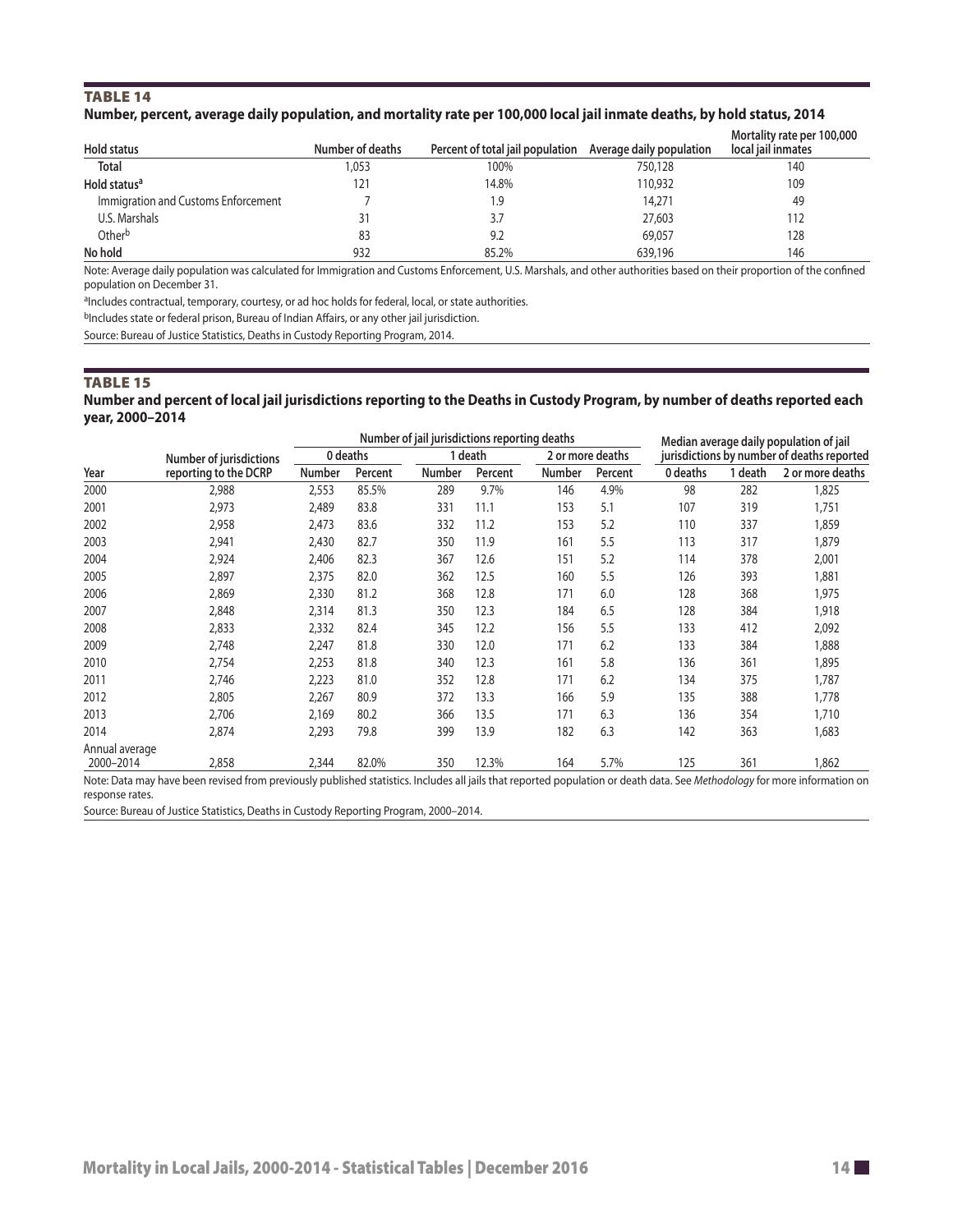#### TABLE 14 **Number, percent, average daily population, and mortality rate per 100,000 local jail inmate deaths, by hold status, 2014**

| Hold status                         | Number of deaths | Percent of total jail population Average daily population |         | Mortality rate per 100,000<br>local jail inmates |
|-------------------------------------|------------------|-----------------------------------------------------------|---------|--------------------------------------------------|
| <b>Total</b>                        | 1,053            | 100%                                                      | 750,128 | 140                                              |
| Hold status <sup>a</sup>            | 121              | 14.8%                                                     | 110,932 | 109                                              |
| Immigration and Customs Enforcement |                  | 9.۱                                                       | 14,271  | 49                                               |
| U.S. Marshals                       | 31               | 3.7                                                       | 27,603  | 112                                              |
| Otherb                              | 83               | 9.2                                                       | 69,057  | 128                                              |
| No hold                             | 932              | 85.2%                                                     | 639,196 | 146                                              |

Note: Average daily population was calculated for Immigration and Customs Enforcement, U.S. Marshals, and other authorities based on their proportion of the confned population on December 31.

aIncludes contractual, temporary, courtesy, or ad hoc holds for federal, local, or state authorities.

bIncludes state or federal prison, Bureau of Indian Affairs, or any other jail jurisdiction.

Source: Bureau of Justice Statistics, Deaths in Custody Reporting Program, 2014.

#### TABLE 15

#### **Number and percent of local jail jurisdictions reporting to the Deaths in Custody Program, by number of deaths reported each year, 2000–2014**

|                             |                                |        | Number of jail jurisdictions reporting deaths |               |         |                  |         |                                            | Median average daily population of jail |                  |  |  |
|-----------------------------|--------------------------------|--------|-----------------------------------------------|---------------|---------|------------------|---------|--------------------------------------------|-----------------------------------------|------------------|--|--|
|                             | <b>Number of jurisdictions</b> |        | 0 deaths                                      |               | 1 death | 2 or more deaths |         | jurisdictions by number of deaths reported |                                         |                  |  |  |
| Year                        | reporting to the DCRP          | Number | Percent                                       | <b>Number</b> | Percent | Number           | Percent | 0 deaths                                   | 1 death                                 | 2 or more deaths |  |  |
| 2000                        | 2,988                          | 2,553  | 85.5%                                         | 289           | 9.7%    | 146              | 4.9%    | 98                                         | 282                                     | 1,825            |  |  |
| 2001                        | 2,973                          | 2,489  | 83.8                                          | 331           | 11.1    | 153              | 5.1     | 107                                        | 319                                     | 1,751            |  |  |
| 2002                        | 2,958                          | 2,473  | 83.6                                          | 332           | 11.2    | 153              | 5.2     | 110                                        | 337                                     | 1,859            |  |  |
| 2003                        | 2,941                          | 2,430  | 82.7                                          | 350           | 11.9    | 161              | 5.5     | 113                                        | 317                                     | 1,879            |  |  |
| 2004                        | 2,924                          | 2,406  | 82.3                                          | 367           | 12.6    | 151              | 5.2     | 114                                        | 378                                     | 2,001            |  |  |
| 2005                        | 2,897                          | 2,375  | 82.0                                          | 362           | 12.5    | 160              | 5.5     | 126                                        | 393                                     | 1,881            |  |  |
| 2006                        | 2,869                          | 2,330  | 81.2                                          | 368           | 12.8    | 171              | 6.0     | 128                                        | 368                                     | 1,975            |  |  |
| 2007                        | 2,848                          | 2,314  | 81.3                                          | 350           | 12.3    | 184              | 6.5     | 128                                        | 384                                     | 1,918            |  |  |
| 2008                        | 2,833                          | 2,332  | 82.4                                          | 345           | 12.2    | 156              | 5.5     | 133                                        | 412                                     | 2,092            |  |  |
| 2009                        | 2,748                          | 2,247  | 81.8                                          | 330           | 12.0    | 171              | 6.2     | 133                                        | 384                                     | 888,1            |  |  |
| 2010                        | 2,754                          | 2,253  | 81.8                                          | 340           | 12.3    | 161              | 5.8     | 136                                        | 361                                     | 1,895            |  |  |
| 2011                        | 2,746                          | 2,223  | 81.0                                          | 352           | 12.8    | 171              | 6.2     | 134                                        | 375                                     | 1,787            |  |  |
| 2012                        | 2,805                          | 2,267  | 80.9                                          | 372           | 13.3    | 166              | 5.9     | 135                                        | 388                                     | 1,778            |  |  |
| 2013                        | 2,706                          | 2,169  | 80.2                                          | 366           | 13.5    | 171              | 6.3     | 136                                        | 354                                     | 1,710            |  |  |
| 2014                        | 2,874                          | 2,293  | 79.8                                          | 399           | 13.9    | 182              | 6.3     | 142                                        | 363                                     | 1,683            |  |  |
| Annual average<br>2000-2014 | 2,858                          | 2,344  | 82.0%                                         | 350           | 12.3%   | 164              | 5.7%    | 125                                        | 361                                     | 1,862            |  |  |

Note: Data may have been revised from previously published statistics. Includes all jails that reported population or death data. See *Methodology* for more information on response rates.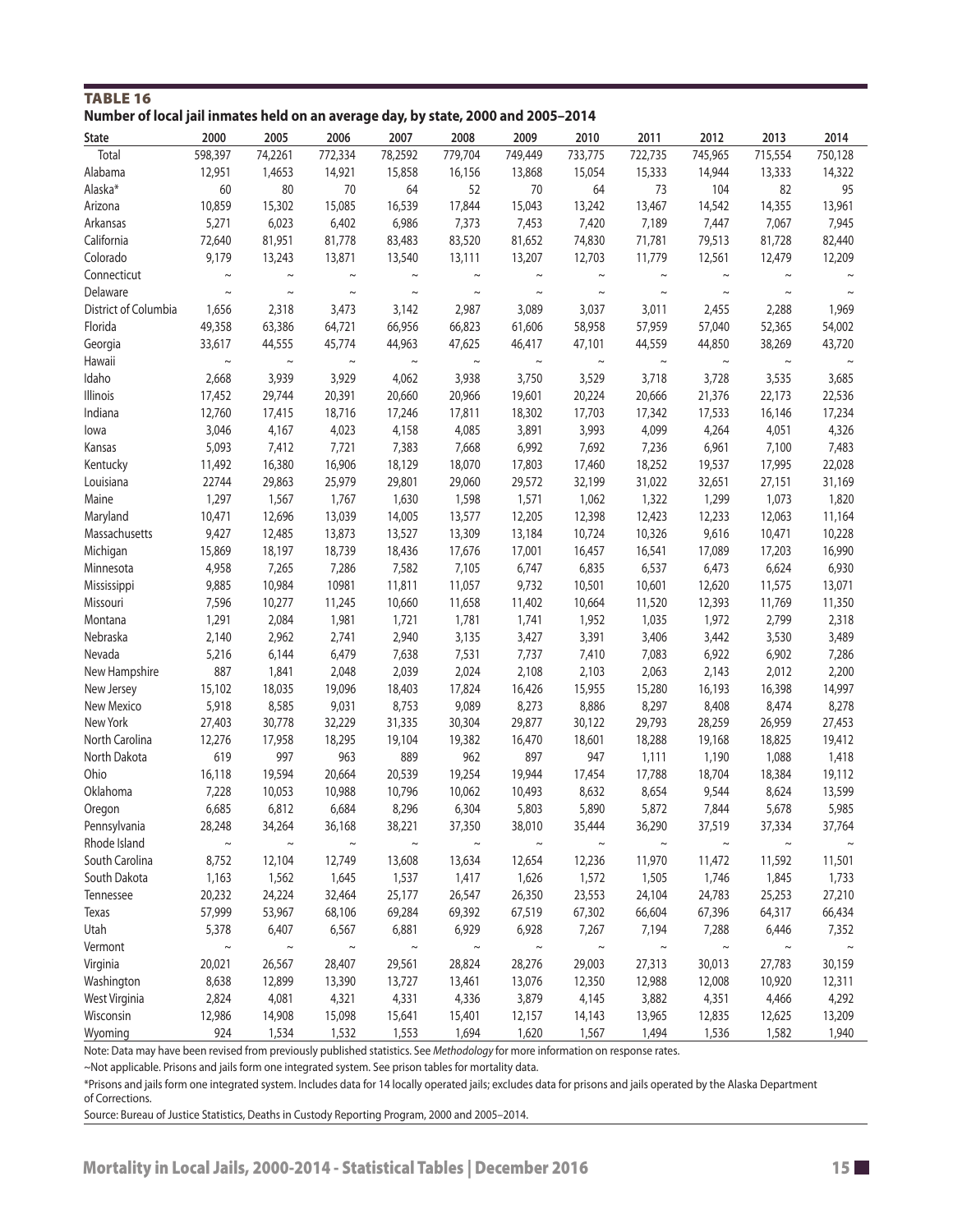| ivumber of local Jail inmates neid on an average day, by state, 2000 and 2005–2014<br>State | 2000        | 2005        | 2006                  | 2007        | 2008        | 2009        | 2010                  | 2011                  | 2012                  | 2013                  | 2014    |
|---------------------------------------------------------------------------------------------|-------------|-------------|-----------------------|-------------|-------------|-------------|-----------------------|-----------------------|-----------------------|-----------------------|---------|
| Total                                                                                       | 598,397     | 74,2261     | 772,334               | 78,2592     | 779,704     | 749,449     | 733,775               | 722,735               | 745,965               | 715,554               | 750,128 |
| Alabama                                                                                     | 12,951      | 1,4653      | 14,921                | 15,858      | 16,156      | 13,868      | 15,054                | 15,333                | 14,944                | 13,333                | 14,322  |
| Alaska*                                                                                     | 60          | 80          | 70                    | 64          | 52          | 70          | 64                    | 73                    | 104                   | 82                    | 95      |
| Arizona                                                                                     | 10,859      | 15,302      | 15,085                | 16,539      | 17,844      | 15,043      | 13,242                | 13,467                | 14,542                | 14,355                | 13,961  |
| Arkansas                                                                                    | 5,271       | 6,023       | 6,402                 | 6,986       | 7,373       | 7,453       | 7,420                 | 7,189                 | 7,447                 | 7,067                 | 7,945   |
| California                                                                                  | 72,640      | 81,951      | 81,778                | 83,483      | 83,520      | 81,652      | 74,830                | 71,781                | 79,513                | 81,728                | 82,440  |
| Colorado                                                                                    | 9,179       | 13,243      | 13,871                | 13,540      | 13,111      | 13,207      | 12,703                | 11,779                | 12,561                | 12,479                | 12,209  |
| Connecticut                                                                                 | $\sim$      | $\tilde{}$  |                       |             |             |             | $\sim$                | $\sim$                | $\sim$                |                       |         |
| Delaware                                                                                    | $\thicksim$ | $\sim$      | $\sim$                | $\thicksim$ | $\sim$      | $\sim$      | $\thicksim$           | $\thicksim$           | $\thicksim$           | $\thicksim$           | $\sim$  |
| District of Columbia                                                                        | 1,656       | 2,318       | 3,473                 | 3,142       | 2,987       | 3,089       | 3,037                 | 3,011                 | 2,455                 | 2,288                 | 1,969   |
| Florida                                                                                     | 49,358      | 63,386      | 64,721                | 66,956      | 66,823      | 61,606      | 58,958                | 57,959                | 57,040                | 52,365                | 54,002  |
| Georgia                                                                                     | 33,617      | 44,555      | 45,774                | 44,963      | 47,625      | 46,417      | 47,101                | 44,559                | 44,850                | 38,269                | 43,720  |
| Hawaii                                                                                      | $\thicksim$ | $\thicksim$ | $\thicksim$           | $\thicksim$ | $\sim$      | $\thicksim$ | $\thicksim$           | $\sim$                | $\sim$                | $\sim$                |         |
| Idaho                                                                                       | 2,668       | 3,939       | 3,929                 | 4,062       | 3,938       | 3,750       | 3,529                 | 3,718                 | 3,728                 | 3,535                 | 3,685   |
| Illinois                                                                                    | 17,452      | 29,744      | 20,391                | 20,660      | 20,966      | 19,601      | 20,224                | 20,666                | 21,376                | 22,173                | 22,536  |
| Indiana                                                                                     | 12,760      | 17,415      | 18,716                | 17,246      | 17,811      | 18,302      | 17,703                | 17,342                | 17,533                | 16,146                | 17,234  |
| lowa                                                                                        | 3,046       | 4,167       | 4,023                 | 4,158       | 4,085       | 3,891       | 3,993                 | 4,099                 | 4,264                 | 4,051                 | 4,326   |
| Kansas                                                                                      | 5,093       | 7,412       | 7,721                 | 7,383       | 7,668       | 6,992       | 7,692                 | 7,236                 | 6,961                 | 7,100                 | 7,483   |
| Kentucky                                                                                    | 11,492      | 16,380      | 16,906                | 18,129      | 18,070      | 17,803      | 17,460                | 18,252                | 19,537                | 17,995                | 22,028  |
| Louisiana                                                                                   | 22744       | 29,863      | 25,979                | 29,801      | 29,060      | 29,572      | 32,199                | 31,022                | 32,651                | 27,151                | 31,169  |
| Maine                                                                                       | 1,297       | 1,567       | 1,767                 | 1,630       | 1,598       | 1,571       | 1,062                 | 1,322                 | 1,299                 | 1,073                 | 1,820   |
| Maryland                                                                                    | 10,471      | 12,696      | 13,039                | 14,005      | 13,577      | 12,205      | 12,398                | 12,423                | 12,233                | 12,063                | 11,164  |
| Massachusetts                                                                               | 9,427       | 12,485      | 13,873                | 13,527      | 13,309      | 13,184      | 10,724                | 10,326                | 9,616                 | 10,471                | 10,228  |
| Michigan                                                                                    | 15,869      | 18,197      | 18,739                | 18,436      | 17,676      | 17,001      | 16,457                | 16,541                | 17,089                | 17,203                | 16,990  |
| Minnesota                                                                                   | 4,958       | 7,265       | 7,286                 | 7,582       | 7,105       | 6,747       | 6,835                 | 6,537                 | 6,473                 | 6,624                 | 6,930   |
| Mississippi                                                                                 | 9,885       | 10,984      | 10981                 | 11,811      | 11,057      | 9,732       | 10,501                | 10,601                | 12,620                | 11,575                | 13,071  |
| Missouri                                                                                    | 7,596       | 10,277      | 11,245                | 10,660      | 11,658      | 11,402      | 10,664                | 11,520                | 12,393                | 11,769                | 11,350  |
| Montana                                                                                     | 1,291       | 2,084       | 1,981                 | 1,721       | 1,781       | 1,741       | 1,952                 | 1,035                 | 1,972                 | 2,799                 | 2,318   |
| Nebraska                                                                                    | 2,140       | 2,962       | 2,741                 | 2,940       | 3,135       | 3,427       | 3,391                 | 3,406                 | 3,442                 | 3,530                 | 3,489   |
| Nevada                                                                                      | 5,216       | 6,144       | 6,479                 | 7,638       | 7,531       | 7,737       | 7,410                 | 7,083                 | 6,922                 | 6,902                 | 7,286   |
| New Hampshire                                                                               | 887         | 1,841       | 2,048                 | 2,039       | 2,024       | 2,108       | 2,103                 | 2,063                 | 2,143                 | 2,012                 | 2,200   |
| New Jersey                                                                                  | 15,102      | 18,035      | 19,096                | 18,403      | 17,824      | 16,426      | 15,955                | 15,280                | 16,193                | 16,398                | 14,997  |
| New Mexico                                                                                  | 5,918       | 8,585       | 9,031                 | 8,753       | 9,089       | 8,273       | 8,886                 | 8,297                 | 8,408                 | 8,474                 | 8,278   |
| New York                                                                                    | 27,403      | 30,778      | 32,229                | 31,335      | 30,304      | 29,877      | 30,122                | 29,793                | 28,259                | 26,959                | 27,453  |
| North Carolina                                                                              | 12,276      | 17,958      | 18,295                | 19,104      | 19,382      | 16,470      |                       | 18,288                | 19,168                | 18,825                | 19,412  |
| North Dakota                                                                                | 619         | 997         | 963                   | 889         | 962         | 897         | 18,601<br>947         | 1,111                 | 1,190                 | 1,088                 | 1,418   |
| Ohio                                                                                        | 16,118      | 19,594      | 20,664                | 20,539      | 19,254      | 19,944      | 17,454                | 17,788                | 18,704                | 18,384                | 19,112  |
| Oklahoma                                                                                    | 7,228       | 10,053      | 10,988                | 10,796      | 10,062      | 10,493      | 8,632                 | 8,654                 | 9,544                 | 8,624                 | 13,599  |
| Oregon                                                                                      | 6,685       | 6,812       | 6,684                 | 8,296       | 6,304       | 5,803       | 5,890                 | 5,872                 | 7,844                 | 5,678                 | 5,985   |
|                                                                                             | 28,248      | 34,264      |                       | 38,221      | 37,350      | 38,010      |                       |                       |                       |                       |         |
| Pennsylvania<br>Rhode Island                                                                | $\sim$      | $\sim$      | 36,168<br>$\thicksim$ | $\thicksim$ | $\thicksim$ | $\thicksim$ | 35,444<br>$\thicksim$ | 36,290<br>$\thicksim$ | 37,519<br>$\thicksim$ | 37,334<br>$\thicksim$ | 37,764  |
| South Carolina                                                                              | 8,752       | 12,104      | 12,749                | 13,608      | 13,634      | 12,654      | 12,236                | 11,970                | 11,472                | 11,592                | 11,501  |
|                                                                                             | 1,163       |             | 1,645                 | 1,537       |             | 1,626       |                       |                       | 1,746                 | 1,845                 | 1,733   |
| South Dakota<br>Tennessee                                                                   |             | 1,562       |                       |             | 1,417       |             | 1,572                 | 1,505                 |                       |                       |         |
|                                                                                             | 20,232      | 24,224      | 32,464                | 25,177      | 26,547      | 26,350      | 23,553                | 24,104                | 24,783                | 25,253                | 27,210  |
| Texas                                                                                       | 57,999      | 53,967      | 68,106                | 69,284      | 69,392      | 67,519      | 67,302                | 66,604                | 67,396                | 64,317                | 66,434  |
| Utah                                                                                        | 5,378       | 6,407       | 6,567                 | 6,881       | 6,929       | 6,928       | 7,267                 | 7,194                 | 7,288                 | 6,446                 | 7,352   |
| Vermont                                                                                     | $\sim$      | $\sim$      | $\thicksim$           | $\thicksim$ | $\thicksim$ | $\sim$      | $\thicksim$           | $\thicksim$           | $\thicksim$           | $\sim$                | $\sim$  |
| Virginia                                                                                    | 20,021      | 26,567      | 28,407                | 29,561      | 28,824      | 28,276      | 29,003                | 27,313                | 30,013                | 27,783                | 30,159  |
| Washington                                                                                  | 8,638       | 12,899      | 13,390                | 13,727      | 13,461      | 13,076      | 12,350                | 12,988                | 12,008                | 10,920                | 12,311  |
| West Virginia                                                                               | 2,824       | 4,081       | 4,321                 | 4,331       | 4,336       | 3,879       | 4,145                 | 3,882                 | 4,351                 | 4,466                 | 4,292   |
| Wisconsin                                                                                   | 12,986      | 14,908      | 15,098                | 15,641      | 15,401      | 12,157      | 14,143                | 13,965                | 12,835                | 12,625                | 13,209  |
| Wyoming                                                                                     | 924         | 1,534       | 1,532                 | 1,553       | 1,694       | 1,620       | 1,567                 | 1,494                 | 1,536                 | 1,582                 | 1,940   |

TABLE 16 **Number of local jail inmates held on an average day, by state, 2000 and 2005–2014** 

Note: Data may have been revised from previously published statistics. See *Methodology* for more information on response rates.

~Not applicable. Prisons and jails form one integrated system. See prison tables for mortality data.

\*Prisons and jails form one integrated system. Includes data for 14 locally operated jails; excludes data for prisons and jails operated by the Alaska Department of Corrections.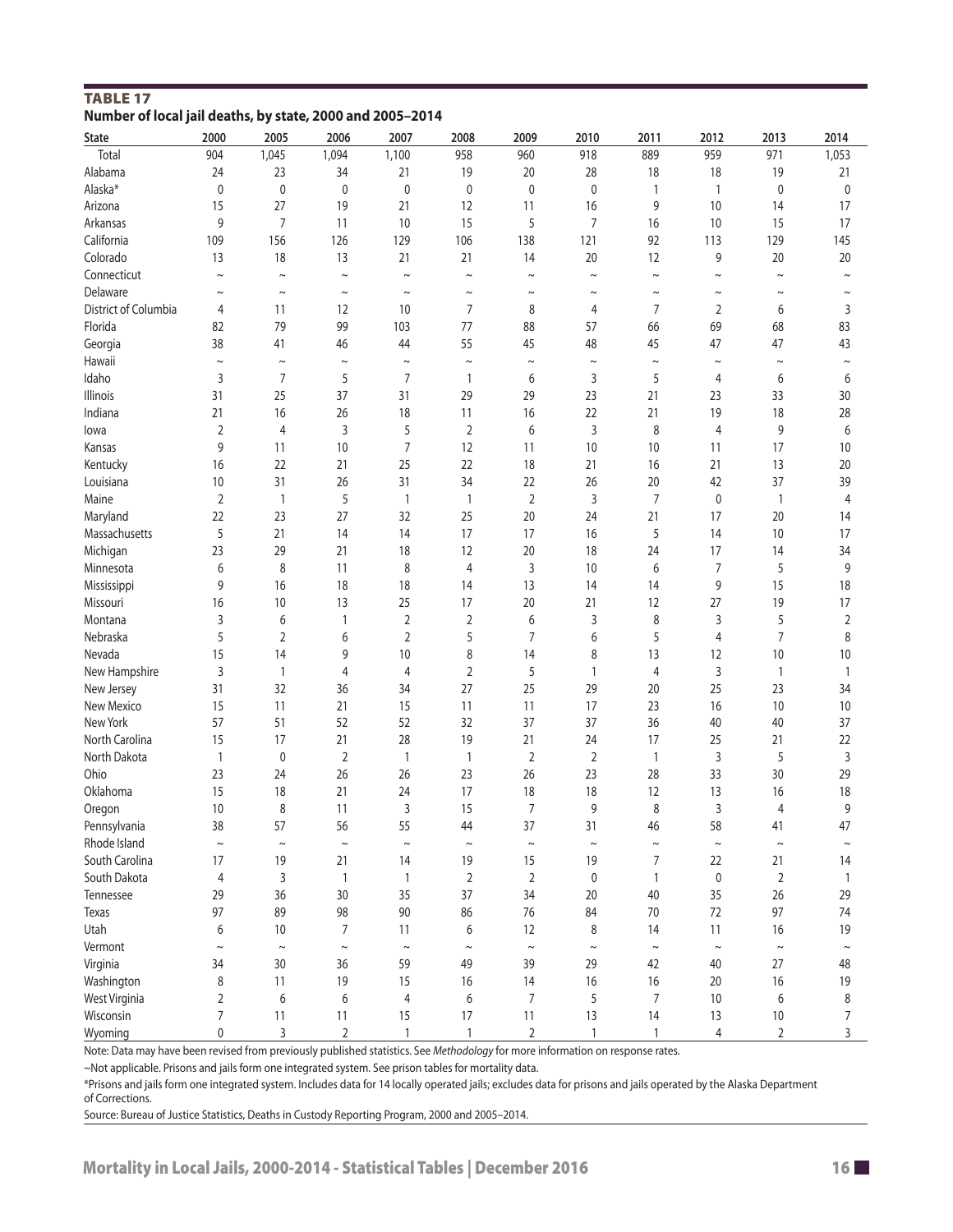| <b>TABLE 17</b>                                           |  |  |
|-----------------------------------------------------------|--|--|
| Number of local jail deaths, by state, 2000 and 2005-2014 |  |  |

| <b>State</b>         | 2000           | 2005           | 2006                 | 2007           | 2008           | 2009           | 2010           | 2011                     | 2012         | 2013           | 2014                  |
|----------------------|----------------|----------------|----------------------|----------------|----------------|----------------|----------------|--------------------------|--------------|----------------|-----------------------|
| Total                | 904            | 1,045          | 1,094                | 1,100          | 958            | 960            | 918            | 889                      | 959          | 971            | 1,053                 |
| Alabama              | 24             | 23             | 34                   | 21             | 19             | 20             | 28             | 18                       | 18           | 19             | 21                    |
| Alaska*              | 0              | $\pmb{0}$      | 0                    | $\pmb{0}$      | $\pmb{0}$      | $\mathbf{0}$   | $\pmb{0}$      | $\mathbf{1}$             | $\mathbf{1}$ | $\mathbf 0$    | 0                     |
| Arizona              | 15             | 27             | 19                   | 21             | 12             | 11             | 16             | 9                        | 10           | 14             | 17                    |
| Arkansas             | 9              | 7              | 11                   | 10             | 15             | 5              | 7              | 16                       | 10           | 15             | 17                    |
| California           | 109            | 156            | 126                  | 129            | 106            | 138            | 121            | 92                       | 113          | 129            | 145                   |
| Colorado             | 13             | 18             | 13                   | 21             | 21             | 14             | 20             | 12                       | 9            | 20             | 20                    |
| Connecticut          | $\sim$         | $\sim$         | $\sim$               | $\sim$         | $\sim$         | $\sim$         | $\sim$         | $\sim$                   | $\sim$       | $\sim$         | $\tilde{\phantom{a}}$ |
| Delaware             | $\sim$         | $\sim$         | $\sim$               | $\sim$         | $\sim$         | $\thicksim$    | $\sim$         | $\thicksim$              | $\sim$       | $\thicksim$    | $\tilde{}$            |
| District of Columbia | 4              | 11             | 12                   | 10             | 7              | 8              | 4              | 7                        | 2            | 6              | 3                     |
| Florida              | 82             | 79             | 99                   | 103            | 77             | 88             | 57             | 66                       | 69           | 68             | 83                    |
| Georgia              | 38             | 41             | 46                   | 44             | 55             | 45             | 48             | 45                       | 47           | 47             | 43                    |
| Hawaii               | $\sim$         | $\sim$         | $\sim$               | $\sim$         | $\sim$         | $\sim$         | $\sim$         | $\thicksim$              | $\thicksim$  | $\sim$         | $\tilde{\phantom{a}}$ |
| Idaho                | 3              | $\overline{7}$ | 5                    | $\overline{7}$ | $\mathbf{1}$   | 6              | 3              | 5                        | 4            | 6              | 6                     |
| Illinois             | 31             | 25             | 37                   | 31             | 29             | 29             | 23             | 21                       | 23           | 33             | 30                    |
| Indiana              | 21             | 16             | 26                   | 18             | 11             | 16             | 22             | 21                       | 19           | 18             | 28                    |
| lowa                 | $\overline{2}$ | 4              | 3                    | 5              | $\overline{2}$ | 6              | 3              | 8                        | 4            | 9              | 6                     |
| Kansas               | 9              | 11             | 10                   | 7              | 12             | 11             | 10             | 10                       | 11           | 17             | 10                    |
| Kentucky             | 16             | 22             | 21                   | 25             | 22             | 18             | 21             | 16                       | 21           | 13             | 20                    |
| Louisiana            | 10             | 31             | 26                   | 31             | 34             | 22             | 26             | 20                       | 42           | 37             | 39                    |
| Maine                | $\overline{2}$ | $\mathbf{1}$   | 5                    | $\mathbf{1}$   | $\mathbf{1}$   | $\overline{2}$ | 3              | $\overline{7}$           | 0            | $\mathbf{1}$   | 4                     |
| Maryland             | 22             | 23             | 27                   | 32             | 25             | 20             | 24             | 21                       | 17           | 20             | 14                    |
| Massachusetts        | 5              | 21             | 14                   | 14             | 17             | 17             | 16             | 5                        | 14           | 10             | 17                    |
| Michigan             | 23             | 29             | 21                   | 18             | 12             | 20             | 18             | 24                       | 17           | 14             | 34                    |
| Minnesota            | 6              | 8              | 11                   | 8              | 4              | 3              | 10             | 6                        | 7            | 5              | 9                     |
| Mississippi          | 9              | 16             | 18                   | 18             | 14             | 13             | 14             | 14                       | 9            | 15             | 18                    |
| Missouri             | 16             | 10             | 13                   | 25             | 17             | 20             | 21             | 12                       | 27           | 19             | 17                    |
| Montana              | 3              | 6              | $\mathbf{1}$         | $\overline{2}$ | 2              | 6              | 3              | 8                        | 3            | 5              | 2                     |
| Nebraska             | 5              | $\overline{2}$ | 6                    | $\overline{2}$ | 5              | 7              | 6              | 5                        | 4            | $\overline{7}$ | 8                     |
| Nevada               | 15             | 14             | 9                    | 10             | 8              | 14             | 8              | 13                       | 12           | 10             | 10                    |
| New Hampshire        | 3              | $\mathbf{1}$   | 4                    | 4              | $\sqrt{2}$     | 5              | $\mathbf{1}$   | 4                        | 3            | $\mathbf{1}$   | 1                     |
| New Jersey           | 31             | 32             | 36                   | 34             | 27             | 25             | 29             | 20                       | 25           | 23             | 34                    |
| New Mexico           | 15             | 11             | 21                   | 15             | 11             | 11             | 17             | 23                       | 16           | 10             | 10                    |
| New York             | 57             | 51             | 52                   | 52             | 32             | 37             | 37             | 36                       | 40           | 40             | 37                    |
| North Carolina       | 15             | 17             | 21                   | 28             | 19             | 21             | 24             | 17                       | 25           | 21             | 22                    |
| North Dakota         | $\mathbf{1}$   | 0              | 2                    | $\mathbf{1}$   | $\mathbf{1}$   | 2              | $\overline{2}$ | $\overline{\phantom{a}}$ | 3            | 5              | 3                     |
| Ohio                 | 23             | 24             | 26                   | 26             | 23             | 26             | 23             | 28                       | 33           | 30             | 29                    |
| Oklahoma             | 15             | 18             | 21                   | 24             | 17             | 18             | 18             | 12                       | 13           | 16             | 18                    |
| Oregon               | 10             | 8              | 11                   | 3              | 15             | 7              | 9              | 8                        | 3            | 4              | 9                     |
| Pennsylvania         | 38             | 57             | 56                   | 55             | $\Delta\Delta$ | 37             | 31             | 46                       | 58           | 41             | $\Delta$ 7            |
| Rhode Island         | $\thicksim$    | $\thicksim$    | $\sim$               | $\thicksim$    | $\sim$         | $\thicksim$    | $\thicksim$    | $\sim$                   | $\sim$       | $\thicksim$    |                       |
| South Carolina       | 17             | 19             | 21                   | 14             | 19             | 15             | 19             | 7                        | 22           | 21             | 14                    |
| South Dakota         | 4              | 3              | $\mathbf{1}$         | $\mathbf{1}$   | $\overline{2}$ | $\overline{2}$ | $\mathbf 0$    | 1                        | $\pmb{0}$    | $\overline{2}$ | 1                     |
| Tennessee            | 29             | 36             | 30                   | 35             | 37             | 34             | 20             | 40                       | 35           | 26             | 29                    |
| <b>Texas</b>         | 97             | 89             | 98                   | 90             | 86             | 76             | 84             | 70                       | 72           | 97             | 74                    |
| Utah                 | 6              | 10             | $\overline{7}$       | 11             | 6              | 12             | 8              | 14                       | 11           | 16             | 19                    |
| Vermont              | $\sim$         | $\sim$         | $\sim$               | $\sim$         | $\sim$         | $\thicksim$    | $\sim$         | $\sim$                   | $\thicksim$  | $\sim$         | $\tilde{}$            |
| Virginia             | 34             | 30             | 36                   | 59             | 49             | 39             | 29             | 42                       | 40           | 27             | 48                    |
| Washington           | 8              | 11             | 19                   | 15             | 16             | 14             | 16             | 16                       | 20           | 16             |                       |
| West Virginia        | $\overline{2}$ | 6              |                      | $\overline{4}$ | 6              | $\overline{7}$ | 5              | $\overline{7}$           | 10           |                | 19<br>8               |
| Wisconsin            |                | 11             | 6                    | 15             | 17             | 11             | 13             | 14                       | 13           | 6<br>10        | 7                     |
| Wyoming              | 7<br>0         | $\overline{3}$ | 11<br>$\overline{2}$ | $\mathbf{1}$   | $\mathbf{1}$   | $\overline{2}$ | $\mathbf{1}$   | $\mathbf{1}$             | 4            | $\overline{2}$ | 3                     |
|                      |                |                |                      |                |                |                |                |                          |              |                |                       |

Note: Data may have been revised from previously published statistics. See *Methodology* for more information on response rates.

~Not applicable. Prisons and jails form one integrated system. See prison tables for mortality data.

\*Prisons and jails form one integrated system. Includes data for 14 locally operated jails; excludes data for prisons and jails operated by the Alaska Department of Corrections.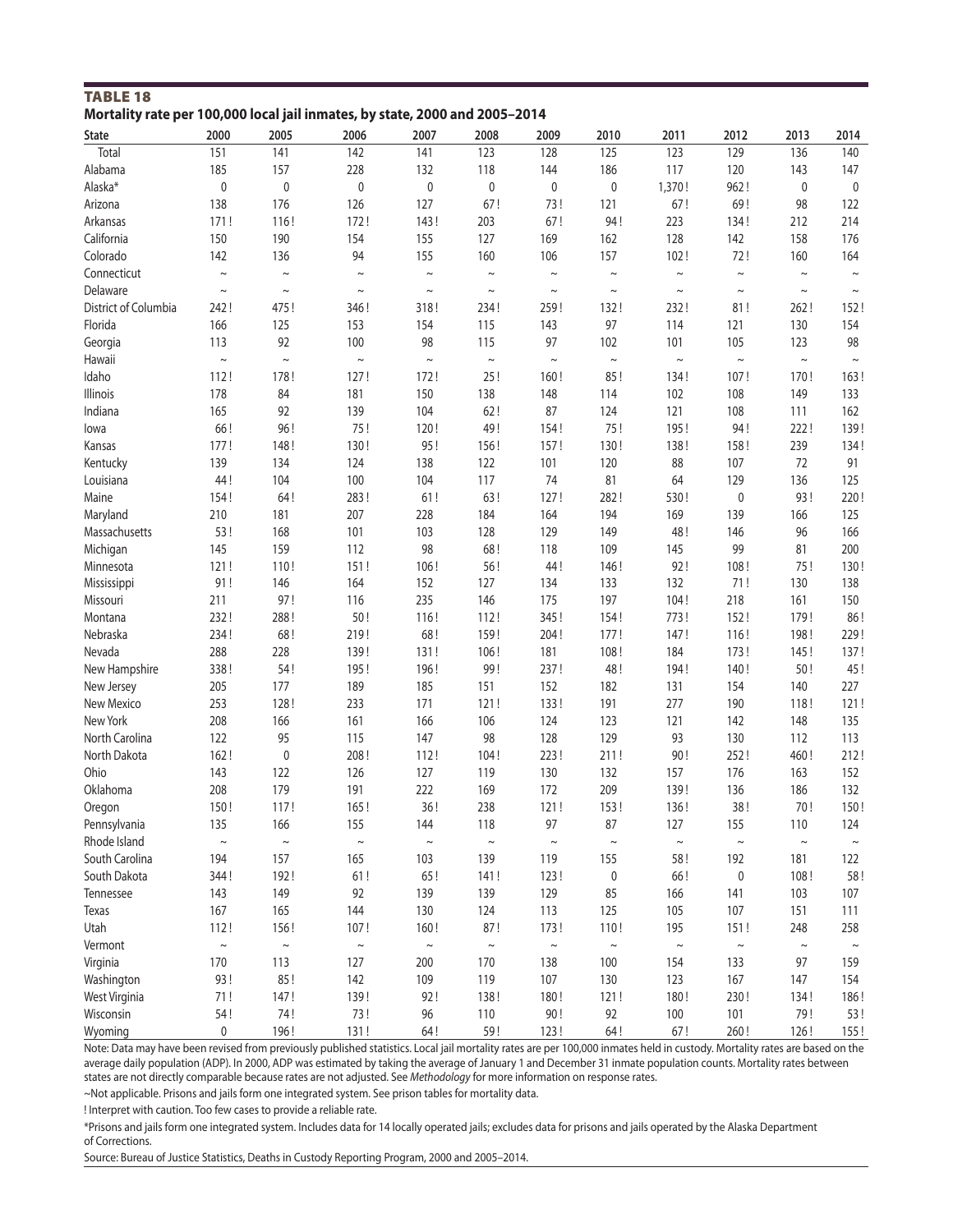| <b>TABLE 18</b>                                                             |  |
|-----------------------------------------------------------------------------|--|
| Mortality rate per 100,000 local jail inmates, by state, 2000 and 2005-2014 |  |

| <b>State</b>         | 2000   | 2005      | 2006        | 2007        | 2008      | 2009        | 2010        | 2011   | 2012        | 2013        | 2014        |
|----------------------|--------|-----------|-------------|-------------|-----------|-------------|-------------|--------|-------------|-------------|-------------|
| Total                | 151    | 141       | 142         | 141         | 123       | 128         | 125         | 123    | 129         | 136         | 140         |
| Alabama              | 185    | 157       | 228         | 132         | 118       | 144         | 186         | 117    | 120         | 143         | 147         |
| Alaska*              | 0      | $\pmb{0}$ | $\mathbf 0$ | $\pmb{0}$   | $\pmb{0}$ | 0           | $\pmb{0}$   | 1,370! | 962!        | 0           | 0           |
| Arizona              | 138    | 176       | 126         | 127         | 67!       | 73!         | 121         | 67!    | 69!         | 98          | 122         |
| Arkansas             | 171!   | 116!      | 172!        | 143!        | 203       | 67!         | 94!         | 223    | 134!        | 212         | 214         |
| California           | 150    | 190       | 154         | 155         | 127       | 169         | 162         | 128    | 142         | 158         | 176         |
| Colorado             | 142    | 136       | 94          | 155         | 160       | 106         | 157         | 102!   | 72!         | 160         | 164         |
| Connecticut          | $\sim$ | $\sim$    | $\sim$      | $\thicksim$ | $\sim$    | $\sim$      | $\thicksim$ | $\sim$ | $\sim$      | $\sim$      | $\thicksim$ |
| Delaware             | $\sim$ | $\sim$    | $\sim$      | $\sim$      | $\sim$    | $\sim$      | $\sim$      | $\sim$ | $\sim$      | $\sim$      | $\sim$      |
| District of Columbia | 242!   | 475!      | 346!        | 318!        | 234!      | 259!        | 132!        | 232!   | 81!         | 262!        | 152!        |
| Florida              | 166    | 125       | 153         | 154         | 115       | 143         | 97          | 114    | 121         | 130         | 154         |
| Georgia              | 113    | 92        | 100         | 98          | 115       | 97          | 102         | 101    | 105         | 123         | 98          |
| Hawaii               | $\sim$ | $\sim$    | $\sim$      | $\sim$      | $\sim$    | $\thicksim$ | $\sim$      | $\sim$ | $\thicksim$ | $\sim$      | $\thicksim$ |
| Idaho                | 112!   | 178!      | 127!        | 172!        | 25!       | 160!        | 85!         | 134!   | 107!        | 170!        | 163!        |
| Illinois             | 178    | 84        | 181         | 150         | 138       | 148         | 114         | 102    | 108         | 149         | 133         |
| Indiana              | 165    | 92        | 139         | 104         | 62!       | 87          | 124         | 121    | 108         | 111         | 162         |
| lowa                 | 66!    | 96!       | 75!         | 120!        | 49!       | 154!        | 75!         | 195!   | 94!         | 222!        | 139!        |
| Kansas               | 177!   | 148!      | 130!        | 95!         | 156!      | 157!        | 130!        | 138!   | 158!        | 239         | 134!        |
| Kentucky             | 139    | 134       | 124         | 138         | 122       | 101         | 120         | 88     | 107         | 72          | 91          |
| Louisiana            | 44!    | 104       | 100         | 104         | 117       | 74          | 81          | 64     | 129         | 136         | 125         |
| Maine                | 154!   | 64!       | 283!        | 61!         | 63!       | 127!        | 282!        | 530!   | 0           | 93!         | 220!        |
| Maryland             | 210    | 181       | 207         | 228         | 184       | 164         | 194         | 169    | 139         | 166         | 125         |
| Massachusetts        | 53!    | 168       | 101         | 103         | 128       | 129         | 149         | 48!    | 146         | 96          | 166         |
| Michigan             | 145    | 159       | 112         | 98          | 68!       | 118         | 109         | 145    | 99          | 81          | 200         |
| Minnesota            | 121!   | 110!      | 151!        | 106!        | 56!       | 44!         | 146!        | 92!    |             | 75!         |             |
|                      |        | 146       |             |             |           |             |             |        | 108!        |             | 130!        |
| Mississippi          | 91!    |           | 164         | 152         | 127       | 134         | 133         | 132    | 71!         | 130         | 138         |
| Missouri             | 211    | 97!       | 116         | 235         | 146       | 175         | 197         | 104!   | 218         | 161         | 150         |
| Montana              | 232!   | 288!      | 50!         | 116!        | 112!      | 345!        | 154!        | 773!   | 152!        | 179!        | 86!         |
| Nebraska             | 234!   | 68!       | 219!        | 68!         | 159!      | 204!        | 177!        | 147!   | 116!        | 198!        | 229!        |
| Nevada               | 288    | 228       | 139!        | 131!        | 106!      | 181         | 108!        | 184    | 173!        | 145!        | 137!        |
| New Hampshire        | 338!   | 54!       | 195!        | 196!        | 99!       | 237!        | 48!         | 194!   | 140!        | 50!         | 45!         |
| New Jersey           | 205    | 177       | 189         | 185         | 151       | 152         | 182         | 131    | 154         | 140         | 227         |
| New Mexico           | 253    | 128!      | 233         | 171         | 121!      | 133!        | 191         | 277    | 190         | 118!        | 121!        |
| New York             | 208    | 166       | 161         | 166         | 106       | 124         | 123         | 121    | 142         | 148         | 135         |
| North Carolina       | 122    | 95        | 115         | 147         | 98        | 128         | 129         | 93     | 130         | 112         | 113         |
| North Dakota         | 162!   | $\pmb{0}$ | 208!        | 112!        | 104!      | 223!        | 211!        | 90!    | 252!        | 460!        | 212!        |
| Ohio                 | 143    | 122       | 126         | 127         | 119       | 130         | 132         | 157    | 176         | 163         | 152         |
| Oklahoma             | 208    | 179       | 191         | 222         | 169       | 172         | 209         | 139!   | 136         | 186         | 132         |
| Oregon               | 150!   | 117!      | 165!        | 36!         | 238       | 121!        | 153!        | 136!   | 38!         | 70!         | 150!        |
| Pennsylvania         | 135    | 166       | 155         | 144         | 118       | 97          | 87          | 127    | 155         | 110         | 124         |
| Rhode Island         | $\sim$ | $\sim$    | $\sim$      | $\sim$      | $\sim$    | $\thicksim$ | $\sim$      | $\sim$ | $\sim$      | $\sim$      | $\sim$      |
| South Carolina       | 194    | 157       | 165         | 103         | 139       | 119         | 155         | 58!    | 192         | 181         | 122         |
| South Dakota         | 344!   | 192!      | 61!         | 65!         | 141!      | 123!        | 0           | 66!    | 0           | 108!        | 58!         |
| Tennessee            | 143    | 149       | 92          | 139         | 139       | 129         | 85          | 166    | 141         | 103         | 107         |
| Texas                | 167    | 165       | 144         | 130         | 124       | 113         | 125         | 105    | 107         | 151         | 111         |
| Utah                 | 112!   | 156!      | 107!        | 160!        | 87!       | 173!        | 110!        | 195    | 151!        | 248         | 258         |
| Vermont              | $\sim$ | $\sim$    | $\sim$      | $\thicksim$ | $\sim$    | $\thicksim$ | $\sim$      | $\sim$ | $\sim$      | $\thicksim$ | $\sim$      |
| Virginia             | 170    | 113       | 127         | 200         | 170       | 138         | 100         | 154    | 133         | 97          | 159         |
| Washington           | 93!    | 85!       | 142         | 109         | 119       | 107         | 130         | 123    | 167         | 147         | 154         |
| West Virginia        | 71!    | 147!      | 139!        | 92!         | 138!      | 180!        | 121!        | 180!   | 230!        | 134!        | 186!        |
| Wisconsin            | 54!    | 74!       | 73!         | 96          | 110       | 90!         | 92          | 100    | 101         | 79!         | 53!         |
| Wyoming              | 0      | 196!      | 131!        | 64!         | 59!       | 123!        | 64!         | 67!    | 260!        | 126!        | 155!        |

Note: Data may have been revised from previously published statistics. Local jail mortality rates are per 100,000 inmates held in custody. Mortality rates are based on the average daily population (ADP). In 2000, ADP was estimated by taking the average of January 1 and December 31 inmate population counts. Mortality rates between states are not directly comparable because rates are not adjusted. See *Methodology* for more information on response rates.

~Not applicable. Prisons and jails form one integrated system. See prison tables for mortality data.

! Interpret with caution. Too few cases to provide a reliable rate.

\*Prisons and jails form one integrated system. Includes data for 14 locally operated jails; excludes data for prisons and jails operated by the Alaska Department of Corrections.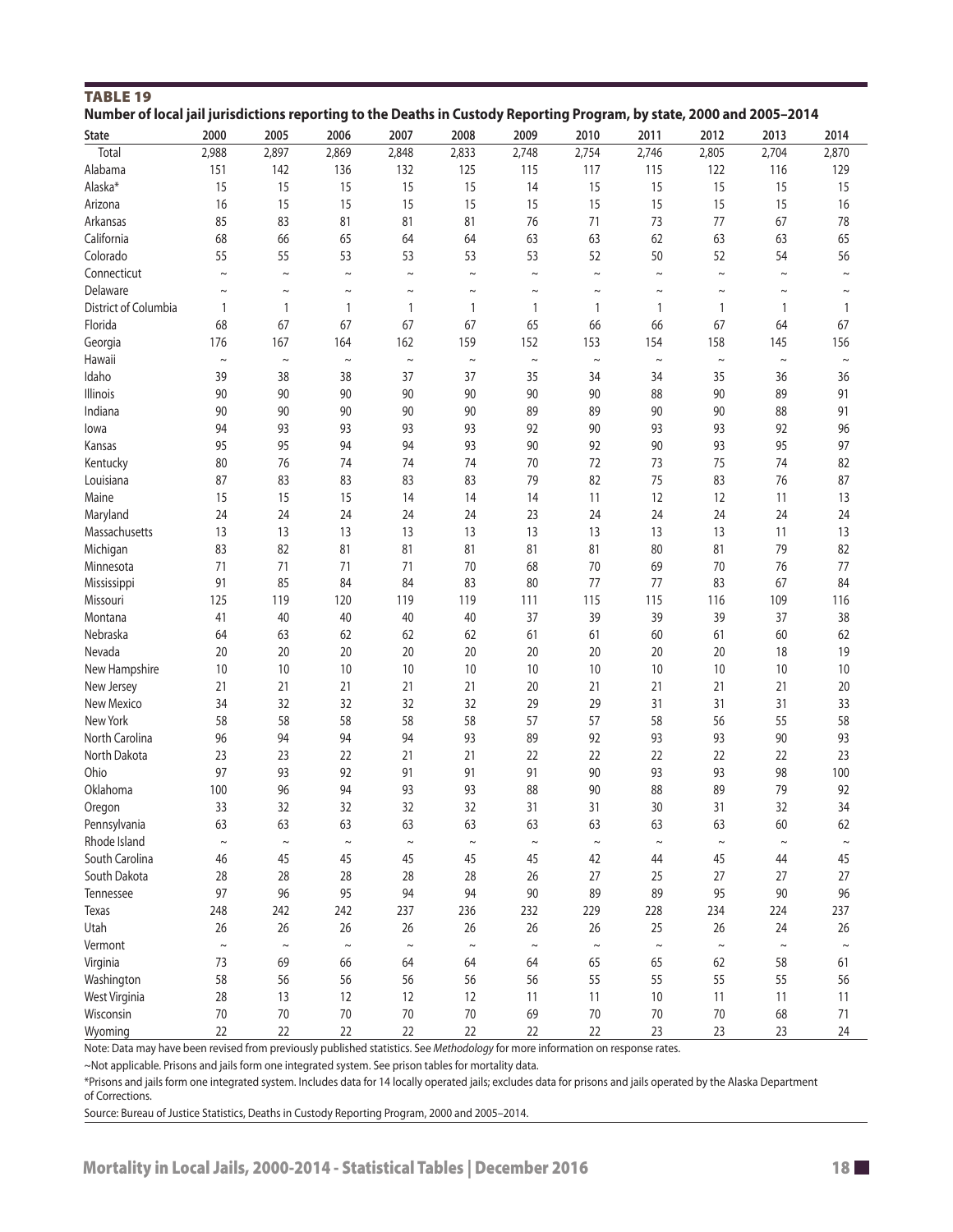| <b>TABLE 19</b>      | Number of local jail jurisdictions reporting to the Deaths in Custody Reporting Program, by state, 2000 and 2005-2014 |             |             |              |              |              |             |             |        |        |            |
|----------------------|-----------------------------------------------------------------------------------------------------------------------|-------------|-------------|--------------|--------------|--------------|-------------|-------------|--------|--------|------------|
|                      |                                                                                                                       |             |             |              |              |              |             |             |        |        |            |
| State                | 2000                                                                                                                  | 2005        | 2006        | 2007         | 2008         | 2009         | 2010        | 2011        | 2012   | 2013   | 2014       |
| Total                | 2,988                                                                                                                 | 2,897       | 2,869       | 2,848        | 2,833        | 2,748        | 2,754       | 2,746       | 2,805  | 2,704  | 2,870      |
| Alabama              | 151                                                                                                                   | 142         | 136         | 132          | 125          | 115          | 117         | 115         | 122    | 116    | 129        |
| Alaska*              | 15                                                                                                                    | 15          | 15          | 15           | 15           | 14           | 15          | 15          | 15     | 15     | 15         |
| Arizona              | 16                                                                                                                    | 15          | 15          | 15           | 15           | 15           | 15          | 15          | 15     | 15     | 16         |
| Arkansas             | 85                                                                                                                    | 83          | 81          | 81           | 81           | 76           | 71          | 73          | 77     | 67     | 78         |
| California           | 68                                                                                                                    | 66          | 65          | 64           | 64           | 63           | 63          | 62          | 63     | 63     | 65         |
| Colorado             | 55                                                                                                                    | 55          | 53          | 53           | 53           | 53           | 52          | 50          | 52     | 54     | 56         |
| Connecticut          | $\sim$                                                                                                                | $\sim$      | $\sim$      | $\sim$       | $\sim$       | $\sim$       | $\sim$      | $\sim$      | $\sim$ | $\sim$ | $\tilde{}$ |
| Delaware             | $\sim$                                                                                                                | $\thicksim$ | $\sim$      | $\thicksim$  | $\sim$       | $\sim$       | $\thicksim$ | $\thicksim$ | $\sim$ | $\sim$ | $\sim$     |
| District of Columbia | $\mathbf{1}$                                                                                                          | 1           | 1           | $\mathbf{1}$ | $\mathbf{1}$ | $\mathbf{1}$ | 1           | 1           | 1      | 1      | 1          |
| Florida              | 68                                                                                                                    | 67          | 67          | 67           | 67           | 65           | 66          | 66          | 67     | 64     | 67         |
| Georgia              | 176                                                                                                                   | 167         | 164         | 162          | 159          | 152          | 153         | 154         | 158    | 145    | 156        |
| Hawaii               | $\sim$                                                                                                                | $\sim$      | $\thicksim$ | $\thicksim$  | $\sim$       | $\thicksim$  | $\sim$      | $\sim$      | $\sim$ | $\sim$ | $\sim$     |
| Idaho                | 39                                                                                                                    | 38          | 38          | 37           | 37           | 35           | 34          | 34          | 35     | 36     | 36         |
| Illinois             | 90                                                                                                                    | 90          | 90          | 90           | 90           | 90           | 90          | 88          | 90     | 89     | 91         |
| Indiana              | 90                                                                                                                    | 90          | 90          | 90           | 90           | 89           | 89          | 90          | 90     | 88     | 91         |
| lowa                 | 94                                                                                                                    | 93          | 93          | 93           | 93           | 92           | 90          | 93          | 93     | 92     | 96         |
| Kansas               | 95                                                                                                                    | 95          | 94          | 94           | 93           | 90           | 92          | 90          | 93     | 95     | 97         |
| Kentucky             | 80                                                                                                                    | 76          | 74          | 74           | 74           | 70           | 72          | 73          | 75     | 74     | 82         |
| Louisiana            | 87                                                                                                                    | 83          | 83          | 83           | 83           | 79           | 82          | 75          | 83     | 76     | 87         |
| Maine                | 15                                                                                                                    | 15          | 15          | 14           | 14           | 14           | 11          | 12          | 12     | 11     | 13         |
| Maryland             | 24                                                                                                                    | 24          | 24          | 24           | 24           | 23           | 24          | 24          | 24     | 24     | 24         |
| Massachusetts        | 13                                                                                                                    | 13          | 13          | 13           | 13           | 13           | 13          | 13          | 13     | 11     | 13         |
| Michigan             | 83                                                                                                                    | 82          | 81          | 81           | 81           | 81           | 81          | 80          | 81     | 79     | 82         |
| Minnesota            | 71                                                                                                                    | 71          | 71          | 71           | 70           | 68           | 70          | 69          | 70     | 76     | 77         |
| Mississippi          | 91                                                                                                                    | 85          | 84          | 84           | 83           | 80           | 77          | 77          | 83     | 67     | 84         |
| Missouri             | 125                                                                                                                   | 119         | 120         | 119          | 119          | 111          | 115         | 115         | 116    | 109    | 116        |
| Montana              | 41                                                                                                                    |             |             | 40           | 40           | 37           | 39          | 39          | 39     | 37     | 38         |
|                      |                                                                                                                       | 40          | 40          |              |              |              |             |             |        |        |            |
| Nebraska             | 64                                                                                                                    | 63          | 62          | 62           | 62           | 61           | 61          | 60          | 61     | 60     | 62         |
| Nevada               | 20                                                                                                                    | 20          | 20          | 20           | 20           | 20           | 20          | 20          | 20     | 18     | 19         |
| New Hampshire        | 10                                                                                                                    | 10          | 10          | 10           | 10           | 10           | 10          | 10          | 10     | 10     | 10         |
| New Jersey           | 21                                                                                                                    | 21          | 21          | 21           | 21           | 20           | 21          | 21          | 21     | 21     | 20         |
| New Mexico           | 34                                                                                                                    | 32          | 32          | 32           | 32           | 29           | 29          | 31          | 31     | 31     | 33         |
| New York             | 58                                                                                                                    | 58          | 58          | 58           | 58           | 57           | 57          | 58          | 56     | 55     | 58         |
| North Carolina       | 96                                                                                                                    | 94          | 94          | 94           | 93           | 89           | 92          | 93          | 93     | 90     | 93         |
| North Dakota         | 23                                                                                                                    | 23          | 22          | 21           | 21           | 22           | 22          | 22          | 22     | 22     | 23         |
| Ohio                 | 97                                                                                                                    | 93          | 92          | 91           | 91           | 91           | 90          | 93          | 93     | 98     | 100        |
| Oklahoma             | 100                                                                                                                   | 96          | 94          | 93           | 93           | 88           | 90          | 88          | 89     | 79     | 92         |
| Oregon               | 33                                                                                                                    | 32          | 32          | 32           | 32           | 31           | 31          | 30          | 31     | 32     | 34         |
| Pennsylvania         | 63                                                                                                                    | 63          | 63          | 63           | 63           | 63           | 63          | 63          | 63     | 60     | 62         |
| Rhode Island         | $\sim$                                                                                                                | $\thicksim$ | $\thicksim$ | $\thicksim$  | $\thicksim$  | $\sim$       | $\thicksim$ | $\sim$      | $\sim$ | $\sim$ | $\sim$     |
| South Carolina       | 46                                                                                                                    | 45          | 45          | 45           | 45           | 45           | 42          | 44          | 45     | 44     | 45         |
| South Dakota         | 28                                                                                                                    | 28          | 28          | 28           | 28           | 26           | 27          | 25          | 27     | 27     | 27         |
| Tennessee            | 97                                                                                                                    | 96          | 95          | 94           | 94           | 90           | 89          | 89          | 95     | 90     | 96         |
| Texas                | 248                                                                                                                   | 242         | 242         | 237          | 236          | 232          | 229         | 228         | 234    | 224    | 237        |
| Utah                 | 26                                                                                                                    | 26          | 26          | 26           | 26           | 26           | 26          | 25          | 26     | 24     | 26         |
| Vermont              | $\sim$                                                                                                                | $\sim$      | $\sim$      | $\sim$       | $\sim$       | $\sim$       | $\sim$      | $\sim$      | $\sim$ | $\sim$ | $\sim$     |
| Virginia             | 73                                                                                                                    | 69          | 66          | 64           | 64           | 64           | 65          | 65          | 62     | 58     | 61         |
| Washington           | 58                                                                                                                    | 56          | 56          | 56           | 56           | 56           | 55          | 55          | 55     | 55     | 56         |
| West Virginia        | 28                                                                                                                    | 13          | 12          | 12           | 12           | 11           | 11          | 10          | 11     | 11     | 11         |
| Wisconsin            | 70                                                                                                                    | 70          | 70          | 70           | 70           | 69           | 70          | 70          | 70     | 68     | 71         |
| Wyoming              | 22                                                                                                                    | 22          | 22          | 22           | 22           | 22           | 22          | 23          | 23     | 23     | 24         |

~Not applicable. Prisons and jails form one integrated system. See prison tables for mortality data.

\*Prisons and jails form one integrated system. Includes data for 14 locally operated jails; excludes data for prisons and jails operated by the Alaska Department of Corrections.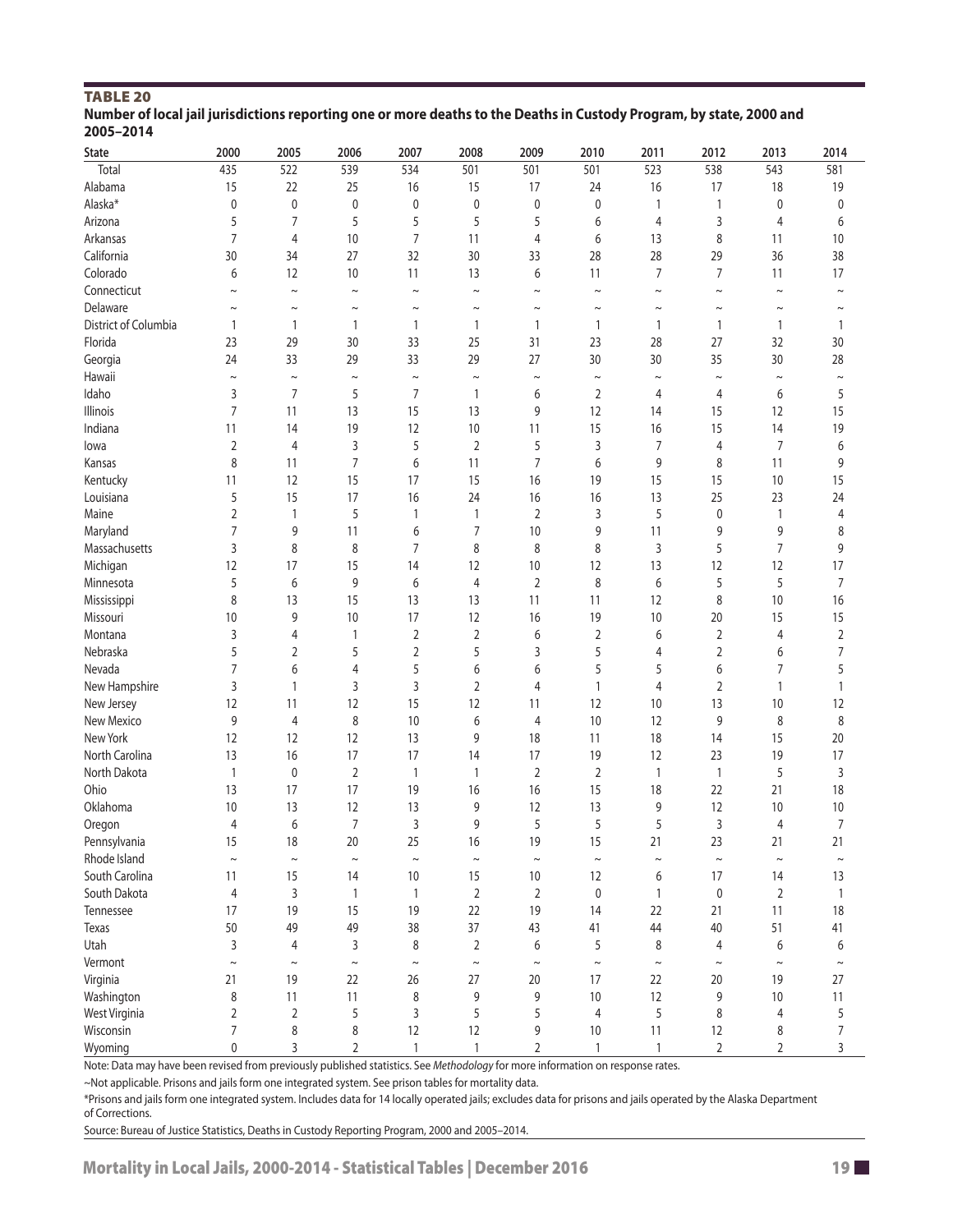| <b>TABLE 20</b>                                                                                                      |
|----------------------------------------------------------------------------------------------------------------------|
| Number of local jail jurisdictions reporting one or more deaths to the Deaths in Custody Program, by state, 2000 and |
| 2005-2014                                                                                                            |

| 435<br>538<br>Total<br>522<br>539<br>534<br>501<br>501<br>501<br>523<br>543<br>581<br>Alabama<br>15<br>22<br>25<br>15<br>18<br>16<br>17<br>24<br>16<br>17<br>19<br>Alaska*<br>0<br>$\pmb{0}$<br>$\pmb{0}$<br>$\pmb{0}$<br>$\pmb{0}$<br>0<br>0<br>1<br>$\mathbf{1}$<br>0<br>0<br>5<br>5<br>5<br>7<br>5<br>5<br>3<br>Arizona<br>6<br>$\overline{4}$<br>$\overline{4}$<br>6<br>Arkansas<br>7<br>$\overline{4}$<br>10<br>7<br>11<br>4<br>8<br>10<br>6<br>13<br>11<br>California<br>30<br>27<br>32<br>30<br>28<br>36<br>38<br>34<br>33<br>28<br>29<br>Colorado<br>$\overline{7}$<br>6<br>12<br>10<br>11<br>13<br>6<br>11<br>7<br>11<br>17<br>Connecticut<br>$\sim$<br>$\sim$<br>$\sim$<br>$\sim$<br>$\tilde{}$<br>$\sim$<br>$\thicksim$<br>$\sim$<br>$\sim$<br>$\sim$<br>$\sim$<br>Delaware<br>$\sim$<br>$\tilde{}$<br>$\sim$<br>$\sim$<br>$\sim$<br>$\thicksim$<br>$\sim$<br>$\sim$<br>$\sim$<br>$\sim$<br>$\sim$<br>District of Columbia<br>1<br>$\mathbf{1}$<br>$\mathbf{1}$<br>$\mathbf{1}$<br>$\mathbf{1}$<br>$\mathbf{1}$<br>1<br>$\mathbf{1}$<br>1<br>1<br>1<br>Florida<br>23<br>25<br>30<br>29<br>30<br>33<br>31<br>23<br>28<br>27<br>32<br>Georgia<br>33<br>29<br>33<br>29<br>27<br>35<br>30<br>24<br>30<br>30<br>28<br>Hawaii<br>$\thicksim$<br>$\thicksim$<br>$\sim$<br>$\thicksim$<br>$\thicksim$<br>$\sim$<br>$\sim$<br>$\sim$<br>$\sim$<br>$\thicksim$<br>$\sim$<br>Idaho<br>7<br>5<br>7<br>$\overline{2}$<br>5<br>3<br>$\mathbf{1}$<br>6<br>6<br>4<br>4<br>7<br>15<br>Illinois<br>13<br>13<br>9<br>12<br>15<br>11<br>14<br>15<br>12<br>Indiana<br>19<br>12<br>$10$<br>15<br>15<br>19<br>11<br>14<br>11<br>16<br>14<br>5<br>$\overline{2}$<br>3<br>$\overline{7}$<br>$\overline{2}$<br>3<br>5<br>7<br>6<br>4<br>4<br>lowa<br>8<br>$\overline{7}$<br>$\overline{7}$<br>11<br>6<br>9<br>9<br>Kansas<br>11<br>6<br>8<br>11<br>Kentucky<br>12<br>15<br>17<br>15<br>15<br>15<br>10<br>15<br>16<br>19<br>11<br>Louisiana<br>5<br>15<br>17<br>16<br>25<br>23<br>24<br>24<br>16<br>16<br>13<br>Maine<br>$\overline{2}$<br>5<br>$\overline{2}$<br>3<br>5<br>$\mathbf{1}$<br>1<br>$\mathbf{1}$<br>$\mathbf 0$<br>$\mathbf{1}$<br>4<br>$\overline{7}$<br>9<br>11<br>6<br>7<br>10<br>9<br>11<br>9<br>9<br>8<br>Maryland<br>$\overline{7}$<br>Massachusetts<br>3<br>8<br>8<br>7<br>8<br>8<br>8<br>3<br>5<br>9<br>Michigan<br>12<br>10<br>17<br>17<br>15<br>14<br>12<br>12<br>13<br>12<br>12<br>5<br>$\overline{7}$<br>5<br>6<br>9<br>6<br>$\overline{4}$<br>$\overline{2}$<br>8<br>5<br>Minnesota<br>6<br>15<br>Mississippi<br>8<br>13<br>13<br>13<br>11<br>11<br>12<br>8<br>10<br>16<br>9<br>10<br>17<br>12<br>16<br>19<br>15<br>15<br>Missouri<br>10<br>10<br>20<br>$\sqrt{2}$<br>$\overline{2}$<br>3<br>4<br>$\overline{2}$<br>6<br>$\sqrt{2}$<br>$\overline{2}$<br>Montana<br>1<br>6<br>4<br>$\overline{2}$<br>5<br>5<br>Nebraska<br>5<br>$\overline{2}$<br>5<br>3<br>$\overline{2}$<br>7<br>4<br>6<br>Nevada<br>7<br>5<br>5<br>$\overline{7}$<br>5<br>6<br>$\overline{4}$<br>6<br>6<br>5<br>6<br>New Hampshire<br>3<br>3<br>3<br>$\overline{2}$<br>$\overline{2}$<br>4<br>4<br>1<br>1<br>$\mathbf{1}$<br>$\mathbf{1}$<br>12<br>15<br>12<br>New Jersey<br>12<br>11<br>12<br>12<br>10<br>13<br>10<br>11<br>New Mexico<br>9<br>$\overline{4}$<br>8<br>10<br>6<br>9<br>8<br>8<br>4<br>10<br>12<br>New York<br>12<br>12<br>12<br>13<br>9<br>18<br>18<br>15<br>20<br>11<br>14<br>North Carolina<br>16<br>17<br>17<br>17<br>19<br>17<br>13<br>14<br>19<br>12<br>23<br>North Dakota<br>$\sqrt{2}$<br>$\overline{2}$<br>$\sqrt{2}$<br>5<br>3<br>1<br>$\mathbf 0$<br>$\mathbf{1}$<br>$\mathbf{1}$<br>$\mathbf{1}$<br>$\mathbf{1}$<br>Ohio<br>17<br>19<br>16<br>15<br>18<br>13<br>17<br>16<br>18<br>22<br>21<br>Oklahoma<br>9<br>13<br>9<br>10<br>13<br>12<br>13<br>12<br>12<br>10<br>10<br>$\overline{7}$<br>5<br>5<br>$\overline{7}$<br>6<br>3<br>9<br>5<br>3<br>Oregon<br>4<br>4<br>15<br>Pennsylvania<br>18<br>20<br>25<br>16<br>19<br>15<br>21<br>23<br>21<br>21<br>Rhode Island<br>$\sim$<br>$\thicksim$<br>$\sim$<br>$\thicksim$<br>$\thicksim$<br>$\thicksim$<br>$\thicksim$<br>$\thicksim$<br>$\thicksim$<br>$\thicksim$<br>$\sim$<br>South Carolina<br>11<br>15<br>10<br>15<br>$10$<br>12<br>6<br>17<br>13<br>14<br>14<br>South Dakota<br>4<br>3<br>$\mathbf{1}$<br>$\overline{2}$<br>$\overline{2}$<br>$\mathbf 0$<br>$\mathbf{1}$<br>$\pmb{0}$<br>$\overline{2}$<br>$\mathbf{1}$<br>$\mathbf{1}$<br>17<br>19<br>15<br>19<br>22<br>19<br>18<br>Tennessee<br>14<br>22<br>21<br>11<br>50<br>49<br>49<br>38<br>37<br>43<br>44<br>40<br>51<br>41<br><b>Texas</b><br>41<br>Utah<br>3<br>$\overline{4}$<br>3<br>8<br>$\overline{2}$<br>5<br>8<br>6<br>6<br>6<br>$\overline{4}$<br>Vermont<br>$\sim$<br>$\sim$<br>$\thicksim$<br>$\sim$<br>$\sim$<br>$\thicksim$<br>$\thicksim$<br>$\sim$<br>$\thicksim$<br>$\sim$<br>$\sim$<br>Virginia<br>21<br>19<br>22<br>26<br>27<br>20<br>17<br>22<br>20<br>19<br>27 | <b>State</b> | 2000 | 2005 | 2006 | 2007 | 2008 | 2009 | 2010 | 2011 | 2012 | 2013 | 2014 |
|------------------------------------------------------------------------------------------------------------------------------------------------------------------------------------------------------------------------------------------------------------------------------------------------------------------------------------------------------------------------------------------------------------------------------------------------------------------------------------------------------------------------------------------------------------------------------------------------------------------------------------------------------------------------------------------------------------------------------------------------------------------------------------------------------------------------------------------------------------------------------------------------------------------------------------------------------------------------------------------------------------------------------------------------------------------------------------------------------------------------------------------------------------------------------------------------------------------------------------------------------------------------------------------------------------------------------------------------------------------------------------------------------------------------------------------------------------------------------------------------------------------------------------------------------------------------------------------------------------------------------------------------------------------------------------------------------------------------------------------------------------------------------------------------------------------------------------------------------------------------------------------------------------------------------------------------------------------------------------------------------------------------------------------------------------------------------------------------------------------------------------------------------------------------------------------------------------------------------------------------------------------------------------------------------------------------------------------------------------------------------------------------------------------------------------------------------------------------------------------------------------------------------------------------------------------------------------------------------------------------------------------------------------------------------------------------------------------------------------------------------------------------------------------------------------------------------------------------------------------------------------------------------------------------------------------------------------------------------------------------------------------------------------------------------------------------------------------------------------------------------------------------------------------------------------------------------------------------------------------------------------------------------------------------------------------------------------------------------------------------------------------------------------------------------------------------------------------------------------------------------------------------------------------------------------------------------------------------------------------------------------------------------------------------------------------------------------------------------------------------------------------------------------------------------------------------------------------------------------------------------------------------------------------------------------------------------------------------------------------------------------------------------------------------------------------------------------------------------------------------------------------------------------------------------------------------------------------------------------------------------------------------------------------------------------------------------------------------------------------------------------------------------------------------------------------------------------------------------------------------------------------------------------------------------------------------------------------------------------------------------------------------------------------------------------------------------------------------------------------------------------------------------------------------------------------------------------------------------------------------------------------------------|--------------|------|------|------|------|------|------|------|------|------|------|------|
|                                                                                                                                                                                                                                                                                                                                                                                                                                                                                                                                                                                                                                                                                                                                                                                                                                                                                                                                                                                                                                                                                                                                                                                                                                                                                                                                                                                                                                                                                                                                                                                                                                                                                                                                                                                                                                                                                                                                                                                                                                                                                                                                                                                                                                                                                                                                                                                                                                                                                                                                                                                                                                                                                                                                                                                                                                                                                                                                                                                                                                                                                                                                                                                                                                                                                                                                                                                                                                                                                                                                                                                                                                                                                                                                                                                                                                                                                                                                                                                                                                                                                                                                                                                                                                                                                                                                                                                                                                                                                                                                                                                                                                                                                                                                                                                                                                                                                                      |              |      |      |      |      |      |      |      |      |      |      |      |
|                                                                                                                                                                                                                                                                                                                                                                                                                                                                                                                                                                                                                                                                                                                                                                                                                                                                                                                                                                                                                                                                                                                                                                                                                                                                                                                                                                                                                                                                                                                                                                                                                                                                                                                                                                                                                                                                                                                                                                                                                                                                                                                                                                                                                                                                                                                                                                                                                                                                                                                                                                                                                                                                                                                                                                                                                                                                                                                                                                                                                                                                                                                                                                                                                                                                                                                                                                                                                                                                                                                                                                                                                                                                                                                                                                                                                                                                                                                                                                                                                                                                                                                                                                                                                                                                                                                                                                                                                                                                                                                                                                                                                                                                                                                                                                                                                                                                                                      |              |      |      |      |      |      |      |      |      |      |      |      |
|                                                                                                                                                                                                                                                                                                                                                                                                                                                                                                                                                                                                                                                                                                                                                                                                                                                                                                                                                                                                                                                                                                                                                                                                                                                                                                                                                                                                                                                                                                                                                                                                                                                                                                                                                                                                                                                                                                                                                                                                                                                                                                                                                                                                                                                                                                                                                                                                                                                                                                                                                                                                                                                                                                                                                                                                                                                                                                                                                                                                                                                                                                                                                                                                                                                                                                                                                                                                                                                                                                                                                                                                                                                                                                                                                                                                                                                                                                                                                                                                                                                                                                                                                                                                                                                                                                                                                                                                                                                                                                                                                                                                                                                                                                                                                                                                                                                                                                      |              |      |      |      |      |      |      |      |      |      |      |      |
|                                                                                                                                                                                                                                                                                                                                                                                                                                                                                                                                                                                                                                                                                                                                                                                                                                                                                                                                                                                                                                                                                                                                                                                                                                                                                                                                                                                                                                                                                                                                                                                                                                                                                                                                                                                                                                                                                                                                                                                                                                                                                                                                                                                                                                                                                                                                                                                                                                                                                                                                                                                                                                                                                                                                                                                                                                                                                                                                                                                                                                                                                                                                                                                                                                                                                                                                                                                                                                                                                                                                                                                                                                                                                                                                                                                                                                                                                                                                                                                                                                                                                                                                                                                                                                                                                                                                                                                                                                                                                                                                                                                                                                                                                                                                                                                                                                                                                                      |              |      |      |      |      |      |      |      |      |      |      |      |
|                                                                                                                                                                                                                                                                                                                                                                                                                                                                                                                                                                                                                                                                                                                                                                                                                                                                                                                                                                                                                                                                                                                                                                                                                                                                                                                                                                                                                                                                                                                                                                                                                                                                                                                                                                                                                                                                                                                                                                                                                                                                                                                                                                                                                                                                                                                                                                                                                                                                                                                                                                                                                                                                                                                                                                                                                                                                                                                                                                                                                                                                                                                                                                                                                                                                                                                                                                                                                                                                                                                                                                                                                                                                                                                                                                                                                                                                                                                                                                                                                                                                                                                                                                                                                                                                                                                                                                                                                                                                                                                                                                                                                                                                                                                                                                                                                                                                                                      |              |      |      |      |      |      |      |      |      |      |      |      |
|                                                                                                                                                                                                                                                                                                                                                                                                                                                                                                                                                                                                                                                                                                                                                                                                                                                                                                                                                                                                                                                                                                                                                                                                                                                                                                                                                                                                                                                                                                                                                                                                                                                                                                                                                                                                                                                                                                                                                                                                                                                                                                                                                                                                                                                                                                                                                                                                                                                                                                                                                                                                                                                                                                                                                                                                                                                                                                                                                                                                                                                                                                                                                                                                                                                                                                                                                                                                                                                                                                                                                                                                                                                                                                                                                                                                                                                                                                                                                                                                                                                                                                                                                                                                                                                                                                                                                                                                                                                                                                                                                                                                                                                                                                                                                                                                                                                                                                      |              |      |      |      |      |      |      |      |      |      |      |      |
|                                                                                                                                                                                                                                                                                                                                                                                                                                                                                                                                                                                                                                                                                                                                                                                                                                                                                                                                                                                                                                                                                                                                                                                                                                                                                                                                                                                                                                                                                                                                                                                                                                                                                                                                                                                                                                                                                                                                                                                                                                                                                                                                                                                                                                                                                                                                                                                                                                                                                                                                                                                                                                                                                                                                                                                                                                                                                                                                                                                                                                                                                                                                                                                                                                                                                                                                                                                                                                                                                                                                                                                                                                                                                                                                                                                                                                                                                                                                                                                                                                                                                                                                                                                                                                                                                                                                                                                                                                                                                                                                                                                                                                                                                                                                                                                                                                                                                                      |              |      |      |      |      |      |      |      |      |      |      |      |
|                                                                                                                                                                                                                                                                                                                                                                                                                                                                                                                                                                                                                                                                                                                                                                                                                                                                                                                                                                                                                                                                                                                                                                                                                                                                                                                                                                                                                                                                                                                                                                                                                                                                                                                                                                                                                                                                                                                                                                                                                                                                                                                                                                                                                                                                                                                                                                                                                                                                                                                                                                                                                                                                                                                                                                                                                                                                                                                                                                                                                                                                                                                                                                                                                                                                                                                                                                                                                                                                                                                                                                                                                                                                                                                                                                                                                                                                                                                                                                                                                                                                                                                                                                                                                                                                                                                                                                                                                                                                                                                                                                                                                                                                                                                                                                                                                                                                                                      |              |      |      |      |      |      |      |      |      |      |      |      |
|                                                                                                                                                                                                                                                                                                                                                                                                                                                                                                                                                                                                                                                                                                                                                                                                                                                                                                                                                                                                                                                                                                                                                                                                                                                                                                                                                                                                                                                                                                                                                                                                                                                                                                                                                                                                                                                                                                                                                                                                                                                                                                                                                                                                                                                                                                                                                                                                                                                                                                                                                                                                                                                                                                                                                                                                                                                                                                                                                                                                                                                                                                                                                                                                                                                                                                                                                                                                                                                                                                                                                                                                                                                                                                                                                                                                                                                                                                                                                                                                                                                                                                                                                                                                                                                                                                                                                                                                                                                                                                                                                                                                                                                                                                                                                                                                                                                                                                      |              |      |      |      |      |      |      |      |      |      |      |      |
|                                                                                                                                                                                                                                                                                                                                                                                                                                                                                                                                                                                                                                                                                                                                                                                                                                                                                                                                                                                                                                                                                                                                                                                                                                                                                                                                                                                                                                                                                                                                                                                                                                                                                                                                                                                                                                                                                                                                                                                                                                                                                                                                                                                                                                                                                                                                                                                                                                                                                                                                                                                                                                                                                                                                                                                                                                                                                                                                                                                                                                                                                                                                                                                                                                                                                                                                                                                                                                                                                                                                                                                                                                                                                                                                                                                                                                                                                                                                                                                                                                                                                                                                                                                                                                                                                                                                                                                                                                                                                                                                                                                                                                                                                                                                                                                                                                                                                                      |              |      |      |      |      |      |      |      |      |      |      |      |
|                                                                                                                                                                                                                                                                                                                                                                                                                                                                                                                                                                                                                                                                                                                                                                                                                                                                                                                                                                                                                                                                                                                                                                                                                                                                                                                                                                                                                                                                                                                                                                                                                                                                                                                                                                                                                                                                                                                                                                                                                                                                                                                                                                                                                                                                                                                                                                                                                                                                                                                                                                                                                                                                                                                                                                                                                                                                                                                                                                                                                                                                                                                                                                                                                                                                                                                                                                                                                                                                                                                                                                                                                                                                                                                                                                                                                                                                                                                                                                                                                                                                                                                                                                                                                                                                                                                                                                                                                                                                                                                                                                                                                                                                                                                                                                                                                                                                                                      |              |      |      |      |      |      |      |      |      |      |      |      |
|                                                                                                                                                                                                                                                                                                                                                                                                                                                                                                                                                                                                                                                                                                                                                                                                                                                                                                                                                                                                                                                                                                                                                                                                                                                                                                                                                                                                                                                                                                                                                                                                                                                                                                                                                                                                                                                                                                                                                                                                                                                                                                                                                                                                                                                                                                                                                                                                                                                                                                                                                                                                                                                                                                                                                                                                                                                                                                                                                                                                                                                                                                                                                                                                                                                                                                                                                                                                                                                                                                                                                                                                                                                                                                                                                                                                                                                                                                                                                                                                                                                                                                                                                                                                                                                                                                                                                                                                                                                                                                                                                                                                                                                                                                                                                                                                                                                                                                      |              |      |      |      |      |      |      |      |      |      |      |      |
|                                                                                                                                                                                                                                                                                                                                                                                                                                                                                                                                                                                                                                                                                                                                                                                                                                                                                                                                                                                                                                                                                                                                                                                                                                                                                                                                                                                                                                                                                                                                                                                                                                                                                                                                                                                                                                                                                                                                                                                                                                                                                                                                                                                                                                                                                                                                                                                                                                                                                                                                                                                                                                                                                                                                                                                                                                                                                                                                                                                                                                                                                                                                                                                                                                                                                                                                                                                                                                                                                                                                                                                                                                                                                                                                                                                                                                                                                                                                                                                                                                                                                                                                                                                                                                                                                                                                                                                                                                                                                                                                                                                                                                                                                                                                                                                                                                                                                                      |              |      |      |      |      |      |      |      |      |      |      |      |
|                                                                                                                                                                                                                                                                                                                                                                                                                                                                                                                                                                                                                                                                                                                                                                                                                                                                                                                                                                                                                                                                                                                                                                                                                                                                                                                                                                                                                                                                                                                                                                                                                                                                                                                                                                                                                                                                                                                                                                                                                                                                                                                                                                                                                                                                                                                                                                                                                                                                                                                                                                                                                                                                                                                                                                                                                                                                                                                                                                                                                                                                                                                                                                                                                                                                                                                                                                                                                                                                                                                                                                                                                                                                                                                                                                                                                                                                                                                                                                                                                                                                                                                                                                                                                                                                                                                                                                                                                                                                                                                                                                                                                                                                                                                                                                                                                                                                                                      |              |      |      |      |      |      |      |      |      |      |      |      |
|                                                                                                                                                                                                                                                                                                                                                                                                                                                                                                                                                                                                                                                                                                                                                                                                                                                                                                                                                                                                                                                                                                                                                                                                                                                                                                                                                                                                                                                                                                                                                                                                                                                                                                                                                                                                                                                                                                                                                                                                                                                                                                                                                                                                                                                                                                                                                                                                                                                                                                                                                                                                                                                                                                                                                                                                                                                                                                                                                                                                                                                                                                                                                                                                                                                                                                                                                                                                                                                                                                                                                                                                                                                                                                                                                                                                                                                                                                                                                                                                                                                                                                                                                                                                                                                                                                                                                                                                                                                                                                                                                                                                                                                                                                                                                                                                                                                                                                      |              |      |      |      |      |      |      |      |      |      |      |      |
|                                                                                                                                                                                                                                                                                                                                                                                                                                                                                                                                                                                                                                                                                                                                                                                                                                                                                                                                                                                                                                                                                                                                                                                                                                                                                                                                                                                                                                                                                                                                                                                                                                                                                                                                                                                                                                                                                                                                                                                                                                                                                                                                                                                                                                                                                                                                                                                                                                                                                                                                                                                                                                                                                                                                                                                                                                                                                                                                                                                                                                                                                                                                                                                                                                                                                                                                                                                                                                                                                                                                                                                                                                                                                                                                                                                                                                                                                                                                                                                                                                                                                                                                                                                                                                                                                                                                                                                                                                                                                                                                                                                                                                                                                                                                                                                                                                                                                                      |              |      |      |      |      |      |      |      |      |      |      |      |
|                                                                                                                                                                                                                                                                                                                                                                                                                                                                                                                                                                                                                                                                                                                                                                                                                                                                                                                                                                                                                                                                                                                                                                                                                                                                                                                                                                                                                                                                                                                                                                                                                                                                                                                                                                                                                                                                                                                                                                                                                                                                                                                                                                                                                                                                                                                                                                                                                                                                                                                                                                                                                                                                                                                                                                                                                                                                                                                                                                                                                                                                                                                                                                                                                                                                                                                                                                                                                                                                                                                                                                                                                                                                                                                                                                                                                                                                                                                                                                                                                                                                                                                                                                                                                                                                                                                                                                                                                                                                                                                                                                                                                                                                                                                                                                                                                                                                                                      |              |      |      |      |      |      |      |      |      |      |      |      |
|                                                                                                                                                                                                                                                                                                                                                                                                                                                                                                                                                                                                                                                                                                                                                                                                                                                                                                                                                                                                                                                                                                                                                                                                                                                                                                                                                                                                                                                                                                                                                                                                                                                                                                                                                                                                                                                                                                                                                                                                                                                                                                                                                                                                                                                                                                                                                                                                                                                                                                                                                                                                                                                                                                                                                                                                                                                                                                                                                                                                                                                                                                                                                                                                                                                                                                                                                                                                                                                                                                                                                                                                                                                                                                                                                                                                                                                                                                                                                                                                                                                                                                                                                                                                                                                                                                                                                                                                                                                                                                                                                                                                                                                                                                                                                                                                                                                                                                      |              |      |      |      |      |      |      |      |      |      |      |      |
|                                                                                                                                                                                                                                                                                                                                                                                                                                                                                                                                                                                                                                                                                                                                                                                                                                                                                                                                                                                                                                                                                                                                                                                                                                                                                                                                                                                                                                                                                                                                                                                                                                                                                                                                                                                                                                                                                                                                                                                                                                                                                                                                                                                                                                                                                                                                                                                                                                                                                                                                                                                                                                                                                                                                                                                                                                                                                                                                                                                                                                                                                                                                                                                                                                                                                                                                                                                                                                                                                                                                                                                                                                                                                                                                                                                                                                                                                                                                                                                                                                                                                                                                                                                                                                                                                                                                                                                                                                                                                                                                                                                                                                                                                                                                                                                                                                                                                                      |              |      |      |      |      |      |      |      |      |      |      |      |
|                                                                                                                                                                                                                                                                                                                                                                                                                                                                                                                                                                                                                                                                                                                                                                                                                                                                                                                                                                                                                                                                                                                                                                                                                                                                                                                                                                                                                                                                                                                                                                                                                                                                                                                                                                                                                                                                                                                                                                                                                                                                                                                                                                                                                                                                                                                                                                                                                                                                                                                                                                                                                                                                                                                                                                                                                                                                                                                                                                                                                                                                                                                                                                                                                                                                                                                                                                                                                                                                                                                                                                                                                                                                                                                                                                                                                                                                                                                                                                                                                                                                                                                                                                                                                                                                                                                                                                                                                                                                                                                                                                                                                                                                                                                                                                                                                                                                                                      |              |      |      |      |      |      |      |      |      |      |      |      |
|                                                                                                                                                                                                                                                                                                                                                                                                                                                                                                                                                                                                                                                                                                                                                                                                                                                                                                                                                                                                                                                                                                                                                                                                                                                                                                                                                                                                                                                                                                                                                                                                                                                                                                                                                                                                                                                                                                                                                                                                                                                                                                                                                                                                                                                                                                                                                                                                                                                                                                                                                                                                                                                                                                                                                                                                                                                                                                                                                                                                                                                                                                                                                                                                                                                                                                                                                                                                                                                                                                                                                                                                                                                                                                                                                                                                                                                                                                                                                                                                                                                                                                                                                                                                                                                                                                                                                                                                                                                                                                                                                                                                                                                                                                                                                                                                                                                                                                      |              |      |      |      |      |      |      |      |      |      |      |      |
|                                                                                                                                                                                                                                                                                                                                                                                                                                                                                                                                                                                                                                                                                                                                                                                                                                                                                                                                                                                                                                                                                                                                                                                                                                                                                                                                                                                                                                                                                                                                                                                                                                                                                                                                                                                                                                                                                                                                                                                                                                                                                                                                                                                                                                                                                                                                                                                                                                                                                                                                                                                                                                                                                                                                                                                                                                                                                                                                                                                                                                                                                                                                                                                                                                                                                                                                                                                                                                                                                                                                                                                                                                                                                                                                                                                                                                                                                                                                                                                                                                                                                                                                                                                                                                                                                                                                                                                                                                                                                                                                                                                                                                                                                                                                                                                                                                                                                                      |              |      |      |      |      |      |      |      |      |      |      |      |
|                                                                                                                                                                                                                                                                                                                                                                                                                                                                                                                                                                                                                                                                                                                                                                                                                                                                                                                                                                                                                                                                                                                                                                                                                                                                                                                                                                                                                                                                                                                                                                                                                                                                                                                                                                                                                                                                                                                                                                                                                                                                                                                                                                                                                                                                                                                                                                                                                                                                                                                                                                                                                                                                                                                                                                                                                                                                                                                                                                                                                                                                                                                                                                                                                                                                                                                                                                                                                                                                                                                                                                                                                                                                                                                                                                                                                                                                                                                                                                                                                                                                                                                                                                                                                                                                                                                                                                                                                                                                                                                                                                                                                                                                                                                                                                                                                                                                                                      |              |      |      |      |      |      |      |      |      |      |      |      |
|                                                                                                                                                                                                                                                                                                                                                                                                                                                                                                                                                                                                                                                                                                                                                                                                                                                                                                                                                                                                                                                                                                                                                                                                                                                                                                                                                                                                                                                                                                                                                                                                                                                                                                                                                                                                                                                                                                                                                                                                                                                                                                                                                                                                                                                                                                                                                                                                                                                                                                                                                                                                                                                                                                                                                                                                                                                                                                                                                                                                                                                                                                                                                                                                                                                                                                                                                                                                                                                                                                                                                                                                                                                                                                                                                                                                                                                                                                                                                                                                                                                                                                                                                                                                                                                                                                                                                                                                                                                                                                                                                                                                                                                                                                                                                                                                                                                                                                      |              |      |      |      |      |      |      |      |      |      |      |      |
|                                                                                                                                                                                                                                                                                                                                                                                                                                                                                                                                                                                                                                                                                                                                                                                                                                                                                                                                                                                                                                                                                                                                                                                                                                                                                                                                                                                                                                                                                                                                                                                                                                                                                                                                                                                                                                                                                                                                                                                                                                                                                                                                                                                                                                                                                                                                                                                                                                                                                                                                                                                                                                                                                                                                                                                                                                                                                                                                                                                                                                                                                                                                                                                                                                                                                                                                                                                                                                                                                                                                                                                                                                                                                                                                                                                                                                                                                                                                                                                                                                                                                                                                                                                                                                                                                                                                                                                                                                                                                                                                                                                                                                                                                                                                                                                                                                                                                                      |              |      |      |      |      |      |      |      |      |      |      |      |
|                                                                                                                                                                                                                                                                                                                                                                                                                                                                                                                                                                                                                                                                                                                                                                                                                                                                                                                                                                                                                                                                                                                                                                                                                                                                                                                                                                                                                                                                                                                                                                                                                                                                                                                                                                                                                                                                                                                                                                                                                                                                                                                                                                                                                                                                                                                                                                                                                                                                                                                                                                                                                                                                                                                                                                                                                                                                                                                                                                                                                                                                                                                                                                                                                                                                                                                                                                                                                                                                                                                                                                                                                                                                                                                                                                                                                                                                                                                                                                                                                                                                                                                                                                                                                                                                                                                                                                                                                                                                                                                                                                                                                                                                                                                                                                                                                                                                                                      |              |      |      |      |      |      |      |      |      |      |      |      |
|                                                                                                                                                                                                                                                                                                                                                                                                                                                                                                                                                                                                                                                                                                                                                                                                                                                                                                                                                                                                                                                                                                                                                                                                                                                                                                                                                                                                                                                                                                                                                                                                                                                                                                                                                                                                                                                                                                                                                                                                                                                                                                                                                                                                                                                                                                                                                                                                                                                                                                                                                                                                                                                                                                                                                                                                                                                                                                                                                                                                                                                                                                                                                                                                                                                                                                                                                                                                                                                                                                                                                                                                                                                                                                                                                                                                                                                                                                                                                                                                                                                                                                                                                                                                                                                                                                                                                                                                                                                                                                                                                                                                                                                                                                                                                                                                                                                                                                      |              |      |      |      |      |      |      |      |      |      |      |      |
|                                                                                                                                                                                                                                                                                                                                                                                                                                                                                                                                                                                                                                                                                                                                                                                                                                                                                                                                                                                                                                                                                                                                                                                                                                                                                                                                                                                                                                                                                                                                                                                                                                                                                                                                                                                                                                                                                                                                                                                                                                                                                                                                                                                                                                                                                                                                                                                                                                                                                                                                                                                                                                                                                                                                                                                                                                                                                                                                                                                                                                                                                                                                                                                                                                                                                                                                                                                                                                                                                                                                                                                                                                                                                                                                                                                                                                                                                                                                                                                                                                                                                                                                                                                                                                                                                                                                                                                                                                                                                                                                                                                                                                                                                                                                                                                                                                                                                                      |              |      |      |      |      |      |      |      |      |      |      |      |
|                                                                                                                                                                                                                                                                                                                                                                                                                                                                                                                                                                                                                                                                                                                                                                                                                                                                                                                                                                                                                                                                                                                                                                                                                                                                                                                                                                                                                                                                                                                                                                                                                                                                                                                                                                                                                                                                                                                                                                                                                                                                                                                                                                                                                                                                                                                                                                                                                                                                                                                                                                                                                                                                                                                                                                                                                                                                                                                                                                                                                                                                                                                                                                                                                                                                                                                                                                                                                                                                                                                                                                                                                                                                                                                                                                                                                                                                                                                                                                                                                                                                                                                                                                                                                                                                                                                                                                                                                                                                                                                                                                                                                                                                                                                                                                                                                                                                                                      |              |      |      |      |      |      |      |      |      |      |      |      |
|                                                                                                                                                                                                                                                                                                                                                                                                                                                                                                                                                                                                                                                                                                                                                                                                                                                                                                                                                                                                                                                                                                                                                                                                                                                                                                                                                                                                                                                                                                                                                                                                                                                                                                                                                                                                                                                                                                                                                                                                                                                                                                                                                                                                                                                                                                                                                                                                                                                                                                                                                                                                                                                                                                                                                                                                                                                                                                                                                                                                                                                                                                                                                                                                                                                                                                                                                                                                                                                                                                                                                                                                                                                                                                                                                                                                                                                                                                                                                                                                                                                                                                                                                                                                                                                                                                                                                                                                                                                                                                                                                                                                                                                                                                                                                                                                                                                                                                      |              |      |      |      |      |      |      |      |      |      |      |      |
|                                                                                                                                                                                                                                                                                                                                                                                                                                                                                                                                                                                                                                                                                                                                                                                                                                                                                                                                                                                                                                                                                                                                                                                                                                                                                                                                                                                                                                                                                                                                                                                                                                                                                                                                                                                                                                                                                                                                                                                                                                                                                                                                                                                                                                                                                                                                                                                                                                                                                                                                                                                                                                                                                                                                                                                                                                                                                                                                                                                                                                                                                                                                                                                                                                                                                                                                                                                                                                                                                                                                                                                                                                                                                                                                                                                                                                                                                                                                                                                                                                                                                                                                                                                                                                                                                                                                                                                                                                                                                                                                                                                                                                                                                                                                                                                                                                                                                                      |              |      |      |      |      |      |      |      |      |      |      |      |
|                                                                                                                                                                                                                                                                                                                                                                                                                                                                                                                                                                                                                                                                                                                                                                                                                                                                                                                                                                                                                                                                                                                                                                                                                                                                                                                                                                                                                                                                                                                                                                                                                                                                                                                                                                                                                                                                                                                                                                                                                                                                                                                                                                                                                                                                                                                                                                                                                                                                                                                                                                                                                                                                                                                                                                                                                                                                                                                                                                                                                                                                                                                                                                                                                                                                                                                                                                                                                                                                                                                                                                                                                                                                                                                                                                                                                                                                                                                                                                                                                                                                                                                                                                                                                                                                                                                                                                                                                                                                                                                                                                                                                                                                                                                                                                                                                                                                                                      |              |      |      |      |      |      |      |      |      |      |      |      |
|                                                                                                                                                                                                                                                                                                                                                                                                                                                                                                                                                                                                                                                                                                                                                                                                                                                                                                                                                                                                                                                                                                                                                                                                                                                                                                                                                                                                                                                                                                                                                                                                                                                                                                                                                                                                                                                                                                                                                                                                                                                                                                                                                                                                                                                                                                                                                                                                                                                                                                                                                                                                                                                                                                                                                                                                                                                                                                                                                                                                                                                                                                                                                                                                                                                                                                                                                                                                                                                                                                                                                                                                                                                                                                                                                                                                                                                                                                                                                                                                                                                                                                                                                                                                                                                                                                                                                                                                                                                                                                                                                                                                                                                                                                                                                                                                                                                                                                      |              |      |      |      |      |      |      |      |      |      |      |      |
|                                                                                                                                                                                                                                                                                                                                                                                                                                                                                                                                                                                                                                                                                                                                                                                                                                                                                                                                                                                                                                                                                                                                                                                                                                                                                                                                                                                                                                                                                                                                                                                                                                                                                                                                                                                                                                                                                                                                                                                                                                                                                                                                                                                                                                                                                                                                                                                                                                                                                                                                                                                                                                                                                                                                                                                                                                                                                                                                                                                                                                                                                                                                                                                                                                                                                                                                                                                                                                                                                                                                                                                                                                                                                                                                                                                                                                                                                                                                                                                                                                                                                                                                                                                                                                                                                                                                                                                                                                                                                                                                                                                                                                                                                                                                                                                                                                                                                                      |              |      |      |      |      |      |      |      |      |      |      |      |
|                                                                                                                                                                                                                                                                                                                                                                                                                                                                                                                                                                                                                                                                                                                                                                                                                                                                                                                                                                                                                                                                                                                                                                                                                                                                                                                                                                                                                                                                                                                                                                                                                                                                                                                                                                                                                                                                                                                                                                                                                                                                                                                                                                                                                                                                                                                                                                                                                                                                                                                                                                                                                                                                                                                                                                                                                                                                                                                                                                                                                                                                                                                                                                                                                                                                                                                                                                                                                                                                                                                                                                                                                                                                                                                                                                                                                                                                                                                                                                                                                                                                                                                                                                                                                                                                                                                                                                                                                                                                                                                                                                                                                                                                                                                                                                                                                                                                                                      |              |      |      |      |      |      |      |      |      |      |      |      |
|                                                                                                                                                                                                                                                                                                                                                                                                                                                                                                                                                                                                                                                                                                                                                                                                                                                                                                                                                                                                                                                                                                                                                                                                                                                                                                                                                                                                                                                                                                                                                                                                                                                                                                                                                                                                                                                                                                                                                                                                                                                                                                                                                                                                                                                                                                                                                                                                                                                                                                                                                                                                                                                                                                                                                                                                                                                                                                                                                                                                                                                                                                                                                                                                                                                                                                                                                                                                                                                                                                                                                                                                                                                                                                                                                                                                                                                                                                                                                                                                                                                                                                                                                                                                                                                                                                                                                                                                                                                                                                                                                                                                                                                                                                                                                                                                                                                                                                      |              |      |      |      |      |      |      |      |      |      |      |      |
|                                                                                                                                                                                                                                                                                                                                                                                                                                                                                                                                                                                                                                                                                                                                                                                                                                                                                                                                                                                                                                                                                                                                                                                                                                                                                                                                                                                                                                                                                                                                                                                                                                                                                                                                                                                                                                                                                                                                                                                                                                                                                                                                                                                                                                                                                                                                                                                                                                                                                                                                                                                                                                                                                                                                                                                                                                                                                                                                                                                                                                                                                                                                                                                                                                                                                                                                                                                                                                                                                                                                                                                                                                                                                                                                                                                                                                                                                                                                                                                                                                                                                                                                                                                                                                                                                                                                                                                                                                                                                                                                                                                                                                                                                                                                                                                                                                                                                                      |              |      |      |      |      |      |      |      |      |      |      |      |
|                                                                                                                                                                                                                                                                                                                                                                                                                                                                                                                                                                                                                                                                                                                                                                                                                                                                                                                                                                                                                                                                                                                                                                                                                                                                                                                                                                                                                                                                                                                                                                                                                                                                                                                                                                                                                                                                                                                                                                                                                                                                                                                                                                                                                                                                                                                                                                                                                                                                                                                                                                                                                                                                                                                                                                                                                                                                                                                                                                                                                                                                                                                                                                                                                                                                                                                                                                                                                                                                                                                                                                                                                                                                                                                                                                                                                                                                                                                                                                                                                                                                                                                                                                                                                                                                                                                                                                                                                                                                                                                                                                                                                                                                                                                                                                                                                                                                                                      |              |      |      |      |      |      |      |      |      |      |      |      |
|                                                                                                                                                                                                                                                                                                                                                                                                                                                                                                                                                                                                                                                                                                                                                                                                                                                                                                                                                                                                                                                                                                                                                                                                                                                                                                                                                                                                                                                                                                                                                                                                                                                                                                                                                                                                                                                                                                                                                                                                                                                                                                                                                                                                                                                                                                                                                                                                                                                                                                                                                                                                                                                                                                                                                                                                                                                                                                                                                                                                                                                                                                                                                                                                                                                                                                                                                                                                                                                                                                                                                                                                                                                                                                                                                                                                                                                                                                                                                                                                                                                                                                                                                                                                                                                                                                                                                                                                                                                                                                                                                                                                                                                                                                                                                                                                                                                                                                      |              |      |      |      |      |      |      |      |      |      |      |      |
|                                                                                                                                                                                                                                                                                                                                                                                                                                                                                                                                                                                                                                                                                                                                                                                                                                                                                                                                                                                                                                                                                                                                                                                                                                                                                                                                                                                                                                                                                                                                                                                                                                                                                                                                                                                                                                                                                                                                                                                                                                                                                                                                                                                                                                                                                                                                                                                                                                                                                                                                                                                                                                                                                                                                                                                                                                                                                                                                                                                                                                                                                                                                                                                                                                                                                                                                                                                                                                                                                                                                                                                                                                                                                                                                                                                                                                                                                                                                                                                                                                                                                                                                                                                                                                                                                                                                                                                                                                                                                                                                                                                                                                                                                                                                                                                                                                                                                                      |              |      |      |      |      |      |      |      |      |      |      |      |
|                                                                                                                                                                                                                                                                                                                                                                                                                                                                                                                                                                                                                                                                                                                                                                                                                                                                                                                                                                                                                                                                                                                                                                                                                                                                                                                                                                                                                                                                                                                                                                                                                                                                                                                                                                                                                                                                                                                                                                                                                                                                                                                                                                                                                                                                                                                                                                                                                                                                                                                                                                                                                                                                                                                                                                                                                                                                                                                                                                                                                                                                                                                                                                                                                                                                                                                                                                                                                                                                                                                                                                                                                                                                                                                                                                                                                                                                                                                                                                                                                                                                                                                                                                                                                                                                                                                                                                                                                                                                                                                                                                                                                                                                                                                                                                                                                                                                                                      |              |      |      |      |      |      |      |      |      |      |      |      |
|                                                                                                                                                                                                                                                                                                                                                                                                                                                                                                                                                                                                                                                                                                                                                                                                                                                                                                                                                                                                                                                                                                                                                                                                                                                                                                                                                                                                                                                                                                                                                                                                                                                                                                                                                                                                                                                                                                                                                                                                                                                                                                                                                                                                                                                                                                                                                                                                                                                                                                                                                                                                                                                                                                                                                                                                                                                                                                                                                                                                                                                                                                                                                                                                                                                                                                                                                                                                                                                                                                                                                                                                                                                                                                                                                                                                                                                                                                                                                                                                                                                                                                                                                                                                                                                                                                                                                                                                                                                                                                                                                                                                                                                                                                                                                                                                                                                                                                      |              |      |      |      |      |      |      |      |      |      |      |      |
|                                                                                                                                                                                                                                                                                                                                                                                                                                                                                                                                                                                                                                                                                                                                                                                                                                                                                                                                                                                                                                                                                                                                                                                                                                                                                                                                                                                                                                                                                                                                                                                                                                                                                                                                                                                                                                                                                                                                                                                                                                                                                                                                                                                                                                                                                                                                                                                                                                                                                                                                                                                                                                                                                                                                                                                                                                                                                                                                                                                                                                                                                                                                                                                                                                                                                                                                                                                                                                                                                                                                                                                                                                                                                                                                                                                                                                                                                                                                                                                                                                                                                                                                                                                                                                                                                                                                                                                                                                                                                                                                                                                                                                                                                                                                                                                                                                                                                                      |              |      |      |      |      |      |      |      |      |      |      |      |
|                                                                                                                                                                                                                                                                                                                                                                                                                                                                                                                                                                                                                                                                                                                                                                                                                                                                                                                                                                                                                                                                                                                                                                                                                                                                                                                                                                                                                                                                                                                                                                                                                                                                                                                                                                                                                                                                                                                                                                                                                                                                                                                                                                                                                                                                                                                                                                                                                                                                                                                                                                                                                                                                                                                                                                                                                                                                                                                                                                                                                                                                                                                                                                                                                                                                                                                                                                                                                                                                                                                                                                                                                                                                                                                                                                                                                                                                                                                                                                                                                                                                                                                                                                                                                                                                                                                                                                                                                                                                                                                                                                                                                                                                                                                                                                                                                                                                                                      |              |      |      |      |      |      |      |      |      |      |      |      |
|                                                                                                                                                                                                                                                                                                                                                                                                                                                                                                                                                                                                                                                                                                                                                                                                                                                                                                                                                                                                                                                                                                                                                                                                                                                                                                                                                                                                                                                                                                                                                                                                                                                                                                                                                                                                                                                                                                                                                                                                                                                                                                                                                                                                                                                                                                                                                                                                                                                                                                                                                                                                                                                                                                                                                                                                                                                                                                                                                                                                                                                                                                                                                                                                                                                                                                                                                                                                                                                                                                                                                                                                                                                                                                                                                                                                                                                                                                                                                                                                                                                                                                                                                                                                                                                                                                                                                                                                                                                                                                                                                                                                                                                                                                                                                                                                                                                                                                      |              |      |      |      |      |      |      |      |      |      |      |      |
|                                                                                                                                                                                                                                                                                                                                                                                                                                                                                                                                                                                                                                                                                                                                                                                                                                                                                                                                                                                                                                                                                                                                                                                                                                                                                                                                                                                                                                                                                                                                                                                                                                                                                                                                                                                                                                                                                                                                                                                                                                                                                                                                                                                                                                                                                                                                                                                                                                                                                                                                                                                                                                                                                                                                                                                                                                                                                                                                                                                                                                                                                                                                                                                                                                                                                                                                                                                                                                                                                                                                                                                                                                                                                                                                                                                                                                                                                                                                                                                                                                                                                                                                                                                                                                                                                                                                                                                                                                                                                                                                                                                                                                                                                                                                                                                                                                                                                                      |              |      |      |      |      |      |      |      |      |      |      |      |
|                                                                                                                                                                                                                                                                                                                                                                                                                                                                                                                                                                                                                                                                                                                                                                                                                                                                                                                                                                                                                                                                                                                                                                                                                                                                                                                                                                                                                                                                                                                                                                                                                                                                                                                                                                                                                                                                                                                                                                                                                                                                                                                                                                                                                                                                                                                                                                                                                                                                                                                                                                                                                                                                                                                                                                                                                                                                                                                                                                                                                                                                                                                                                                                                                                                                                                                                                                                                                                                                                                                                                                                                                                                                                                                                                                                                                                                                                                                                                                                                                                                                                                                                                                                                                                                                                                                                                                                                                                                                                                                                                                                                                                                                                                                                                                                                                                                                                                      |              |      |      |      |      |      |      |      |      |      |      |      |
|                                                                                                                                                                                                                                                                                                                                                                                                                                                                                                                                                                                                                                                                                                                                                                                                                                                                                                                                                                                                                                                                                                                                                                                                                                                                                                                                                                                                                                                                                                                                                                                                                                                                                                                                                                                                                                                                                                                                                                                                                                                                                                                                                                                                                                                                                                                                                                                                                                                                                                                                                                                                                                                                                                                                                                                                                                                                                                                                                                                                                                                                                                                                                                                                                                                                                                                                                                                                                                                                                                                                                                                                                                                                                                                                                                                                                                                                                                                                                                                                                                                                                                                                                                                                                                                                                                                                                                                                                                                                                                                                                                                                                                                                                                                                                                                                                                                                                                      |              |      |      |      |      |      |      |      |      |      |      |      |
|                                                                                                                                                                                                                                                                                                                                                                                                                                                                                                                                                                                                                                                                                                                                                                                                                                                                                                                                                                                                                                                                                                                                                                                                                                                                                                                                                                                                                                                                                                                                                                                                                                                                                                                                                                                                                                                                                                                                                                                                                                                                                                                                                                                                                                                                                                                                                                                                                                                                                                                                                                                                                                                                                                                                                                                                                                                                                                                                                                                                                                                                                                                                                                                                                                                                                                                                                                                                                                                                                                                                                                                                                                                                                                                                                                                                                                                                                                                                                                                                                                                                                                                                                                                                                                                                                                                                                                                                                                                                                                                                                                                                                                                                                                                                                                                                                                                                                                      | Washington   | 8    | 11   | 11   | 8    | 9    | 9    | 10   | 12   | 9    | 10   | 11   |
| $\overline{2}$<br>5<br>West Virginia<br>2<br>5<br>3<br>5<br>5<br>$\overline{4}$<br>8<br>$\overline{4}$<br>5                                                                                                                                                                                                                                                                                                                                                                                                                                                                                                                                                                                                                                                                                                                                                                                                                                                                                                                                                                                                                                                                                                                                                                                                                                                                                                                                                                                                                                                                                                                                                                                                                                                                                                                                                                                                                                                                                                                                                                                                                                                                                                                                                                                                                                                                                                                                                                                                                                                                                                                                                                                                                                                                                                                                                                                                                                                                                                                                                                                                                                                                                                                                                                                                                                                                                                                                                                                                                                                                                                                                                                                                                                                                                                                                                                                                                                                                                                                                                                                                                                                                                                                                                                                                                                                                                                                                                                                                                                                                                                                                                                                                                                                                                                                                                                                          |              |      |      |      |      |      |      |      |      |      |      |      |
| 8<br>8<br>Wisconsin<br>7<br>12<br>12<br>9<br>$10\,$<br>11<br>12<br>8<br>$\overline{7}$                                                                                                                                                                                                                                                                                                                                                                                                                                                                                                                                                                                                                                                                                                                                                                                                                                                                                                                                                                                                                                                                                                                                                                                                                                                                                                                                                                                                                                                                                                                                                                                                                                                                                                                                                                                                                                                                                                                                                                                                                                                                                                                                                                                                                                                                                                                                                                                                                                                                                                                                                                                                                                                                                                                                                                                                                                                                                                                                                                                                                                                                                                                                                                                                                                                                                                                                                                                                                                                                                                                                                                                                                                                                                                                                                                                                                                                                                                                                                                                                                                                                                                                                                                                                                                                                                                                                                                                                                                                                                                                                                                                                                                                                                                                                                                                                               |              |      |      |      |      |      |      |      |      |      |      |      |
| $\overline{2}$<br>$\mathbf 2$<br>0<br>3<br>$\mathbf{1}$<br>$\mathbf{1}$<br>$\overline{2}$<br>$\mathbf{1}$<br>$\mathbf{1}$<br>$\overline{2}$<br>Wyoming<br>3                                                                                                                                                                                                                                                                                                                                                                                                                                                                                                                                                                                                                                                                                                                                                                                                                                                                                                                                                                                                                                                                                                                                                                                                                                                                                                                                                                                                                                                                                                                                                                                                                                                                                                                                                                                                                                                                                                                                                                                                                                                                                                                                                                                                                                                                                                                                                                                                                                                                                                                                                                                                                                                                                                                                                                                                                                                                                                                                                                                                                                                                                                                                                                                                                                                                                                                                                                                                                                                                                                                                                                                                                                                                                                                                                                                                                                                                                                                                                                                                                                                                                                                                                                                                                                                                                                                                                                                                                                                                                                                                                                                                                                                                                                                                          |              |      |      |      |      |      |      |      |      |      |      |      |

Note: Data may have been revised from previously published statistics. See *Methodology* for more information on response rates.

~Not applicable. Prisons and jails form one integrated system. See prison tables for mortality data.

\*Prisons and jails form one integrated system. Includes data for 14 locally operated jails; excludes data for prisons and jails operated by the Alaska Department of Corrections.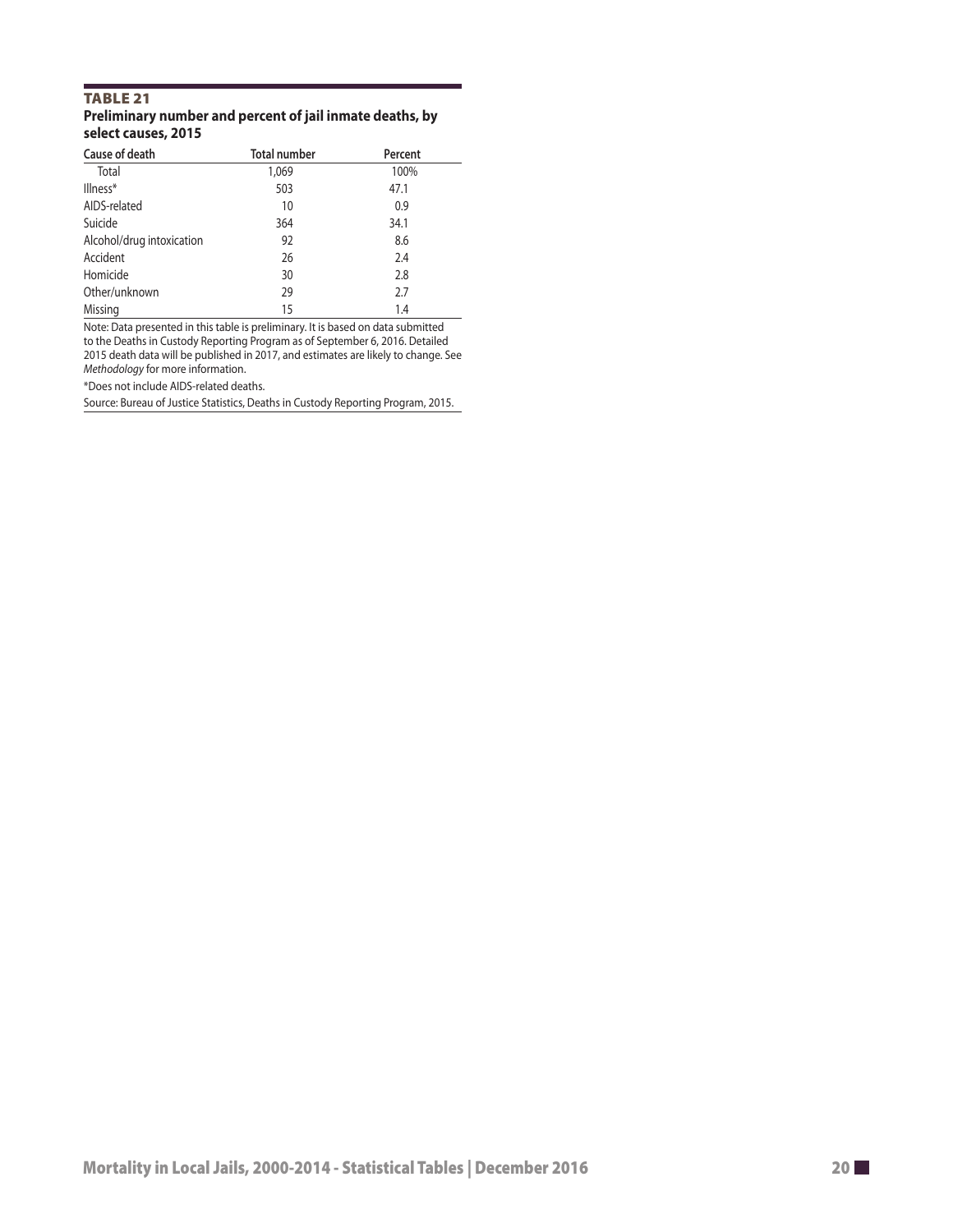#### TABLE 21 **Preliminary number and percent of jail inmate deaths, by select causes, 2015**

| Cause of death            | <b>Total number</b> | Percent |
|---------------------------|---------------------|---------|
| Total                     | 1,069               | 100%    |
| Illness*                  | 503                 | 47.1    |
| AIDS-related              | 10                  | 0.9     |
| Suicide                   | 364                 | 34.1    |
| Alcohol/drug intoxication | 92                  | 8.6     |
| Accident                  | 26                  | 2.4     |
| Homicide                  | 30                  | 2.8     |
| Other/unknown             | 29                  | 2.7     |
| Missing                   | 15                  | 1.4     |

Note: Data presented in this table is preliminary. It is based on data submitted to the Deaths in Custody Reporting Program as of September 6, 2016. Detailed 2015 death data will be published in 2017, and estimates are likely to change. See *Methodology* for more information.

\*Does not include AIDS-related deaths.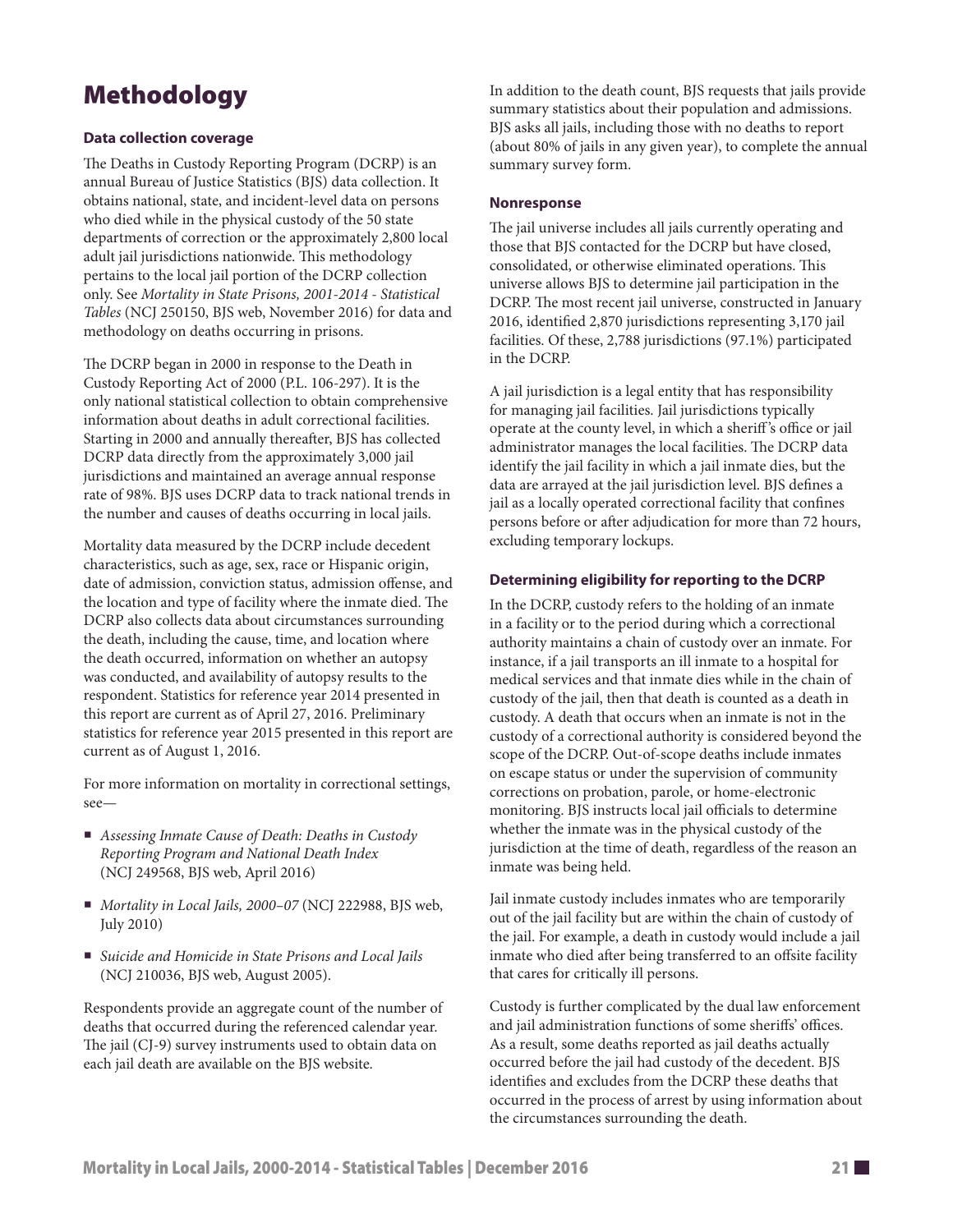# Methodology

#### **Data collection coverage**

The Deaths in Custody Reporting Program (DCRP) is an annual Bureau of Justice Statistics (BJS) data collection. It obtains national, state, and incident-level data on persons who died while in the physical custody of the 50 state departments of correction or the approximately 2,800 local adult jail jurisdictions nationwide. This methodology pertains to the local jail portion of the DCRP collection only. See *Mortality in State Prisons, 2001-2014 - Statistical Tables* (NCJ 250150, BJS web, November 2016) for data and methodology on deaths occurring in prisons.

The DCRP began in 2000 in response to the Death in Custody Reporting Act of 2000 (P.L. 106-297). It is the only national statistical collection to obtain comprehensive information about deaths in adult correctional facilities. Starting in 2000 and annually thereafer, BJS has collected DCRP data directly from the approximately 3,000 jail jurisdictions and maintained an average annual response rate of 98%. BJS uses DCRP data to track national trends in the number and causes of deaths occurring in local jails.

Mortality data measured by the DCRP include decedent characteristics, such as age, sex, race or Hispanic origin, date of admission, conviction status, admission ofense, and the location and type of facility where the inmate died. The DCRP also collects data about circumstances surrounding the death, including the cause, time, and location where the death occurred, information on whether an autopsy was conducted, and availability of autopsy results to the respondent. Statistics for reference year 2014 presented in this report are current as of April 27, 2016. Preliminary statistics for reference year 2015 presented in this report are current as of August 1, 2016.

For more information on mortality in correctional settings, see—

- *Assessing Inmate Cause of Death: Deaths in Custody Reporting Program and National Death Index*  (NCJ 249568, BJS web, April 2016)
- *Mortality in Local Jails, 2000–07* (NCJ 222988, BJS web, July 2010)
- *Suicide and Homicide in State Prisons and Local Jails*  (NCJ 210036, BJS web, August 2005).

Respondents provide an aggregate count of the number of deaths that occurred during the referenced calendar year. The jail (CJ-9) survey instruments used to obtain data on each jail death are available on the BJS website.

In addition to the death count, BJS requests that jails provide summary statistics about their population and admissions. BJS asks all jails, including those with no deaths to report (about 80% of jails in any given year), to complete the annual summary survey form.

#### **Nonresponse**

The jail universe includes all jails currently operating and those that BJS contacted for the DCRP but have closed, consolidated, or otherwise eliminated operations. This universe allows BJS to determine jail participation in the DCRP. The most recent jail universe, constructed in January 2016, identifed 2,870 jurisdictions representing 3,170 jail facilities. Of these, 2,788 jurisdictions (97.1%) participated in the DCRP.

A jail jurisdiction is a legal entity that has responsibility for managing jail facilities. Jail jurisdictions typically operate at the county level, in which a sheriff's office or jail administrator manages the local facilities. The DCRP data identify the jail facility in which a jail inmate dies, but the data are arrayed at the jail jurisdiction level. BJS defnes a jail as a locally operated correctional facility that confnes persons before or after adjudication for more than 72 hours, excluding temporary lockups.

#### **Determining eligibility for reporting to the DCRP**

In the DCRP, custody refers to the holding of an inmate in a facility or to the period during which a correctional authority maintains a chain of custody over an inmate. For instance, if a jail transports an ill inmate to a hospital for medical services and that inmate dies while in the chain of custody of the jail, then that death is counted as a death in custody. A death that occurs when an inmate is not in the custody of a correctional authority is considered beyond the scope of the DCRP. Out-of-scope deaths include inmates on escape status or under the supervision of community corrections on probation, parole, or home-electronic monitoring. BJS instructs local jail officials to determine whether the inmate was in the physical custody of the jurisdiction at the time of death, regardless of the reason an inmate was being held.

Jail inmate custody includes inmates who are temporarily out of the jail facility but are within the chain of custody of the jail. For example, a death in custody would include a jail inmate who died after being transferred to an offsite facility that cares for critically ill persons.

Custody is further complicated by the dual law enforcement and jail administration functions of some sheriffs' offices. As a result, some deaths reported as jail deaths actually occurred before the jail had custody of the decedent. BJS identifes and excludes from the DCRP these deaths that occurred in the process of arrest by using information about the circumstances surrounding the death.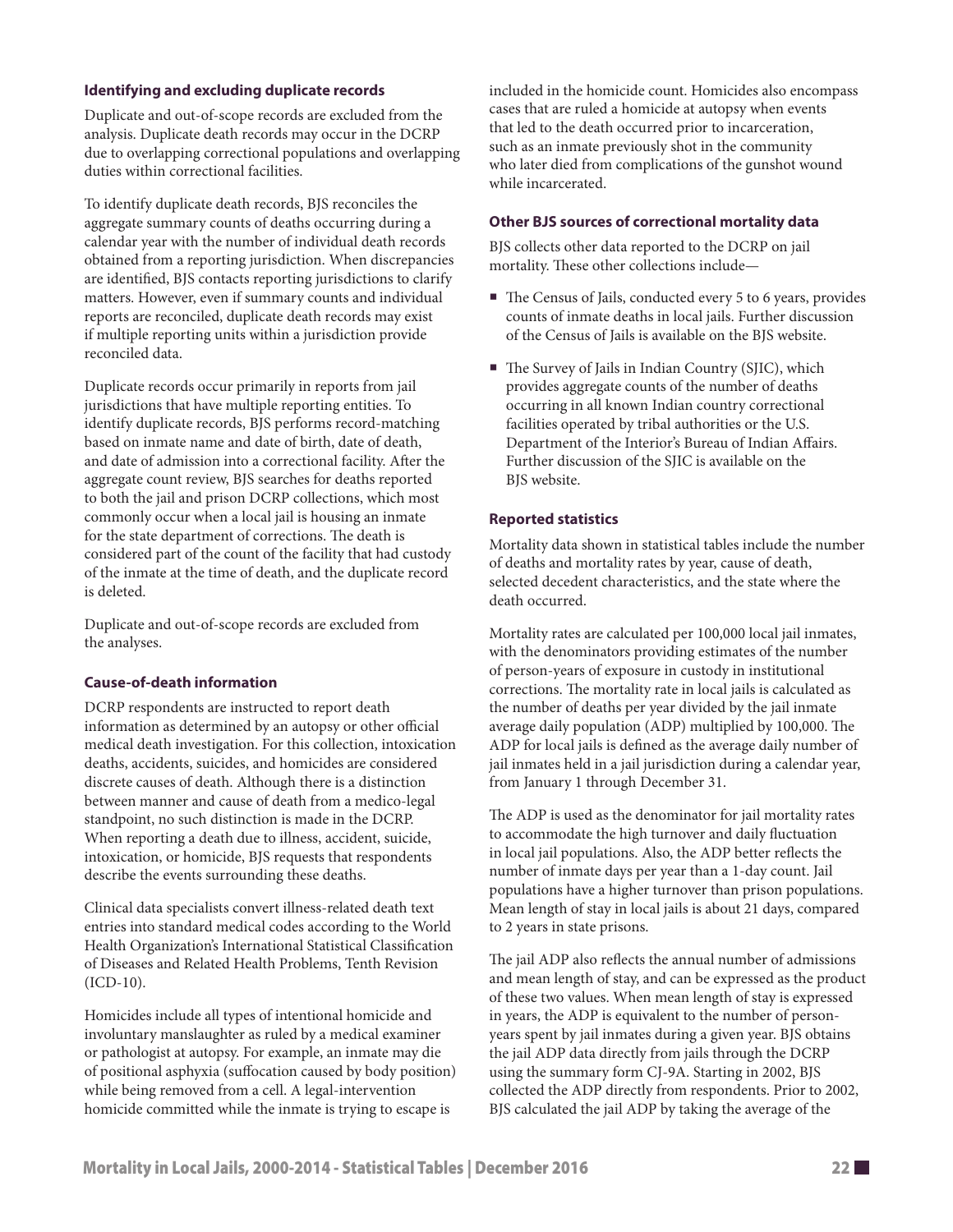#### **Identifying and excluding duplicate records**

Duplicate and out-of-scope records are excluded from the analysis. Duplicate death records may occur in the DCRP due to overlapping correctional populations and overlapping duties within correctional facilities.

To identify duplicate death records, BJS reconciles the aggregate summary counts of deaths occurring during a calendar year with the number of individual death records obtained from a reporting jurisdiction. When discrepancies are identifed, BJS contacts reporting jurisdictions to clarify matters. However, even if summary counts and individual reports are reconciled, duplicate death records may exist if multiple reporting units within a jurisdiction provide reconciled data.

Duplicate records occur primarily in reports from jail jurisdictions that have multiple reporting entities. To identify duplicate records, BJS performs record-matching based on inmate name and date of birth, date of death, and date of admission into a correctional facility. Afer the aggregate count review, BJS searches for deaths reported to both the jail and prison DCRP collections, which most commonly occur when a local jail is housing an inmate for the state department of corrections. The death is considered part of the count of the facility that had custody of the inmate at the time of death, and the duplicate record is deleted.

Duplicate and out-of-scope records are excluded from the analyses.

#### **Cause-of-death information**

DCRP respondents are instructed to report death information as determined by an autopsy or other official medical death investigation. For this collection, intoxication deaths, accidents, suicides, and homicides are considered discrete causes of death. Although there is a distinction between manner and cause of death from a medico-legal standpoint, no such distinction is made in the DCRP. When reporting a death due to illness, accident, suicide, intoxication, or homicide, BJS requests that respondents describe the events surrounding these deaths.

Clinical data specialists convert illness-related death text entries into standard medical codes according to the World Health Organization's International Statistical Classifcation of Diseases and Related Health Problems, Tenth Revision (ICD-10).

Homicides include all types of intentional homicide and involuntary manslaughter as ruled by a medical examiner or pathologist at autopsy. For example, an inmate may die of positional asphyxia (sufocation caused by body position) while being removed from a cell. A legal-intervention homicide committed while the inmate is trying to escape is

included in the homicide count. Homicides also encompass cases that are ruled a homicide at autopsy when events that led to the death occurred prior to incarceration, such as an inmate previously shot in the community who later died from complications of the gunshot wound while incarcerated.

#### **Other BJS sources of correctional mortality data**

BJS collects other data reported to the DCRP on jail mortality. These other collections include—

- $\blacksquare$  The Census of Jails, conducted every 5 to 6 years, provides counts of inmate deaths in local jails. Further discussion of the Census of Jails is available on the BJS website.
- $\blacksquare$  The Survey of Jails in Indian Country (SJIC), which provides aggregate counts of the number of deaths occurring in all known Indian country correctional facilities operated by tribal authorities or the U.S. Department of the Interior's Bureau of Indian Afairs. Further discussion of the SJIC is available on the BJS website.

#### **Reported statistics**

Mortality data shown in statistical tables include the number of deaths and mortality rates by year, cause of death, selected decedent characteristics, and the state where the death occurred.

Mortality rates are calculated per 100,000 local jail inmates, with the denominators providing estimates of the number of person-years of exposure in custody in institutional corrections. The mortality rate in local jails is calculated as the number of deaths per year divided by the jail inmate average daily population (ADP) multiplied by 100,000. The ADP for local jails is defned as the average daily number of jail inmates held in a jail jurisdiction during a calendar year, from January 1 through December 31.

The ADP is used as the denominator for jail mortality rates to accommodate the high turnover and daily fuctuation in local jail populations. Also, the ADP better refects the number of inmate days per year than a 1-day count. Jail populations have a higher turnover than prison populations. Mean length of stay in local jails is about 21 days, compared to 2 years in state prisons.

The jail ADP also reflects the annual number of admissions and mean length of stay, and can be expressed as the product of these two values. When mean length of stay is expressed in years, the ADP is equivalent to the number of personyears spent by jail inmates during a given year. BJS obtains the jail ADP data directly from jails through the DCRP using the summary form CJ-9A. Starting in 2002, BJS collected the ADP directly from respondents. Prior to 2002, BJS calculated the jail ADP by taking the average of the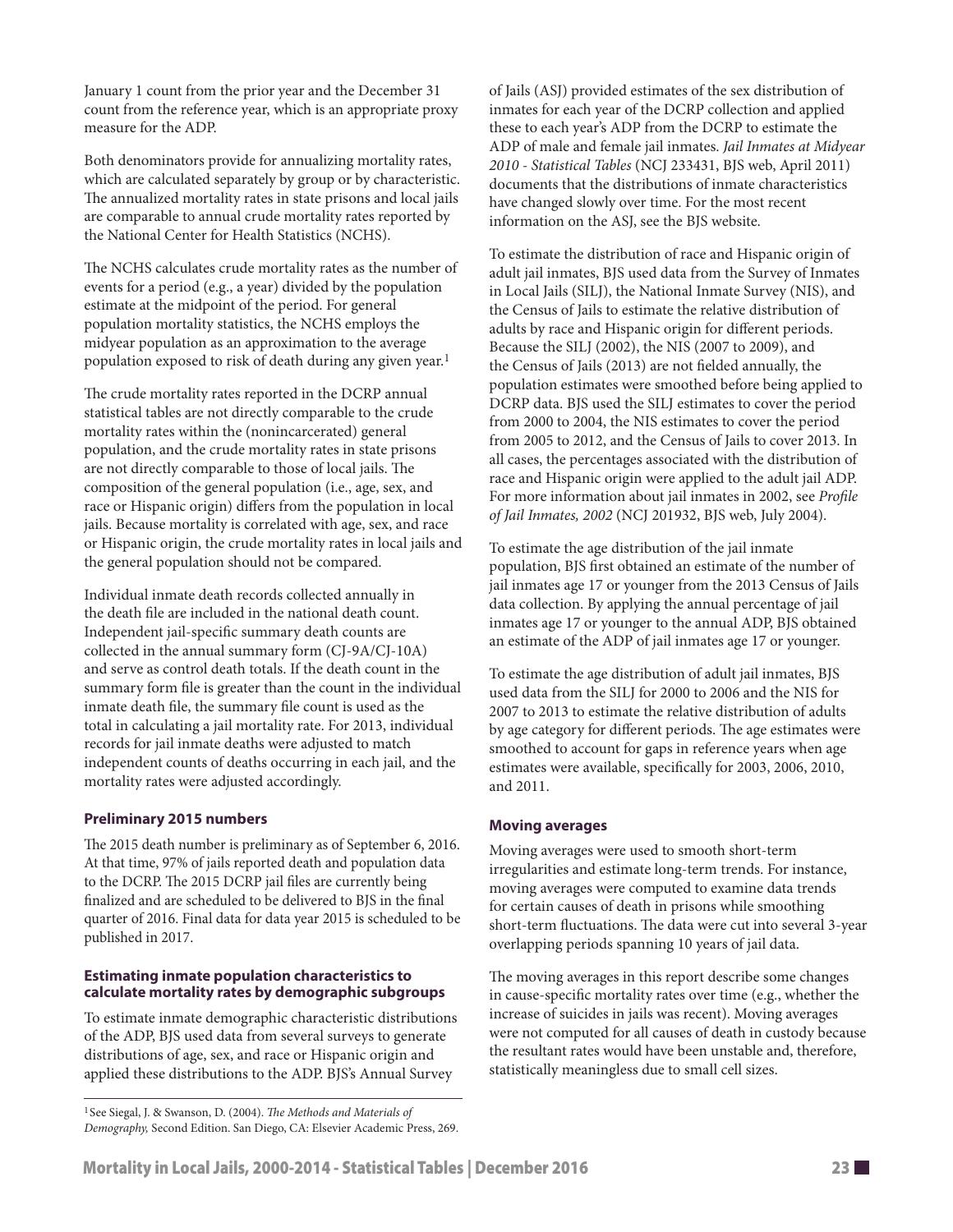January 1 count from the prior year and the December 31 count from the reference year, which is an appropriate proxy measure for the ADP.

Both denominators provide for annualizing mortality rates, which are calculated separately by group or by characteristic. The annualized mortality rates in state prisons and local jails are comparable to annual crude mortality rates reported by the National Center for Health Statistics (NCHS).

The NCHS calculates crude mortality rates as the number of events for a period (e.g., a year) divided by the population estimate at the midpoint of the period. For general population mortality statistics, the NCHS employs the midyear population as an approximation to the average population exposed to risk of death during any given year.<sup>1</sup>

The crude mortality rates reported in the DCRP annual statistical tables are not directly comparable to the crude mortality rates within the (nonincarcerated) general population, and the crude mortality rates in state prisons are not directly comparable to those of local jails. The composition of the general population (i.e., age, sex, and race or Hispanic origin) difers from the population in local jails. Because mortality is correlated with age, sex, and race or Hispanic origin, the crude mortality rates in local jails and the general population should not be compared.

Individual inmate death records collected annually in the death fle are included in the national death count. Independent jail-specifc summary death counts are collected in the annual summary form (CJ-9A/CJ-10A) and serve as control death totals. If the death count in the summary form fle is greater than the count in the individual inmate death fle, the summary fle count is used as the total in calculating a jail mortality rate. For 2013, individual records for jail inmate deaths were adjusted to match independent counts of deaths occurring in each jail, and the mortality rates were adjusted accordingly.

#### **Preliminary 2015 numbers**

The 2015 death number is preliminary as of September 6, 2016. At that time, 97% of jails reported death and population data to the DCRP. The 2015 DCRP jail files are currently being fnalized and are scheduled to be delivered to BJS in the fnal quarter of 2016. Final data for data year 2015 is scheduled to be published in 2017.

#### **Estimating inmate population characteristics to calculate mortality rates by demographic subgroups**

To estimate inmate demographic characteristic distributions of the ADP, BJS used data from several surveys to generate distributions of age, sex, and race or Hispanic origin and applied these distributions to the ADP. BJS's Annual Survey

<sup>1</sup> See Siegal, J. & Swanson, D. (2004). *The Methods and Materials of Demography,* Second Edition. San Diego, CA: Elsevier Academic Press, 269. of Jails (ASJ) provided estimates of the sex distribution of inmates for each year of the DCRP collection and applied these to each year's ADP from the DCRP to estimate the ADP of male and female jail inmates. *Jail Inmates at Midyear 2010 - Statistical Tables* (NCJ 233431, BJS web, April 2011) documents that the distributions of inmate characteristics have changed slowly over time. For the most recent information on the ASJ, see the BJS website.

To estimate the distribution of race and Hispanic origin of adult jail inmates, BJS used data from the Survey of Inmates in Local Jails (SILJ), the National Inmate Survey (NIS), and the Census of Jails to estimate the relative distribution of adults by race and Hispanic origin for diferent periods. Because the SILJ (2002), the NIS (2007 to 2009), and the Census of Jails (2013) are not felded annually, the population estimates were smoothed before being applied to DCRP data. BJS used the SILJ estimates to cover the period from 2000 to 2004, the NIS estimates to cover the period from 2005 to 2012, and the Census of Jails to cover 2013. In all cases, the percentages associated with the distribution of race and Hispanic origin were applied to the adult jail ADP. For more information about jail inmates in 2002, see *Profle of Jail Inmates, 2002* (NCJ 201932, BJS web, July 2004).

To estimate the age distribution of the jail inmate population, BJS frst obtained an estimate of the number of jail inmates age 17 or younger from the 2013 Census of Jails data collection. By applying the annual percentage of jail inmates age 17 or younger to the annual ADP, BJS obtained an estimate of the ADP of jail inmates age 17 or younger.

To estimate the age distribution of adult jail inmates, BJS used data from the SILJ for 2000 to 2006 and the NIS for 2007 to 2013 to estimate the relative distribution of adults by age category for different periods. The age estimates were smoothed to account for gaps in reference years when age estimates were available, specifcally for 2003, 2006, 2010, and 2011.

#### **Moving averages**

Moving averages were used to smooth short-term irregularities and estimate long-term trends. For instance, moving averages were computed to examine data trends for certain causes of death in prisons while smoothing short-term fluctuations. The data were cut into several 3-year overlapping periods spanning 10 years of jail data.

The moving averages in this report describe some changes in cause-specifc mortality rates over time (e.g., whether the increase of suicides in jails was recent). Moving averages were not computed for all causes of death in custody because the resultant rates would have been unstable and, therefore, statistically meaningless due to small cell sizes.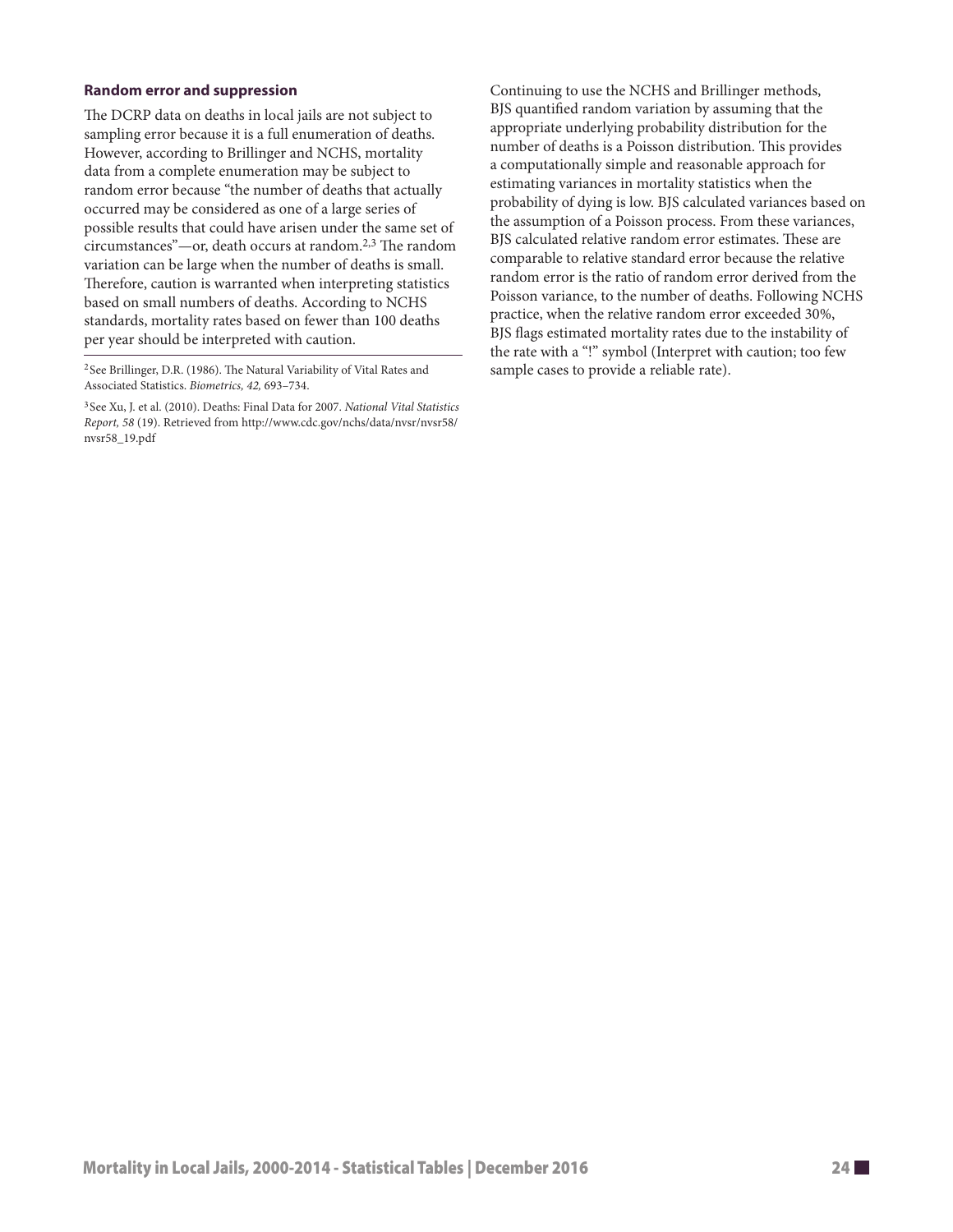#### **Random error and suppression**

The DCRP data on deaths in local jails are not subject to sampling error because it is a full enumeration of deaths. However, according to Brillinger and NCHS, mortality data from a complete enumeration may be subject to random error because "the number of deaths that actually occurred may be considered as one of a large series of possible results that could have arisen under the same set of  $circumstances"$ —or, death occurs at random.<sup>2,3</sup> The random variation can be large when the number of deaths is small. Therefore, caution is warranted when interpreting statistics based on small numbers of deaths. According to NCHS standards, mortality rates based on fewer than 100 deaths per year should be interpreted with caution.

<sup>2</sup> See Brillinger, D.R. (1986). The Natural Variability of Vital Rates and Associated Statistics. *Biometrics, 42,* 693–734.

<sup>3</sup> See Xu, J. et al. (2010). Deaths: Final Data for 2007. *National Vital Statistics Report, 58* (19). Retrieved from [http://www.cdc.gov/nchs/data/nvsr/nvsr58/](http://www.cdc.gov/nchs/data/nvsr/nvsr58) nvsr58\_19.pdf

Continuing to use the NCHS and Brillinger methods, BJS quantifed random variation by assuming that the appropriate underlying probability distribution for the number of deaths is a Poisson distribution. This provides a computationally simple and reasonable approach for estimating variances in mortality statistics when the probability of dying is low. BJS calculated variances based on the assumption of a Poisson process. From these variances, BJS calculated relative random error estimates. These are comparable to relative standard error because the relative random error is the ratio of random error derived from the Poisson variance, to the number of deaths. Following NCHS practice, when the relative random error exceeded 30%, BJS fags estimated mortality rates due to the instability of the rate with a "!" symbol (Interpret with caution; too few sample cases to provide a reliable rate).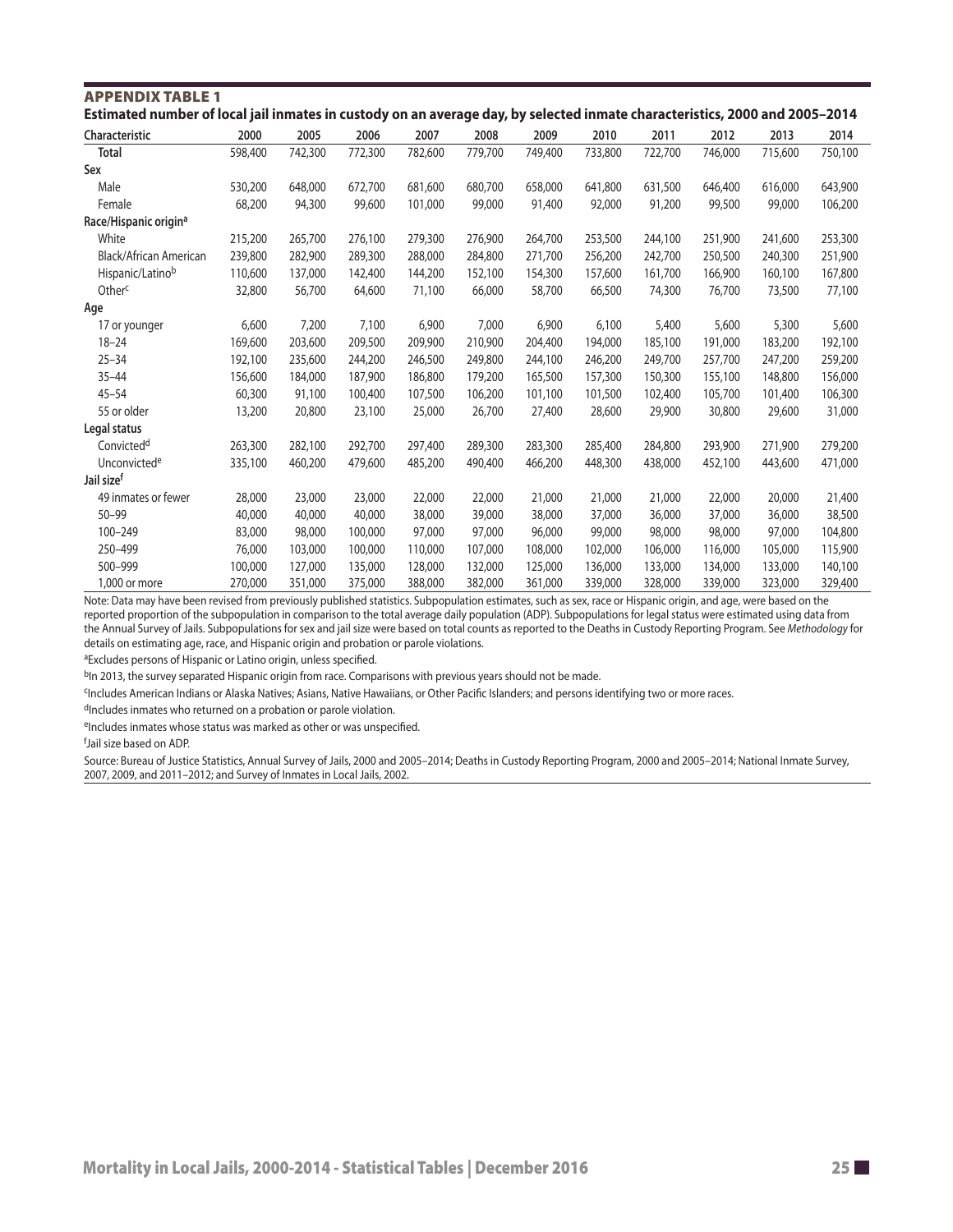| Estimated number of local jail inmates in custody on an average day, by selected inmate characteristics, 2000 and 2005-2014 |         |         |         |         |         |         |         |         |         |         |         |
|-----------------------------------------------------------------------------------------------------------------------------|---------|---------|---------|---------|---------|---------|---------|---------|---------|---------|---------|
| Characteristic                                                                                                              | 2000    | 2005    | 2006    | 2007    | 2008    | 2009    | 2010    | 2011    | 2012    | 2013    | 2014    |
| <b>Total</b>                                                                                                                | 598,400 | 742,300 | 772,300 | 782,600 | 779,700 | 749,400 | 733,800 | 722,700 | 746,000 | 715,600 | 750,100 |
| Sex                                                                                                                         |         |         |         |         |         |         |         |         |         |         |         |
| Male                                                                                                                        | 530,200 | 648,000 | 672,700 | 681,600 | 680,700 | 658,000 | 641,800 | 631,500 | 646,400 | 616,000 | 643,900 |
| Female                                                                                                                      | 68,200  | 94,300  | 99,600  | 101,000 | 99,000  | 91,400  | 92,000  | 91,200  | 99,500  | 99,000  | 106,200 |
| Race/Hispanic origin <sup>a</sup>                                                                                           |         |         |         |         |         |         |         |         |         |         |         |
| White                                                                                                                       | 215,200 | 265,700 | 276,100 | 279,300 | 276,900 | 264,700 | 253,500 | 244,100 | 251,900 | 241,600 | 253,300 |
| Black/African American                                                                                                      | 239,800 | 282,900 | 289,300 | 288,000 | 284,800 | 271,700 | 256,200 | 242,700 | 250,500 | 240,300 | 251,900 |
| Hispanic/Latinob                                                                                                            | 110,600 | 137,000 | 142,400 | 144,200 | 152,100 | 154,300 | 157,600 | 161,700 | 166,900 | 160,100 | 167,800 |
| Other <sup>c</sup>                                                                                                          | 32,800  | 56,700  | 64,600  | 71,100  | 66,000  | 58,700  | 66,500  | 74,300  | 76,700  | 73,500  | 77,100  |
| Age                                                                                                                         |         |         |         |         |         |         |         |         |         |         |         |
| 17 or younger                                                                                                               | 6,600   | 7,200   | 7,100   | 6,900   | 7,000   | 6,900   | 6,100   | 5,400   | 5,600   | 5,300   | 5,600   |
| $18 - 24$                                                                                                                   | 169,600 | 203,600 | 209,500 | 209,900 | 210,900 | 204,400 | 194,000 | 185,100 | 191,000 | 183,200 | 192,100 |
| $25 - 34$                                                                                                                   | 192,100 | 235,600 | 244,200 | 246,500 | 249,800 | 244,100 | 246,200 | 249,700 | 257,700 | 247,200 | 259,200 |
| $35 - 44$                                                                                                                   | 156,600 | 184,000 | 187,900 | 186,800 | 179,200 | 165,500 | 157,300 | 150,300 | 155,100 | 148,800 | 156,000 |
| $45 - 54$                                                                                                                   | 60,300  | 91,100  | 100,400 | 107,500 | 106,200 | 101,100 | 101,500 | 102,400 | 105,700 | 101,400 | 106,300 |
| 55 or older                                                                                                                 | 13,200  | 20,800  | 23,100  | 25,000  | 26,700  | 27,400  | 28,600  | 29,900  | 30,800  | 29,600  | 31,000  |
| Legal status                                                                                                                |         |         |         |         |         |         |         |         |         |         |         |
| Convicted <sup>d</sup>                                                                                                      | 263,300 | 282,100 | 292,700 | 297,400 | 289,300 | 283,300 | 285,400 | 284,800 | 293,900 | 271,900 | 279,200 |
| Unconvicted <sup>e</sup>                                                                                                    | 335,100 | 460,200 | 479,600 | 485,200 | 490,400 | 466,200 | 448,300 | 438,000 | 452,100 | 443,600 | 471,000 |
| Jail size <sup>f</sup>                                                                                                      |         |         |         |         |         |         |         |         |         |         |         |
| 49 inmates or fewer                                                                                                         | 28,000  | 23,000  | 23,000  | 22,000  | 22,000  | 21,000  | 21,000  | 21,000  | 22,000  | 20,000  | 21,400  |
| $50 - 99$                                                                                                                   | 40,000  | 40,000  | 40,000  | 38,000  | 39,000  | 38,000  | 37,000  | 36,000  | 37,000  | 36,000  | 38,500  |
| 100-249                                                                                                                     | 83,000  | 98,000  | 100,000 | 97,000  | 97,000  | 96,000  | 99,000  | 98,000  | 98,000  | 97,000  | 104,800 |
| 250-499                                                                                                                     | 76,000  | 103,000 | 100,000 | 110,000 | 107,000 | 108,000 | 102,000 | 106,000 | 116,000 | 105,000 | 115,900 |
| 500-999                                                                                                                     | 100,000 | 127,000 | 135,000 | 128,000 | 132,000 | 125,000 | 136,000 | 133,000 | 134,000 | 133,000 | 140,100 |
| 1,000 or more                                                                                                               | 270,000 | 351,000 | 375,000 | 388,000 | 382,000 | 361,000 | 339,000 | 328,000 | 339,000 | 323,000 | 329,400 |

APPENDIX TABLE 1

Note: Data may have been revised from previously published statistics. Subpopulation estimates, such as sex, race or Hispanic origin, and age, were based on the reported proportion of the subpopulation in comparison to the total average daily population (ADP). Subpopulations for legal status were estimated using data from the Annual Survey of Jails. Subpopulations for sex and jail size were based on total counts as reported to the Deaths in Custody Reporting Program. See *Methodology* for details on estimating age, race, and Hispanic origin and probation or parole violations.

aExcludes persons of Hispanic or Latino origin, unless specified.

bIn 2013, the survey separated Hispanic origin from race. Comparisons with previous years should not be made.

cIncludes American Indians or Alaska Natives; Asians, Native Hawaiians, or Other Pacific Islanders; and persons identifying two or more races.

dIncludes inmates who returned on a probation or parole violation.

eIncludes inmates whose status was marked as other or was unspecified.

f Jail size based on ADP.

Source: Bureau of Justice Statistics, Annual Survey of Jails, 2000 and 2005–2014; Deaths in Custody Reporting Program, 2000 and 2005–2014; National Inmate Survey, 2007, 2009, and 2011–2012; and Survey of Inmates in Local Jails, 2002.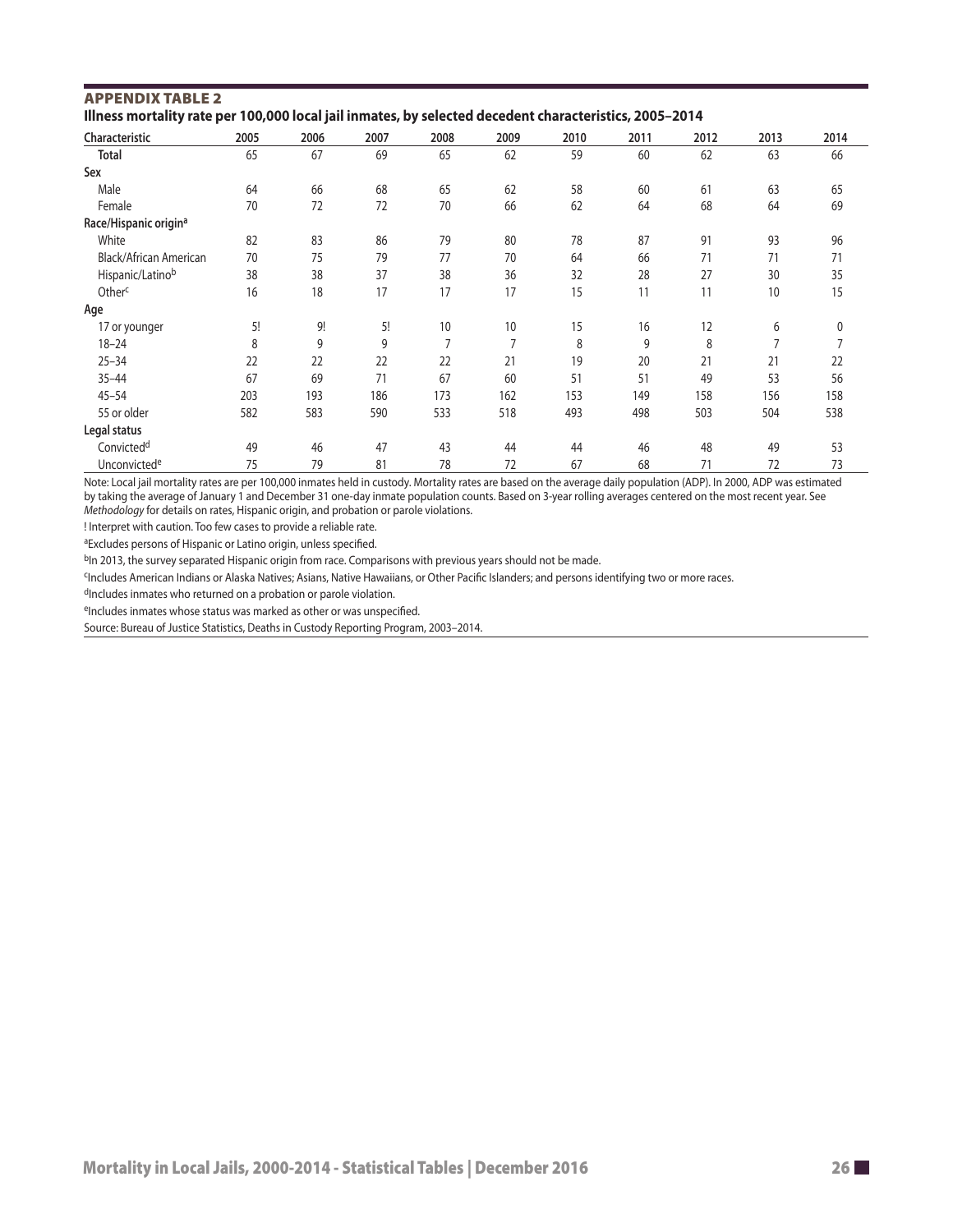| Illness mortality rate per 100,000 local jail inmates, by selected decedent characteristics, 2005-2014 |      |      |      |                |      |      |      |      |      |      |
|--------------------------------------------------------------------------------------------------------|------|------|------|----------------|------|------|------|------|------|------|
| Characteristic                                                                                         | 2005 | 2006 | 2007 | 2008           | 2009 | 2010 | 2011 | 2012 | 2013 | 2014 |
| Total                                                                                                  | 65   | 67   | 69   | 65             | 62   | 59   | 60   | 62   | 63   | 66   |
| Sex                                                                                                    |      |      |      |                |      |      |      |      |      |      |
| Male                                                                                                   | 64   | 66   | 68   | 65             | 62   | 58   | 60   | 61   | 63   | 65   |
| Female                                                                                                 | 70   | 72   | 72   | 70             | 66   | 62   | 64   | 68   | 64   | 69   |
| Race/Hispanic origin <sup>a</sup>                                                                      |      |      |      |                |      |      |      |      |      |      |
| White                                                                                                  | 82   | 83   | 86   | 79             | 80   | 78   | 87   | 91   | 93   | 96   |
| Black/African American                                                                                 | 70   | 75   | 79   | 77             | 70   | 64   | 66   | 71   | 71   | 71   |
| Hispanic/Latinob                                                                                       | 38   | 38   | 37   | 38             | 36   | 32   | 28   | 27   | 30   | 35   |
| Other <sup>c</sup>                                                                                     | 16   | 18   | 17   | 17             | 17   | 15   | 11   | 11   | 10   | 15   |
| Age                                                                                                    |      |      |      |                |      |      |      |      |      |      |
| 17 or younger                                                                                          | 5!   | 9!   | 5!   | 10             | 10   | 15   | 16   | 12   | 6    | 0    |
| $18 - 24$                                                                                              | 8    | 9    | 9    | $\overline{7}$ | 7    | 8    | 9    | 8    | 7    |      |
| $25 - 34$                                                                                              | 22   | 22   | 22   | 22             | 21   | 19   | 20   | 21   | 21   | 22   |
| $35 - 44$                                                                                              | 67   | 69   | 71   | 67             | 60   | 51   | 51   | 49   | 53   | 56   |
| $45 - 54$                                                                                              | 203  | 193  | 186  | 173            | 162  | 153  | 149  | 158  | 156  | 158  |
| 55 or older                                                                                            | 582  | 583  | 590  | 533            | 518  | 493  | 498  | 503  | 504  | 538  |
| Legal status                                                                                           |      |      |      |                |      |      |      |      |      |      |
| Convicted <sup>d</sup>                                                                                 | 49   | 46   | 47   | 43             | 44   | 44   | 46   | 48   | 49   | 53   |
| Unconvicted <sup>e</sup>                                                                               | 75   | 79   | 81   | 78             | 72   | 67   | 68   | 71   | 72   | 73   |

# APPENDIX TABLE 2

Note: Local jail mortality rates are per 100,000 inmates held in custody. Mortality rates are based on the average daily population (ADP). In 2000, ADP was estimated by taking the average of January 1 and December 31 one-day inmate population counts. Based on 3-year rolling averages centered on the most recent year. See *Methodology* for details on rates, Hispanic origin, and probation or parole violations.

! Interpret with caution. Too few cases to provide a reliable rate.

aExcludes persons of Hispanic or Latino origin, unless specified.

bIn 2013, the survey separated Hispanic origin from race. Comparisons with previous years should not be made.

cIncludes American Indians or Alaska Natives; Asians, Native Hawaiians, or Other Pacifc Islanders; and persons identifying two or more races.

dIncludes inmates who returned on a probation or parole violation.

eIncludes inmates whose status was marked as other or was unspecified.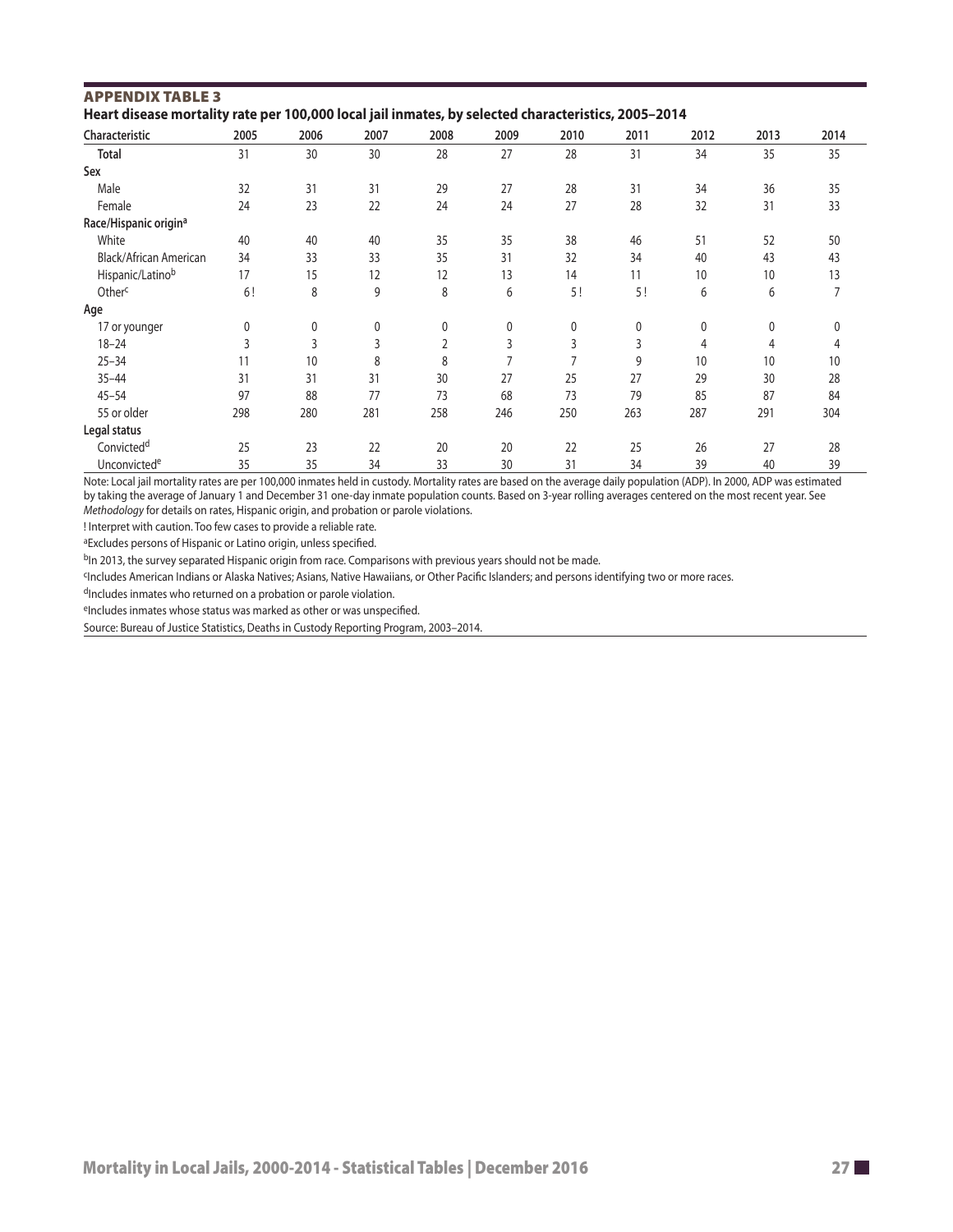| Characteristic                    | 2005 | 2006 | 2007 | 2008           | 2009 | 2010 | 2011 | 2012 | 2013 | 2014 |
|-----------------------------------|------|------|------|----------------|------|------|------|------|------|------|
| <b>Total</b>                      | 31   | 30   | 30   | 28             | 27   | 28   | 31   | 34   | 35   | 35   |
| Sex                               |      |      |      |                |      |      |      |      |      |      |
| Male                              | 32   | 31   | 31   | 29             | 27   | 28   | 31   | 34   | 36   | 35   |
| Female                            | 24   | 23   | 22   | 24             | 24   | 27   | 28   | 32   | 31   | 33   |
| Race/Hispanic origin <sup>a</sup> |      |      |      |                |      |      |      |      |      |      |
| White                             | 40   | 40   | 40   | 35             | 35   | 38   | 46   | 51   | 52   | 50   |
| Black/African American            | 34   | 33   | 33   | 35             | 31   | 32   | 34   | 40   | 43   | 43   |
| Hispanic/Latinob                  | 17   | 15   | 12   | 12             | 13   | 14   | 11   | 10   | 10   | 13   |
| Otherc                            | 6!   | 8    | 9    | 8              | 6    | 5!   | 5!   | 6    | 6    | 7    |
| Age                               |      |      |      |                |      |      |      |      |      |      |
| 17 or younger                     | 0    | 0    | 0    | 0              | 0    | 0    | 0    | 0    | 0    | 0    |
| $18 - 24$                         | 3    | 3    | 3    | $\overline{2}$ | 3    | 3    | 3    | 4    | 4    | 4    |
| $25 - 34$                         | 11   | 10   | 8    | 8              |      |      | 9    | 10   | 10   | 10   |
| $35 - 44$                         | 31   | 31   | 31   | 30             | 27   | 25   | 27   | 29   | 30   | 28   |
| $45 - 54$                         | 97   | 88   | 77   | 73             | 68   | 73   | 79   | 85   | 87   | 84   |
| 55 or older                       | 298  | 280  | 281  | 258            | 246  | 250  | 263  | 287  | 291  | 304  |
| Legal status                      |      |      |      |                |      |      |      |      |      |      |
| Convicted <sup>d</sup>            | 25   | 23   | 22   | 20             | 20   | 22   | 25   | 26   | 27   | 28   |
| Unconvictede                      | 35   | 35   | 34   | 33             | 30   | 31   | 34   | 39   | 40   | 39   |

# APPENDIX TABLE 3

Note: Local jail mortality rates are per 100,000 inmates held in custody. Mortality rates are based on the average daily population (ADP). In 2000, ADP was estimated by taking the average of January 1 and December 31 one-day inmate population counts. Based on 3-year rolling averages centered on the most recent year. See *Methodology* for details on rates, Hispanic origin, and probation or parole violations.

! Interpret with caution. Too few cases to provide a reliable rate.

aExcludes persons of Hispanic or Latino origin, unless specified.

<sup>b</sup>In 2013, the survey separated Hispanic origin from race. Comparisons with previous years should not be made.

Fincludes American Indians or Alaska Natives; Asians, Native Hawaiians, or Other Pacific Islanders; and persons identifying two or more races.

dIncludes inmates who returned on a probation or parole violation.

eIncludes inmates whose status was marked as other or was unspecified.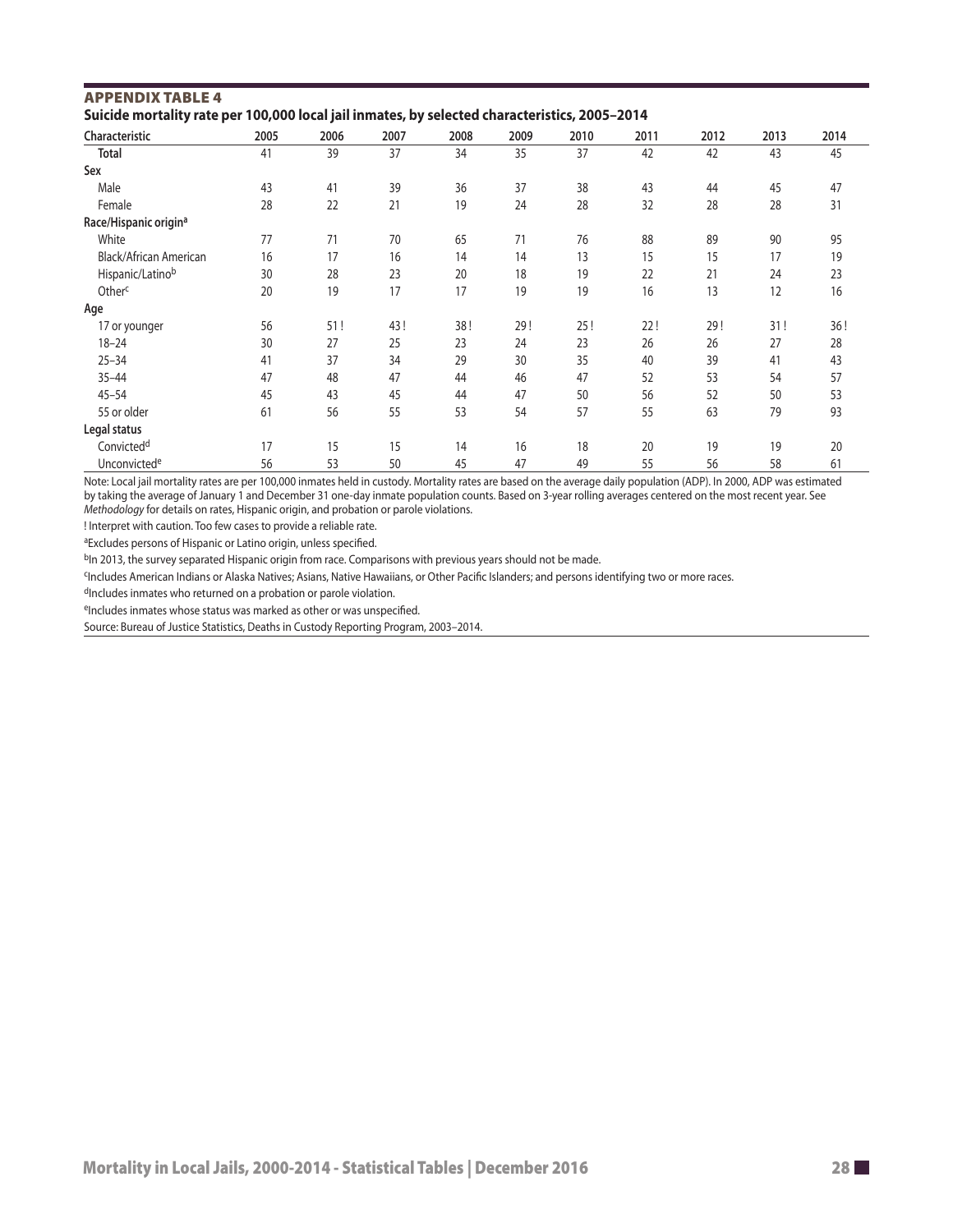| <b>APPENDIX TABLE 4</b> |  |  |                                                                                               |
|-------------------------|--|--|-----------------------------------------------------------------------------------------------|
|                         |  |  | Suicide mortality rate per 100,000 local jail inmates, by selected characteristics, 2005–2014 |

| Characteristic                    | 2005 | 2006 | 2007 | 2008 | 2009 | 2010 | 2011 | 2012 | 2013 | 2014 |
|-----------------------------------|------|------|------|------|------|------|------|------|------|------|
| <b>Total</b>                      | 41   | 39   | 37   | 34   | 35   | 37   | 42   | 42   | 43   | 45   |
| Sex                               |      |      |      |      |      |      |      |      |      |      |
| Male                              | 43   | 41   | 39   | 36   | 37   | 38   | 43   | 44   | 45   | 47   |
| Female                            | 28   | 22   | 21   | 19   | 24   | 28   | 32   | 28   | 28   | 31   |
| Race/Hispanic origin <sup>a</sup> |      |      |      |      |      |      |      |      |      |      |
| White                             | 77   | 71   | 70   | 65   | 71   | 76   | 88   | 89   | 90   | 95   |
| Black/African American            | 16   | 17   | 16   | 14   | 14   | 13   | 15   | 15   | 17   | 19   |
| Hispanic/Latinob                  | 30   | 28   | 23   | 20   | 18   | 19   | 22   | 21   | 24   | 23   |
| Otherc                            | 20   | 19   | 17   | 17   | 19   | 19   | 16   | 13   | 12   | 16   |
| Age                               |      |      |      |      |      |      |      |      |      |      |
| 17 or younger                     | 56   | 51!  | 43!  | 38!  | 29!  | 25!  | 22!  | 29!  | 31!  | 36!  |
| $18 - 24$                         | 30   | 27   | 25   | 23   | 24   | 23   | 26   | 26   | 27   | 28   |
| $25 - 34$                         | 41   | 37   | 34   | 29   | 30   | 35   | 40   | 39   | 41   | 43   |
| $35 - 44$                         | 47   | 48   | 47   | 44   | 46   | 47   | 52   | 53   | 54   | 57   |
| $45 - 54$                         | 45   | 43   | 45   | 44   | 47   | 50   | 56   | 52   | 50   | 53   |
| 55 or older                       | 61   | 56   | 55   | 53   | 54   | 57   | 55   | 63   | 79   | 93   |
| Legal status                      |      |      |      |      |      |      |      |      |      |      |
| Convicted <sup>d</sup>            | 17   | 15   | 15   | 14   | 16   | 18   | 20   | 19   | 19   | 20   |
| Unconvicted <sup>e</sup>          | 56   | 53   | 50   | 45   | 47   | 49   | 55   | 56   | 58   | 61   |

Note: Local jail mortality rates are per 100,000 inmates held in custody. Mortality rates are based on the average daily population (ADP). In 2000, ADP was estimated by taking the average of January 1 and December 31 one-day inmate population counts. Based on 3-year rolling averages centered on the most recent year. See *Methodology* for details on rates, Hispanic origin, and probation or parole violations.

! Interpret with caution. Too few cases to provide a reliable rate.

aExcludes persons of Hispanic or Latino origin, unless specifed.

b<sub>In</sub> 2013, the survey separated Hispanic origin from race. Comparisons with previous years should not be made.

<sup>c</sup>Includes American Indians or Alaska Natives; Asians, Native Hawaiians, or Other Pacific Islanders; and persons identifying two or more races.

dIncludes inmates who returned on a probation or parole violation.

eIncludes inmates whose status was marked as other or was unspecified.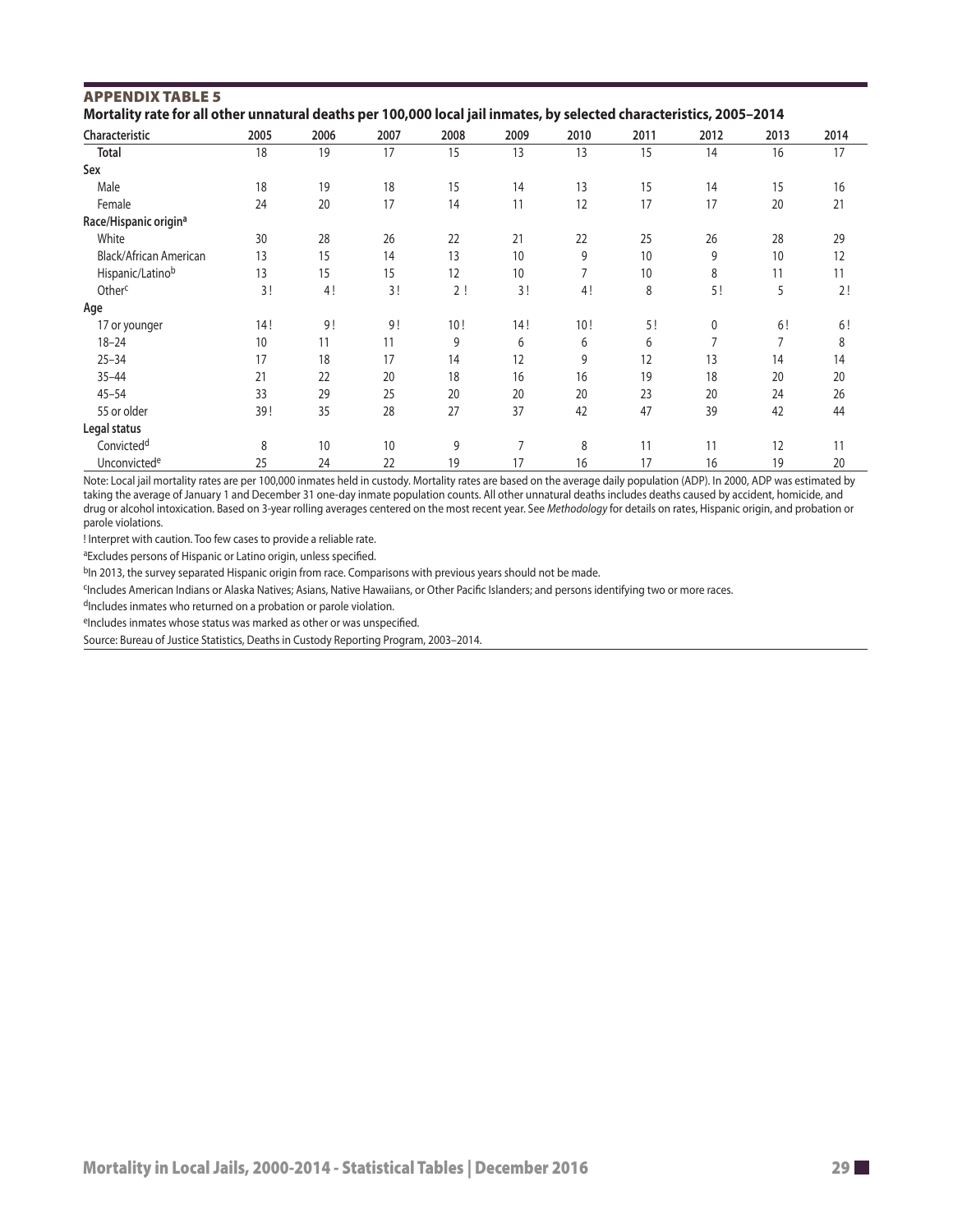| <b>APPENDIX TABLE 5</b>                                                                                              |  |
|----------------------------------------------------------------------------------------------------------------------|--|
| Mortality rate for all other unnatural deaths per 100,000 local jail inmates, by selected characteristics, 2005–2014 |  |

| Characteristic                    | 2005 | 2006 | 2007 | 2008 | 2009 | 2010 | 2011 | 2012 | 2013           | 2014 |
|-----------------------------------|------|------|------|------|------|------|------|------|----------------|------|
| <b>Total</b>                      | 18   | 19   | 17   | 15   | 13   | 13   | 15   | 14   | 16             | 17   |
| Sex                               |      |      |      |      |      |      |      |      |                |      |
| Male                              | 18   | 19   | 18   | 15   | 14   | 13   | 15   | 14   | 15             | 16   |
| Female                            | 24   | 20   | 17   | 14   | 11   | 12   | 17   | 17   | 20             | 21   |
| Race/Hispanic origin <sup>a</sup> |      |      |      |      |      |      |      |      |                |      |
| White                             | 30   | 28   | 26   | 22   | 21   | 22   | 25   | 26   | 28             | 29   |
| <b>Black/African American</b>     | 13   | 15   | 14   | 13   | 10   | 9    | 10   | 9    | 10             | 12   |
| Hispanic/Latinob                  | 13   | 15   | 15   | 12   | 10   | 7    | 10   | 8    | 11             | 11   |
| Otherc                            | 3!   | 4!   | 3!   | 2!   | 3!   | 4!   | 8    | 5!   | 5              | 2!   |
| Age                               |      |      |      |      |      |      |      |      |                |      |
| 17 or younger                     | 14!  | 9!   | 9!   | 10!  | 14!  | 10!  | 5!   | 0    | 6!             | 6!   |
| $18 - 24$                         | 10   | 11   | 11   | 9    | 6    | 6    | 6    | 7    | $\overline{7}$ | 8    |
| $25 - 34$                         | 17   | 18   | 17   | 14   | 12   | 9    | 12   | 13   | 14             | 14   |
| $35 - 44$                         | 21   | 22   | 20   | 18   | 16   | 16   | 19   | 18   | 20             | 20   |
| $45 - 54$                         | 33   | 29   | 25   | 20   | 20   | 20   | 23   | 20   | 24             | 26   |
| 55 or older                       | 39!  | 35   | 28   | 27   | 37   | 42   | 47   | 39   | 42             | 44   |
| Legal status                      |      |      |      |      |      |      |      |      |                |      |
| Convicted <sup>d</sup>            | 8    | 10   | 10   | 9    | 7    | 8    | 11   | 11   | 12             | 11   |
| Unconvictede                      | 25   | 24   | 22   | 19   | 17   | 16   | 17   | 16   | 19             | 20   |

Note: Local jail mortality rates are per 100,000 inmates held in custody. Mortality rates are based on the average daily population (ADP). In 2000, ADP was estimated by taking the average of January 1 and December 31 one-day inmate population counts. All other unnatural deaths includes deaths caused by accident, homicide, and drug or alcohol intoxication. Based on 3-year rolling averages centered on the most recent year. See *Methodology* for details on rates, Hispanic origin, and probation or parole violations.

! Interpret with caution. Too few cases to provide a reliable rate.

aExcludes persons of Hispanic or Latino origin, unless specified.

b<sub>In</sub> 2013, the survey separated Hispanic origin from race. Comparisons with previous years should not be made.

cIncludes American Indians or Alaska Natives; Asians, Native Hawaiians, or Other Pacifc Islanders; and persons identifying two or more races.

dIncludes inmates who returned on a probation or parole violation.

eIncludes inmates whose status was marked as other or was unspecified.